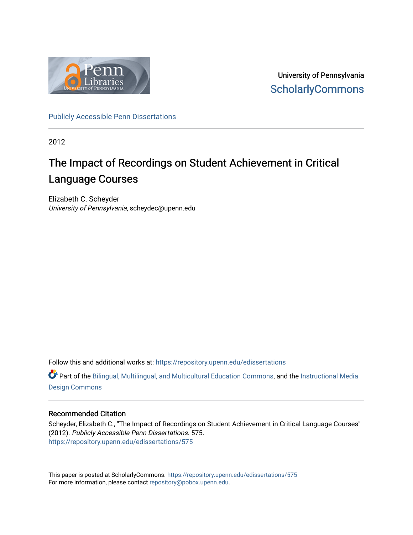

University of Pennsylvania **ScholarlyCommons** 

[Publicly Accessible Penn Dissertations](https://repository.upenn.edu/edissertations)

2012

### The Impact of Recordings on Student Achievement in Critical Language Courses

Elizabeth C. Scheyder University of Pennsylvania, scheydec@upenn.edu

Follow this and additional works at: [https://repository.upenn.edu/edissertations](https://repository.upenn.edu/edissertations?utm_source=repository.upenn.edu%2Fedissertations%2F575&utm_medium=PDF&utm_campaign=PDFCoverPages) 

**C** Part of the [Bilingual, Multilingual, and Multicultural Education Commons,](http://network.bepress.com/hgg/discipline/785?utm_source=repository.upenn.edu%2Fedissertations%2F575&utm_medium=PDF&utm_campaign=PDFCoverPages) and the [Instructional Media](http://network.bepress.com/hgg/discipline/795?utm_source=repository.upenn.edu%2Fedissertations%2F575&utm_medium=PDF&utm_campaign=PDFCoverPages) [Design Commons](http://network.bepress.com/hgg/discipline/795?utm_source=repository.upenn.edu%2Fedissertations%2F575&utm_medium=PDF&utm_campaign=PDFCoverPages)

#### Recommended Citation

Scheyder, Elizabeth C., "The Impact of Recordings on Student Achievement in Critical Language Courses" (2012). Publicly Accessible Penn Dissertations. 575. [https://repository.upenn.edu/edissertations/575](https://repository.upenn.edu/edissertations/575?utm_source=repository.upenn.edu%2Fedissertations%2F575&utm_medium=PDF&utm_campaign=PDFCoverPages) 

This paper is posted at ScholarlyCommons.<https://repository.upenn.edu/edissertations/575> For more information, please contact [repository@pobox.upenn.edu.](mailto:repository@pobox.upenn.edu)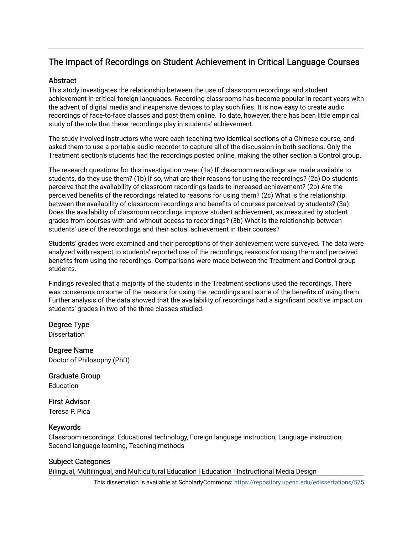### The Impact of Recordings on Student Achievement in Critical Language Courses

#### **Abstract**

This study investigates the relationship between the use of classroom recordings and student achievement in critical foreign languages. Recording classrooms has become popular in recent years with the advent of digital media and inexpensive devices to play such files. It is now easy to create audio recordings of face-to-face classes and post them online. To date, however, there has been little empirical study of the role that these recordings play in students' achievement.

The study involved instructors who were each teaching two identical sections of a Chinese course, and asked them to use a portable audio recorder to capture all of the discussion in both sections. Only the Treatment section's students had the recordings posted online, making the other section a Control group.

The research questions for this investigation were: (1a) If classroom recordings are made available to students, do they use them? (1b) If so, what are their reasons for using the recordings? (2a) Do students perceive that the availability of classroom recordings leads to increased achievement? (2b) Are the perceived benefits of the recordings related to reasons for using them? (2c) What is the relationship between the availability of classroom recordings and benefits of courses perceived by students? (3a) Does the availability of classroom recordings improve student achievement, as measured by student grades from courses with and without access to recordings? (3b) What is the relationship between students' use of the recordings and their actual achievement in their courses?

Students' grades were examined and their perceptions of their achievement were surveyed. The data were analyzed with respect to students' reported use of the recordings, reasons for using them and perceived benefits from using the recordings. Comparisons were made between the Treatment and Control group students.

Findings revealed that a majority of the students in the Treatment sections used the recordings. There was consensus on some of the reasons for using the recordings and some of the benefits of using them. Further analysis of the data showed that the availability of recordings had a significant positive impact on students' grades in two of the three classes studied.

### Degree Type

Dissertation

Degree Name Doctor of Philosophy (PhD)

Graduate Group Education

First Advisor

Teresa P. Pica

### Keywords

Classroom recordings, Educational technology, Foreign language instruction, Language instruction, Second language learning, Teaching methods

### Subject Categories

Bilingual, Multilingual, and Multicultural Education | Education | Instructional Media Design

This dissertation is available at ScholarlyCommons:<https://repository.upenn.edu/edissertations/575>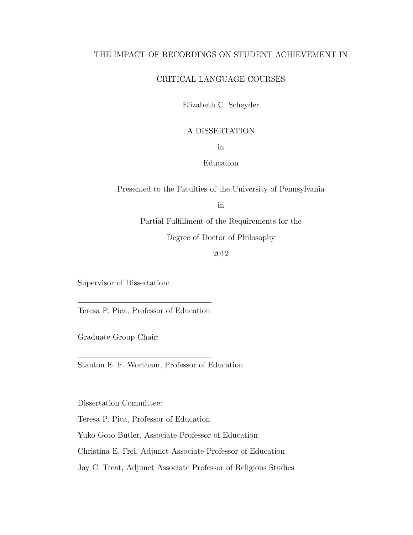#### THE IMPACT OF RECORDINGS ON STUDENT ACHIEVEMENT IN

#### CRITICAL LANGUAGE COURSES

Elizabeth C. Scheyder

#### A DISSERTATION

in

#### Education

Presented to the Faculties of the University of Pennsylvania

in

Partial Fulfillment of the Requirements for the

Degree of Doctor of Philosophy

2012

Supervisor of Dissertation:

Teresa P. Pica, Professor of Education

Graduate Group Chair:

Stanton E. F. Wortham, Professor of Education

Dissertation Committee:

Teresa P. Pica, Professor of Education

Yuko Goto Butler, Associate Professor of Education

Christina E. Frei, Adjunct Associate Professor of Education

Jay C. Treat, Adjunct Associate Professor of Religious Studies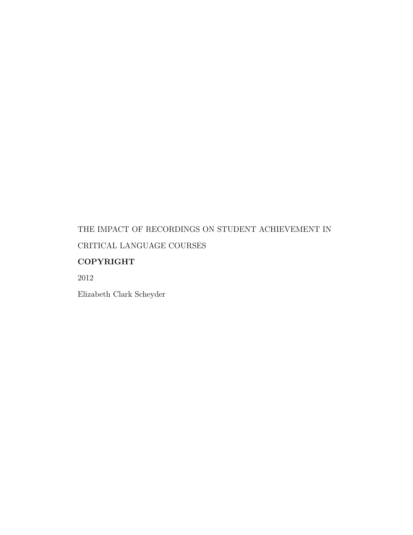### THE IMPACT OF RECORDINGS ON STUDENT ACHIEVEMENT IN CRITICAL LANGUAGE COURSES

### COPYRIGHT

2012

Elizabeth Clark Scheyder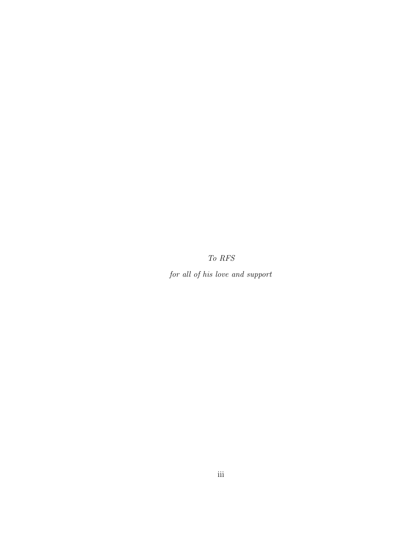To RFS

for all of his love and support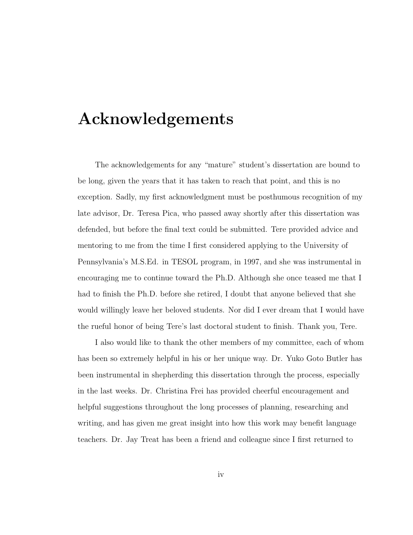### Acknowledgements

The acknowledgements for any "mature" student's dissertation are bound to be long, given the years that it has taken to reach that point, and this is no exception. Sadly, my first acknowledgment must be posthumous recognition of my late advisor, Dr. Teresa Pica, who passed away shortly after this dissertation was defended, but before the final text could be submitted. Tere provided advice and mentoring to me from the time I first considered applying to the University of Pennsylvania's M.S.Ed. in TESOL program, in 1997, and she was instrumental in encouraging me to continue toward the Ph.D. Although she once teased me that I had to finish the Ph.D. before she retired, I doubt that anyone believed that she would willingly leave her beloved students. Nor did I ever dream that I would have the rueful honor of being Tere's last doctoral student to finish. Thank you, Tere.

I also would like to thank the other members of my committee, each of whom has been so extremely helpful in his or her unique way. Dr. Yuko Goto Butler has been instrumental in shepherding this dissertation through the process, especially in the last weeks. Dr. Christina Frei has provided cheerful encouragement and helpful suggestions throughout the long processes of planning, researching and writing, and has given me great insight into how this work may benefit language teachers. Dr. Jay Treat has been a friend and colleague since I first returned to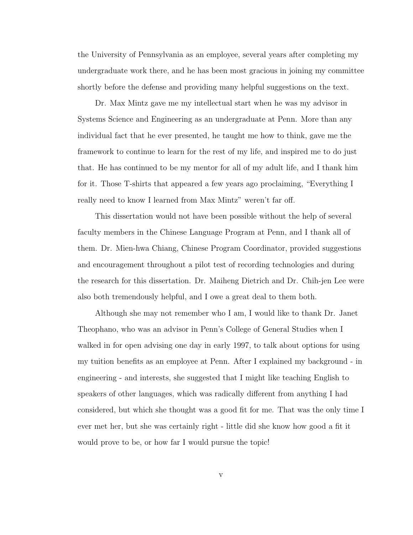the University of Pennsylvania as an employee, several years after completing my undergraduate work there, and he has been most gracious in joining my committee shortly before the defense and providing many helpful suggestions on the text.

Dr. Max Mintz gave me my intellectual start when he was my advisor in Systems Science and Engineering as an undergraduate at Penn. More than any individual fact that he ever presented, he taught me how to think, gave me the framework to continue to learn for the rest of my life, and inspired me to do just that. He has continued to be my mentor for all of my adult life, and I thank him for it. Those T-shirts that appeared a few years ago proclaiming, "Everything I really need to know I learned from Max Mintz" weren't far off.

This dissertation would not have been possible without the help of several faculty members in the Chinese Language Program at Penn, and I thank all of them. Dr. Mien-hwa Chiang, Chinese Program Coordinator, provided suggestions and encouragement throughout a pilot test of recording technologies and during the research for this dissertation. Dr. Maiheng Dietrich and Dr. Chih-jen Lee were also both tremendously helpful, and I owe a great deal to them both.

Although she may not remember who I am, I would like to thank Dr. Janet Theophano, who was an advisor in Penn's College of General Studies when I walked in for open advising one day in early 1997, to talk about options for using my tuition benefits as an employee at Penn. After I explained my background - in engineering - and interests, she suggested that I might like teaching English to speakers of other languages, which was radically different from anything I had considered, but which she thought was a good fit for me. That was the only time I ever met her, but she was certainly right - little did she know how good a fit it would prove to be, or how far I would pursue the topic!

v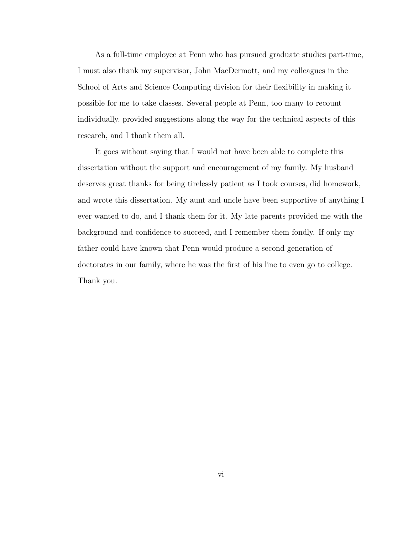As a full-time employee at Penn who has pursued graduate studies part-time, I must also thank my supervisor, John MacDermott, and my colleagues in the School of Arts and Science Computing division for their flexibility in making it possible for me to take classes. Several people at Penn, too many to recount individually, provided suggestions along the way for the technical aspects of this research, and I thank them all.

It goes without saying that I would not have been able to complete this dissertation without the support and encouragement of my family. My husband deserves great thanks for being tirelessly patient as I took courses, did homework, and wrote this dissertation. My aunt and uncle have been supportive of anything I ever wanted to do, and I thank them for it. My late parents provided me with the background and confidence to succeed, and I remember them fondly. If only my father could have known that Penn would produce a second generation of doctorates in our family, where he was the first of his line to even go to college. Thank you.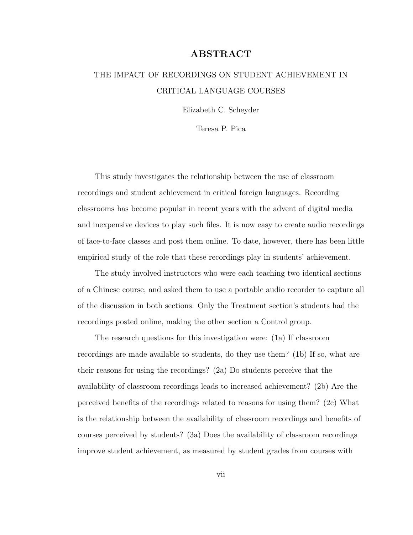#### ABSTRACT

### THE IMPACT OF RECORDINGS ON STUDENT ACHIEVEMENT IN CRITICAL LANGUAGE COURSES

Elizabeth C. Scheyder

Teresa P. Pica

This study investigates the relationship between the use of classroom recordings and student achievement in critical foreign languages. Recording classrooms has become popular in recent years with the advent of digital media and inexpensive devices to play such files. It is now easy to create audio recordings of face-to-face classes and post them online. To date, however, there has been little empirical study of the role that these recordings play in students' achievement.

The study involved instructors who were each teaching two identical sections of a Chinese course, and asked them to use a portable audio recorder to capture all of the discussion in both sections. Only the Treatment section's students had the recordings posted online, making the other section a Control group.

The research questions for this investigation were: (1a) If classroom recordings are made available to students, do they use them? (1b) If so, what are their reasons for using the recordings? (2a) Do students perceive that the availability of classroom recordings leads to increased achievement? (2b) Are the perceived benefits of the recordings related to reasons for using them? (2c) What is the relationship between the availability of classroom recordings and benefits of courses perceived by students? (3a) Does the availability of classroom recordings improve student achievement, as measured by student grades from courses with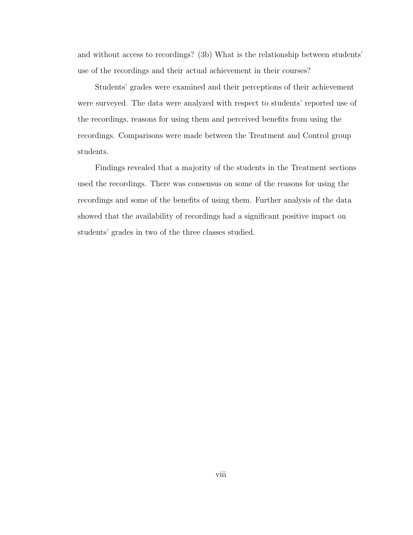and without access to recordings? (3b) What is the relationship between students' use of the recordings and their actual achievement in their courses?

Students' grades were examined and their perceptions of their achievement were surveyed. The data were analyzed with respect to students' reported use of the recordings, reasons for using them and perceived benefits from using the recordings. Comparisons were made between the Treatment and Control group students.

Findings revealed that a majority of the students in the Treatment sections used the recordings. There was consensus on some of the reasons for using the recordings and some of the benefits of using them. Further analysis of the data showed that the availability of recordings had a significant positive impact on students' grades in two of the three classes studied.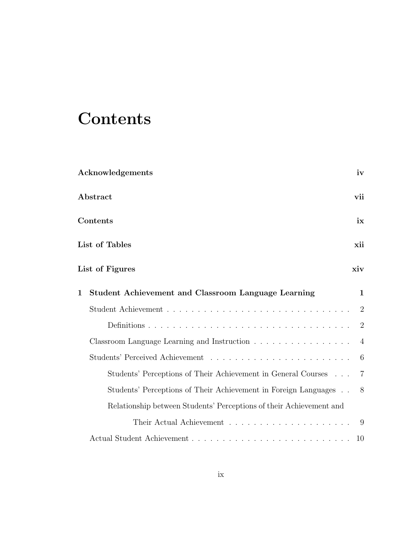### **Contents**

|   | Acknowledgements                                                    | iv             |
|---|---------------------------------------------------------------------|----------------|
|   | Abstract                                                            | vii            |
|   | Contents                                                            | ix             |
|   | List of Tables                                                      | xii            |
|   | List of Figures                                                     | xiv            |
| 1 | Student Achievement and Classroom Language Learning                 | $\mathbf{1}$   |
|   |                                                                     | $\overline{2}$ |
|   |                                                                     | 2              |
|   | Classroom Language Learning and Instruction                         | $\overline{4}$ |
|   |                                                                     | 6              |
|   | Students' Perceptions of Their Achievement in General Courses       | $\overline{7}$ |
|   | Students' Perceptions of Their Achievement in Foreign Languages     | -8             |
|   | Relationship between Students' Perceptions of their Achievement and |                |
|   |                                                                     | - 9            |
|   |                                                                     | 10             |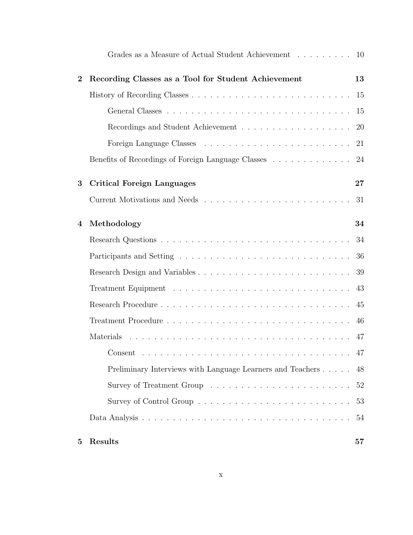|          | Grades as a Measure of Actual Student Achievement 10       |               |
|----------|------------------------------------------------------------|---------------|
| $\bf{2}$ | Recording Classes as a Tool for Student Achievement        | 13            |
|          |                                                            | <sup>15</sup> |
|          |                                                            | -15           |
|          |                                                            | -20           |
|          |                                                            | 21            |
|          | Benefits of Recordings of Foreign Language Classes 24      |               |
| 3        | <b>Critical Foreign Languages</b>                          | 27            |
|          |                                                            | 31            |
| 4        | Methodology                                                | 34            |
|          |                                                            | 34            |
|          |                                                            | 36            |
|          |                                                            | 39            |
|          |                                                            | 43            |
|          |                                                            | 45            |
|          |                                                            | 46            |
|          |                                                            | 47            |
|          |                                                            |               |
|          | Preliminary Interviews with Language Learners and Teachers | 48            |
|          |                                                            | 52            |
|          |                                                            | 53            |
|          |                                                            | 54            |
| 5        | Results                                                    | 57            |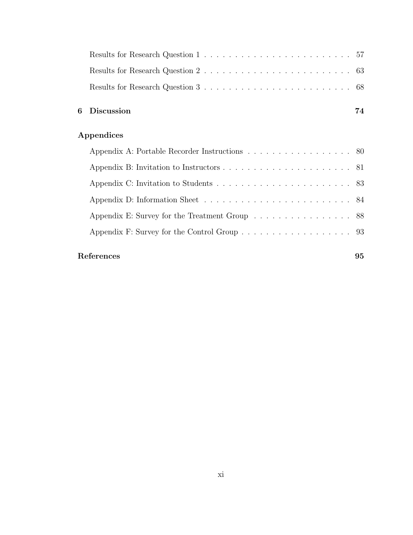| 6 Discussion | 74 |
|--------------|----|
|              |    |
|              |    |
|              |    |

### Appendices

| Appendix A: Portable Recorder Instructions 80 |  |
|-----------------------------------------------|--|
|                                               |  |
|                                               |  |
|                                               |  |
| Appendix E: Survey for the Treatment Group 88 |  |
| Appendix F: Survey for the Control Group 93   |  |
|                                               |  |

### References 95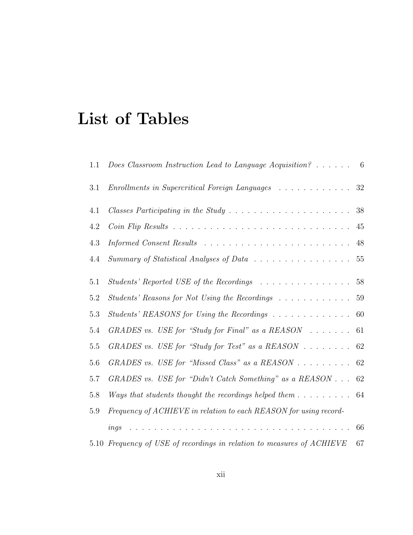### List of Tables

| 1.1     | Does Classroom Instruction Lead to Language Acquisition? $\ldots \ldots$ 6   |        |
|---------|------------------------------------------------------------------------------|--------|
| $3.1\,$ | Enrollments in Supercritical Foreign Languages                               | 32     |
| 4.1     |                                                                              | 38     |
| 4.2     |                                                                              | 45     |
| 4.3     |                                                                              | 48     |
| 4.4     | Summary of Statistical Analyses of Data                                      | $55\,$ |
| 5.1     | Students' Reported USE of the Recordings                                     | 58     |
| 5.2     | Students' Reasons for Not Using the Recordings                               | 59     |
| 5.3     | Students' REASONS for Using the Recordings                                   | 60     |
| 5.4     | GRADES vs. USE for "Study for Final" as a $REASON \dots \dots$               | 61     |
| $5.5\,$ | GRADES vs. USE for "Study for Test" as a REASON $\ldots \ldots$ 62           |        |
| 5.6     | GRADES vs. USE for "Missed Class" as a $REASON \dots \dots \dots$            | 62     |
| 5.7     | GRADES vs. USE for "Didn't Catch Something" as a REASON $\ldots$             | 62     |
| 5.8     | Ways that students thought the recordings helped them $\dots \dots \dots$ 64 |        |
| 5.9     | Frequency of ACHIEVE in relation to each REASON for using record-            |        |
|         | .<br>ings                                                                    | 66     |
|         | 5.10 Frequency of USE of recordings in relation to measures of ACHIEVE       | 67     |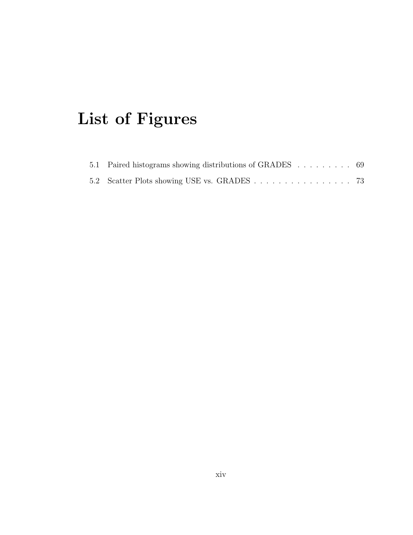## List of Figures

| 5.1 Paired histograms showing distributions of GRADES 69 |  |  |  |  |  |
|----------------------------------------------------------|--|--|--|--|--|
|                                                          |  |  |  |  |  |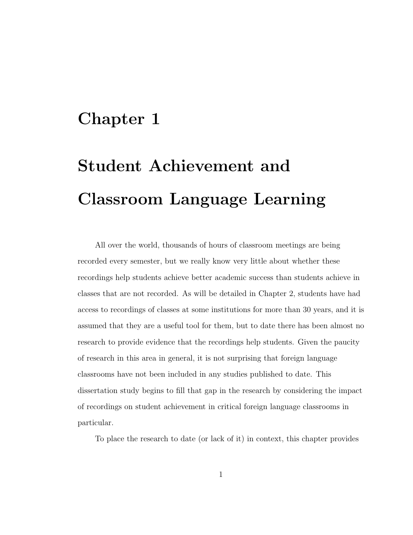### Chapter 1

## Student Achievement and Classroom Language Learning

All over the world, thousands of hours of classroom meetings are being recorded every semester, but we really know very little about whether these recordings help students achieve better academic success than students achieve in classes that are not recorded. As will be detailed in Chapter 2, students have had access to recordings of classes at some institutions for more than 30 years, and it is assumed that they are a useful tool for them, but to date there has been almost no research to provide evidence that the recordings help students. Given the paucity of research in this area in general, it is not surprising that foreign language classrooms have not been included in any studies published to date. This dissertation study begins to fill that gap in the research by considering the impact of recordings on student achievement in critical foreign language classrooms in particular.

To place the research to date (or lack of it) in context, this chapter provides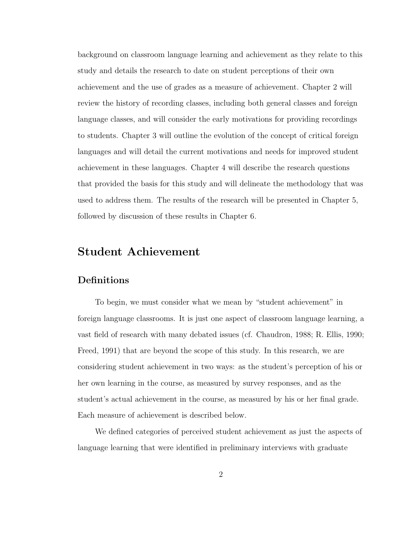background on classroom language learning and achievement as they relate to this study and details the research to date on student perceptions of their own achievement and the use of grades as a measure of achievement. Chapter 2 will review the history of recording classes, including both general classes and foreign language classes, and will consider the early motivations for providing recordings to students. Chapter 3 will outline the evolution of the concept of critical foreign languages and will detail the current motivations and needs for improved student achievement in these languages. Chapter 4 will describe the research questions that provided the basis for this study and will delineate the methodology that was used to address them. The results of the research will be presented in Chapter 5, followed by discussion of these results in Chapter 6.

### Student Achievement

### **Definitions**

To begin, we must consider what we mean by "student achievement" in foreign language classrooms. It is just one aspect of classroom language learning, a vast field of research with many debated issues (cf. Chaudron, 1988; R. Ellis, 1990; Freed, 1991) that are beyond the scope of this study. In this research, we are considering student achievement in two ways: as the student's perception of his or her own learning in the course, as measured by survey responses, and as the student's actual achievement in the course, as measured by his or her final grade. Each measure of achievement is described below.

We defined categories of perceived student achievement as just the aspects of language learning that were identified in preliminary interviews with graduate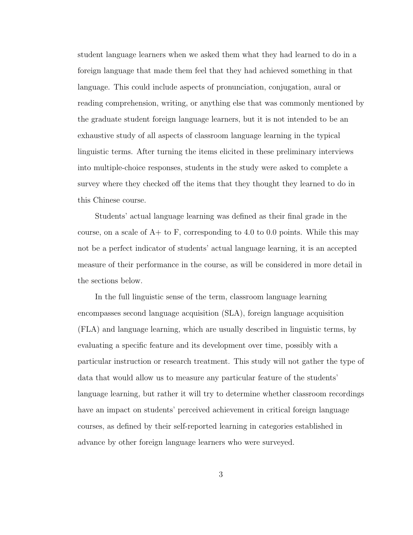student language learners when we asked them what they had learned to do in a foreign language that made them feel that they had achieved something in that language. This could include aspects of pronunciation, conjugation, aural or reading comprehension, writing, or anything else that was commonly mentioned by the graduate student foreign language learners, but it is not intended to be an exhaustive study of all aspects of classroom language learning in the typical linguistic terms. After turning the items elicited in these preliminary interviews into multiple-choice responses, students in the study were asked to complete a survey where they checked off the items that they thought they learned to do in this Chinese course.

Students' actual language learning was defined as their final grade in the course, on a scale of  $A+$  to  $F$ , corresponding to 4.0 to 0.0 points. While this may not be a perfect indicator of students' actual language learning, it is an accepted measure of their performance in the course, as will be considered in more detail in the sections below.

In the full linguistic sense of the term, classroom language learning encompasses second language acquisition (SLA), foreign language acquisition (FLA) and language learning, which are usually described in linguistic terms, by evaluating a specific feature and its development over time, possibly with a particular instruction or research treatment. This study will not gather the type of data that would allow us to measure any particular feature of the students' language learning, but rather it will try to determine whether classroom recordings have an impact on students' perceived achievement in critical foreign language courses, as defined by their self-reported learning in categories established in advance by other foreign language learners who were surveyed.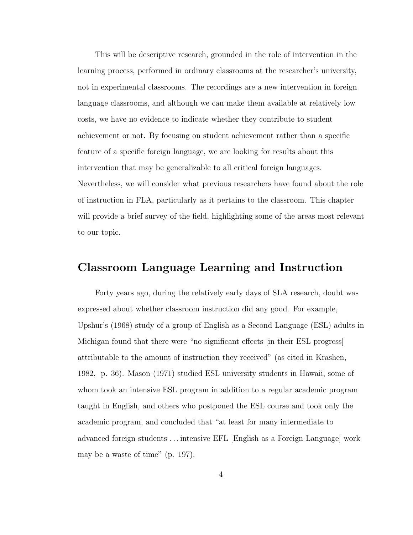This will be descriptive research, grounded in the role of intervention in the learning process, performed in ordinary classrooms at the researcher's university, not in experimental classrooms. The recordings are a new intervention in foreign language classrooms, and although we can make them available at relatively low costs, we have no evidence to indicate whether they contribute to student achievement or not. By focusing on student achievement rather than a specific feature of a specific foreign language, we are looking for results about this intervention that may be generalizable to all critical foreign languages. Nevertheless, we will consider what previous researchers have found about the role of instruction in FLA, particularly as it pertains to the classroom. This chapter will provide a brief survey of the field, highlighting some of the areas most relevant to our topic.

### Classroom Language Learning and Instruction

Forty years ago, during the relatively early days of SLA research, doubt was expressed about whether classroom instruction did any good. For example, Upshur's (1968) study of a group of English as a Second Language (ESL) adults in Michigan found that there were "no significant effects [in their ESL progress] attributable to the amount of instruction they received" (as cited in Krashen, 1982, p. 36). Mason (1971) studied ESL university students in Hawaii, some of whom took an intensive ESL program in addition to a regular academic program taught in English, and others who postponed the ESL course and took only the academic program, and concluded that "at least for many intermediate to advanced foreign students . . . intensive EFL [English as a Foreign Language] work may be a waste of time" (p. 197).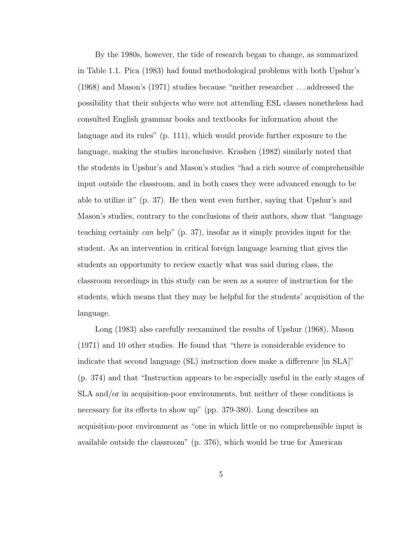By the 1980s, however, the tide of research began to change, as summarized in Table 1.1. Pica (1983) had found methodological problems with both Upshur's (1968) and Mason's (1971) studies because "neither researcher . . . addressed the possibility that their subjects who were not attending ESL classes nonetheless had consulted English grammar books and textbooks for information about the language and its rules" (p. 111), which would provide further exposure to the language, making the studies inconclusive. Krashen (1982) similarly noted that the students in Upshur's and Mason's studies "had a rich source of comprehensible input outside the classroom, and in both cases they were advanced enough to be able to utilize it" (p. 37). He then went even further, saying that Upshur's and Mason's studies, contrary to the conclusions of their authors, show that "language teaching certainly can help" (p. 37), insofar as it simply provides input for the student. As an intervention in critical foreign language learning that gives the students an opportunity to review exactly what was said during class, the classroom recordings in this study can be seen as a source of instruction for the students, which means that they may be helpful for the students' acquisition of the language.

Long (1983) also carefully reexamined the results of Upshur (1968), Mason (1971) and 10 other studies. He found that "there is considerable evidence to indicate that second language (SL) instruction does make a difference [in SLA]" (p. 374) and that "Instruction appears to be especially useful in the early stages of SLA and/or in acquisition-poor environments, but neither of these conditions is necessary for its effects to show up" (pp. 379-380). Long describes an acquisition-poor environment as "one in which little or no comprehensible input is available outside the classroom" (p. 376), which would be true for American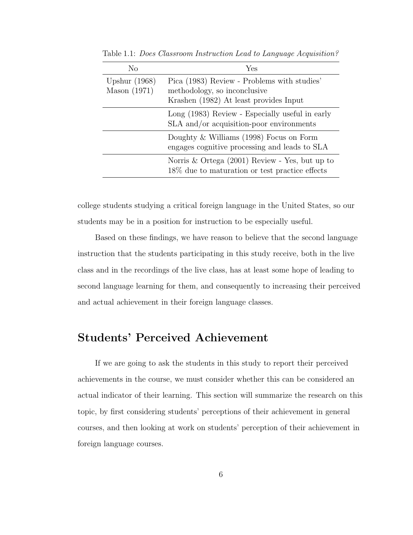| No                                | Yes                                                                                                                   |
|-----------------------------------|-----------------------------------------------------------------------------------------------------------------------|
| Upshur $(1968)$<br>Mason $(1971)$ | Pica (1983) Review - Problems with studies'<br>methodology, so inconclusive<br>Krashen (1982) At least provides Input |
|                                   | Long (1983) Review - Especially useful in early<br>SLA and/or acquisition-poor environments                           |
|                                   | Doughty $&$ Williams (1998) Focus on Form<br>engages cognitive processing and leads to SLA                            |
|                                   | Norris & Ortega (2001) Review - Yes, but up to<br>18\% due to maturation or test practice effects                     |

Table 1.1: Does Classroom Instruction Lead to Language Acquisition?

college students studying a critical foreign language in the United States, so our students may be in a position for instruction to be especially useful.

Based on these findings, we have reason to believe that the second language instruction that the students participating in this study receive, both in the live class and in the recordings of the live class, has at least some hope of leading to second language learning for them, and consequently to increasing their perceived and actual achievement in their foreign language classes.

### Students' Perceived Achievement

If we are going to ask the students in this study to report their perceived achievements in the course, we must consider whether this can be considered an actual indicator of their learning. This section will summarize the research on this topic, by first considering students' perceptions of their achievement in general courses, and then looking at work on students' perception of their achievement in foreign language courses.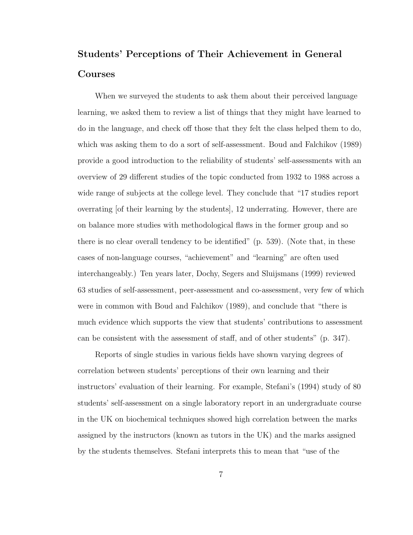### Students' Perceptions of Their Achievement in General Courses

When we surveyed the students to ask them about their perceived language learning, we asked them to review a list of things that they might have learned to do in the language, and check off those that they felt the class helped them to do, which was asking them to do a sort of self-assessment. Boud and Falchikov (1989) provide a good introduction to the reliability of students' self-assessments with an overview of 29 different studies of the topic conducted from 1932 to 1988 across a wide range of subjects at the college level. They conclude that "17 studies report overrating [of their learning by the students], 12 underrating. However, there are on balance more studies with methodological flaws in the former group and so there is no clear overall tendency to be identified" (p. 539). (Note that, in these cases of non-language courses, "achievement" and "learning" are often used interchangeably.) Ten years later, Dochy, Segers and Sluijsmans (1999) reviewed 63 studies of self-assessment, peer-assessment and co-assessment, very few of which were in common with Boud and Falchikov (1989), and conclude that "there is much evidence which supports the view that students' contributions to assessment can be consistent with the assessment of staff, and of other students" (p. 347).

Reports of single studies in various fields have shown varying degrees of correlation between students' perceptions of their own learning and their instructors' evaluation of their learning. For example, Stefani's (1994) study of 80 students' self-assessment on a single laboratory report in an undergraduate course in the UK on biochemical techniques showed high correlation between the marks assigned by the instructors (known as tutors in the UK) and the marks assigned by the students themselves. Stefani interprets this to mean that "use of the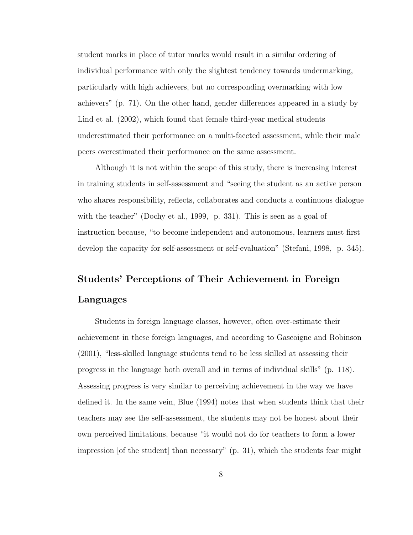student marks in place of tutor marks would result in a similar ordering of individual performance with only the slightest tendency towards undermarking, particularly with high achievers, but no corresponding overmarking with low achievers" (p. 71). On the other hand, gender differences appeared in a study by Lind et al. (2002), which found that female third-year medical students underestimated their performance on a multi-faceted assessment, while their male peers overestimated their performance on the same assessment.

Although it is not within the scope of this study, there is increasing interest in training students in self-assessment and "seeing the student as an active person who shares responsibility, reflects, collaborates and conducts a continuous dialogue with the teacher" (Dochy et al., 1999, p. 331). This is seen as a goal of instruction because, "to become independent and autonomous, learners must first develop the capacity for self-assessment or self-evaluation" (Stefani, 1998, p. 345).

### Students' Perceptions of Their Achievement in Foreign Languages

Students in foreign language classes, however, often over-estimate their achievement in these foreign languages, and according to Gascoigne and Robinson (2001), "less-skilled language students tend to be less skilled at assessing their progress in the language both overall and in terms of individual skills" (p. 118). Assessing progress is very similar to perceiving achievement in the way we have defined it. In the same vein, Blue (1994) notes that when students think that their teachers may see the self-assessment, the students may not be honest about their own perceived limitations, because "it would not do for teachers to form a lower impression [of the student] than necessary" (p. 31), which the students fear might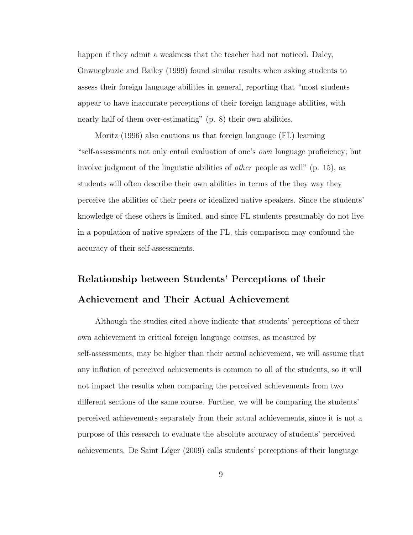happen if they admit a weakness that the teacher had not noticed. Daley, Onwuegbuzie and Bailey (1999) found similar results when asking students to assess their foreign language abilities in general, reporting that "most students appear to have inaccurate perceptions of their foreign language abilities, with nearly half of them over-estimating" (p. 8) their own abilities.

Moritz (1996) also cautions us that foreign language (FL) learning "self-assessments not only entail evaluation of one's own language proficiency; but involve judgment of the linguistic abilities of other people as well" (p. 15), as students will often describe their own abilities in terms of the they way they perceive the abilities of their peers or idealized native speakers. Since the students' knowledge of these others is limited, and since FL students presumably do not live in a population of native speakers of the FL, this comparison may confound the accuracy of their self-assessments.

### Relationship between Students' Perceptions of their Achievement and Their Actual Achievement

Although the studies cited above indicate that students' perceptions of their own achievement in critical foreign language courses, as measured by self-assessments, may be higher than their actual achievement, we will assume that any inflation of perceived achievements is common to all of the students, so it will not impact the results when comparing the perceived achievements from two different sections of the same course. Further, we will be comparing the students' perceived achievements separately from their actual achievements, since it is not a purpose of this research to evaluate the absolute accuracy of students' perceived achievements. De Saint Léger (2009) calls students' perceptions of their language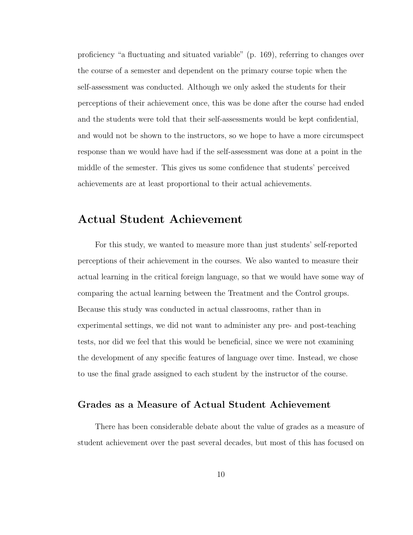proficiency "a fluctuating and situated variable" (p. 169), referring to changes over the course of a semester and dependent on the primary course topic when the self-assessment was conducted. Although we only asked the students for their perceptions of their achievement once, this was be done after the course had ended and the students were told that their self-assessments would be kept confidential, and would not be shown to the instructors, so we hope to have a more circumspect response than we would have had if the self-assessment was done at a point in the middle of the semester. This gives us some confidence that students' perceived achievements are at least proportional to their actual achievements.

### Actual Student Achievement

For this study, we wanted to measure more than just students' self-reported perceptions of their achievement in the courses. We also wanted to measure their actual learning in the critical foreign language, so that we would have some way of comparing the actual learning between the Treatment and the Control groups. Because this study was conducted in actual classrooms, rather than in experimental settings, we did not want to administer any pre- and post-teaching tests, nor did we feel that this would be beneficial, since we were not examining the development of any specific features of language over time. Instead, we chose to use the final grade assigned to each student by the instructor of the course.

#### Grades as a Measure of Actual Student Achievement

There has been considerable debate about the value of grades as a measure of student achievement over the past several decades, but most of this has focused on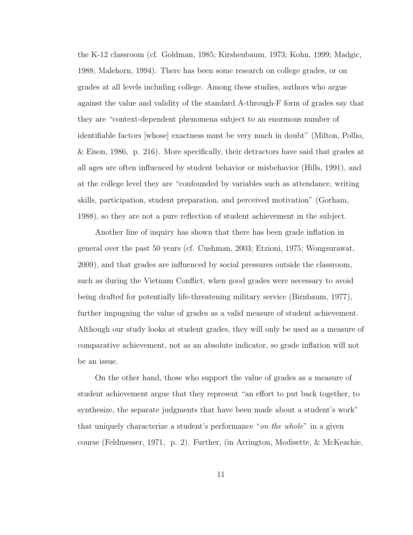the K-12 classroom (cf. Goldman, 1985; Kirshenbaum, 1973; Kohn, 1999; Madgic, 1988; Malehorn, 1994). There has been some research on college grades, or on grades at all levels including college. Among these studies, authors who argue against the value and validity of the standard A-through-F form of grades say that they are "context-dependent phenomena subject to an enormous number of identifiable factors [whose] exactness must be very much in doubt" (Milton, Pollio, & Eison, 1986, p. 216). More specifically, their detractors have said that grades at all ages are often influenced by student behavior or misbehavior (Hills, 1991), and at the college level they are "confounded by variables such as attendance, writing skills, participation, student preparation, and perceived motivation" (Gorham, 1988), so they are not a pure reflection of student achievement in the subject.

Another line of inquiry has shown that there has been grade inflation in general over the past 50 years (cf. Cushman, 2003; Etzioni, 1975; Wongsurawat, 2009), and that grades are influenced by social pressures outside the classroom, such as during the Vietnam Conflict, when good grades were necessary to avoid being drafted for potentially life-threatening military service (Birnbaum, 1977), further impugning the value of grades as a valid measure of student achievement. Although our study looks at student grades, they will only be used as a measure of comparative achievement, not as an absolute indicator, so grade inflation will not be an issue.

On the other hand, those who support the value of grades as a measure of student achievement argue that they represent "an effort to put back together, to synthesize, the separate judgments that have been made about a student's work" that uniquely characterize a student's performance "on the whole" in a given course (Feldmesser, 1971, p. 2). Further, (in Arrington, Modisette, & McKeachie,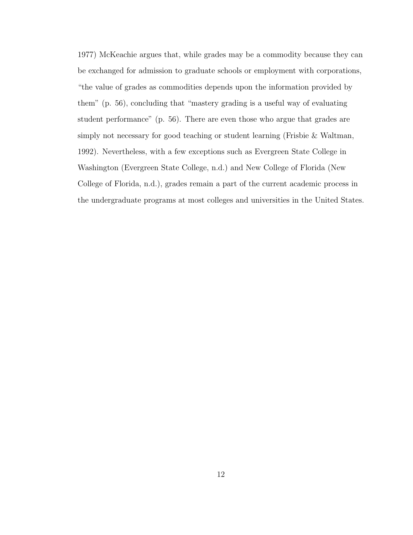1977) McKeachie argues that, while grades may be a commodity because they can be exchanged for admission to graduate schools or employment with corporations, "the value of grades as commodities depends upon the information provided by them" (p. 56), concluding that "mastery grading is a useful way of evaluating student performance" (p. 56). There are even those who argue that grades are simply not necessary for good teaching or student learning (Frisbie & Waltman, 1992). Nevertheless, with a few exceptions such as Evergreen State College in Washington (Evergreen State College, n.d.) and New College of Florida (New College of Florida, n.d.), grades remain a part of the current academic process in the undergraduate programs at most colleges and universities in the United States.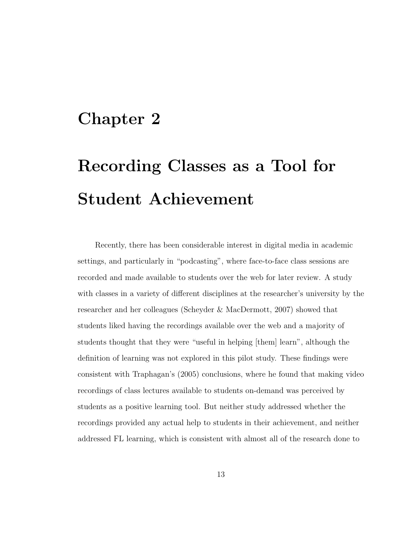### Chapter 2

# Recording Classes as a Tool for Student Achievement

Recently, there has been considerable interest in digital media in academic settings, and particularly in "podcasting", where face-to-face class sessions are recorded and made available to students over the web for later review. A study with classes in a variety of different disciplines at the researcher's university by the researcher and her colleagues (Scheyder & MacDermott, 2007) showed that students liked having the recordings available over the web and a majority of students thought that they were "useful in helping [them] learn", although the definition of learning was not explored in this pilot study. These findings were consistent with Traphagan's (2005) conclusions, where he found that making video recordings of class lectures available to students on-demand was perceived by students as a positive learning tool. But neither study addressed whether the recordings provided any actual help to students in their achievement, and neither addressed FL learning, which is consistent with almost all of the research done to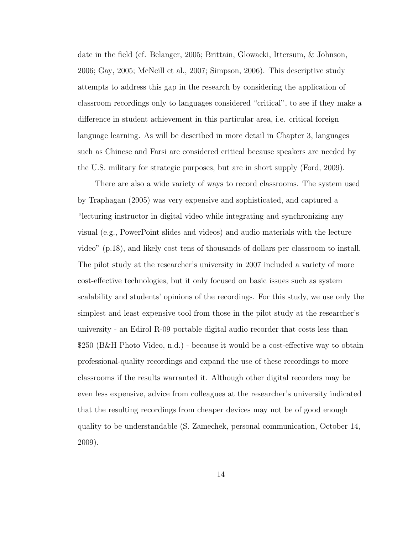date in the field (cf. Belanger, 2005; Brittain, Glowacki, Ittersum, & Johnson, 2006; Gay, 2005; McNeill et al., 2007; Simpson, 2006). This descriptive study attempts to address this gap in the research by considering the application of classroom recordings only to languages considered "critical", to see if they make a difference in student achievement in this particular area, i.e. critical foreign language learning. As will be described in more detail in Chapter 3, languages such as Chinese and Farsi are considered critical because speakers are needed by the U.S. military for strategic purposes, but are in short supply (Ford, 2009).

There are also a wide variety of ways to record classrooms. The system used by Traphagan (2005) was very expensive and sophisticated, and captured a "lecturing instructor in digital video while integrating and synchronizing any visual (e.g., PowerPoint slides and videos) and audio materials with the lecture video" (p.18), and likely cost tens of thousands of dollars per classroom to install. The pilot study at the researcher's university in 2007 included a variety of more cost-effective technologies, but it only focused on basic issues such as system scalability and students' opinions of the recordings. For this study, we use only the simplest and least expensive tool from those in the pilot study at the researcher's university - an Edirol R-09 portable digital audio recorder that costs less than \$250 (B&H Photo Video, n.d.) - because it would be a cost-effective way to obtain professional-quality recordings and expand the use of these recordings to more classrooms if the results warranted it. Although other digital recorders may be even less expensive, advice from colleagues at the researcher's university indicated that the resulting recordings from cheaper devices may not be of good enough quality to be understandable (S. Zamechek, personal communication, October 14, 2009).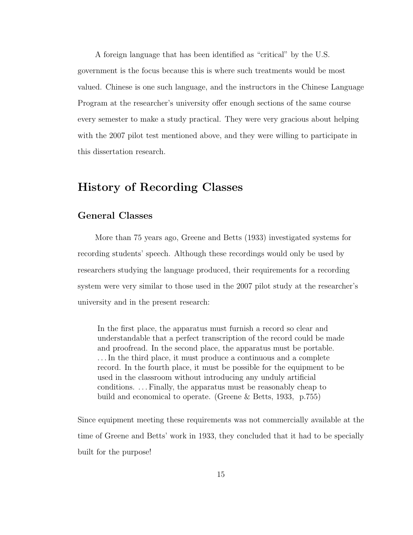A foreign language that has been identified as "critical" by the U.S. government is the focus because this is where such treatments would be most valued. Chinese is one such language, and the instructors in the Chinese Language Program at the researcher's university offer enough sections of the same course every semester to make a study practical. They were very gracious about helping with the 2007 pilot test mentioned above, and they were willing to participate in this dissertation research.

### History of Recording Classes

### General Classes

More than 75 years ago, Greene and Betts (1933) investigated systems for recording students' speech. Although these recordings would only be used by researchers studying the language produced, their requirements for a recording system were very similar to those used in the 2007 pilot study at the researcher's university and in the present research:

In the first place, the apparatus must furnish a record so clear and understandable that a perfect transcription of the record could be made and proofread. In the second place, the apparatus must be portable. . . . In the third place, it must produce a continuous and a complete record. In the fourth place, it must be possible for the equipment to be used in the classroom without introducing any unduly artificial conditions. . . . Finally, the apparatus must be reasonably cheap to build and economical to operate. (Greene & Betts, 1933, p.755)

Since equipment meeting these requirements was not commercially available at the time of Greene and Betts' work in 1933, they concluded that it had to be specially built for the purpose!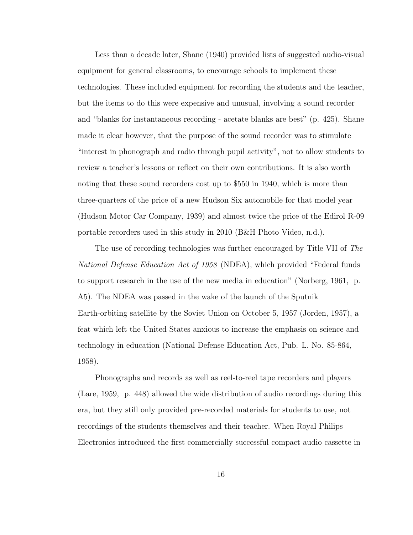Less than a decade later, Shane (1940) provided lists of suggested audio-visual equipment for general classrooms, to encourage schools to implement these technologies. These included equipment for recording the students and the teacher, but the items to do this were expensive and unusual, involving a sound recorder and "blanks for instantaneous recording - acetate blanks are best" (p. 425). Shane made it clear however, that the purpose of the sound recorder was to stimulate "interest in phonograph and radio through pupil activity", not to allow students to review a teacher's lessons or reflect on their own contributions. It is also worth noting that these sound recorders cost up to \$550 in 1940, which is more than three-quarters of the price of a new Hudson Six automobile for that model year (Hudson Motor Car Company, 1939) and almost twice the price of the Edirol R-09 portable recorders used in this study in 2010 (B&H Photo Video, n.d.).

The use of recording technologies was further encouraged by Title VII of The National Defense Education Act of 1958 (NDEA), which provided "Federal funds to support research in the use of the new media in education" (Norberg, 1961, p. A5). The NDEA was passed in the wake of the launch of the Sputnik Earth-orbiting satellite by the Soviet Union on October 5, 1957 (Jorden, 1957), a feat which left the United States anxious to increase the emphasis on science and technology in education (National Defense Education Act, Pub. L. No. 85-864, 1958).

Phonographs and records as well as reel-to-reel tape recorders and players (Lare, 1959, p. 448) allowed the wide distribution of audio recordings during this era, but they still only provided pre-recorded materials for students to use, not recordings of the students themselves and their teacher. When Royal Philips Electronics introduced the first commercially successful compact audio cassette in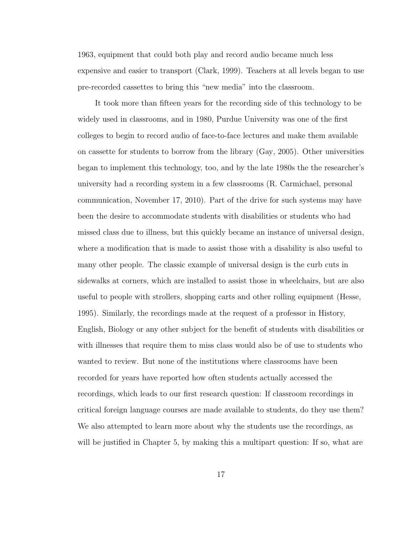1963, equipment that could both play and record audio became much less expensive and easier to transport (Clark, 1999). Teachers at all levels began to use pre-recorded cassettes to bring this "new media" into the classroom.

It took more than fifteen years for the recording side of this technology to be widely used in classrooms, and in 1980, Purdue University was one of the first colleges to begin to record audio of face-to-face lectures and make them available on cassette for students to borrow from the library (Gay, 2005). Other universities began to implement this technology, too, and by the late 1980s the the researcher's university had a recording system in a few classrooms (R. Carmichael, personal communication, November 17, 2010). Part of the drive for such systems may have been the desire to accommodate students with disabilities or students who had missed class due to illness, but this quickly became an instance of universal design, where a modification that is made to assist those with a disability is also useful to many other people. The classic example of universal design is the curb cuts in sidewalks at corners, which are installed to assist those in wheelchairs, but are also useful to people with strollers, shopping carts and other rolling equipment (Hesse, 1995). Similarly, the recordings made at the request of a professor in History, English, Biology or any other subject for the benefit of students with disabilities or with illnesses that require them to miss class would also be of use to students who wanted to review. But none of the institutions where classrooms have been recorded for years have reported how often students actually accessed the recordings, which leads to our first research question: If classroom recordings in critical foreign language courses are made available to students, do they use them? We also attempted to learn more about why the students use the recordings, as will be justified in Chapter 5, by making this a multipart question: If so, what are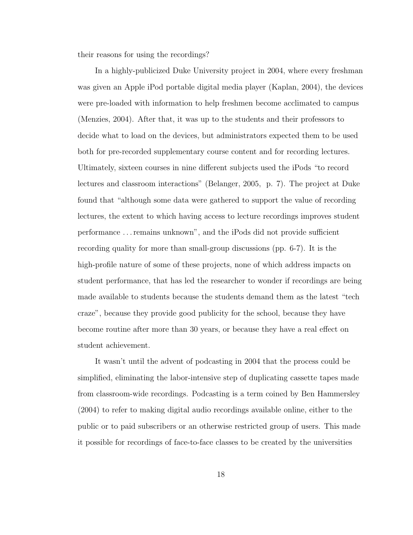their reasons for using the recordings?

In a highly-publicized Duke University project in 2004, where every freshman was given an Apple iPod portable digital media player (Kaplan, 2004), the devices were pre-loaded with information to help freshmen become acclimated to campus (Menzies, 2004). After that, it was up to the students and their professors to decide what to load on the devices, but administrators expected them to be used both for pre-recorded supplementary course content and for recording lectures. Ultimately, sixteen courses in nine different subjects used the iPods "to record lectures and classroom interactions" (Belanger, 2005, p. 7). The project at Duke found that "although some data were gathered to support the value of recording lectures, the extent to which having access to lecture recordings improves student performance . . . remains unknown", and the iPods did not provide sufficient recording quality for more than small-group discussions (pp. 6-7). It is the high-profile nature of some of these projects, none of which address impacts on student performance, that has led the researcher to wonder if recordings are being made available to students because the students demand them as the latest "tech craze", because they provide good publicity for the school, because they have become routine after more than 30 years, or because they have a real effect on student achievement.

It wasn't until the advent of podcasting in 2004 that the process could be simplified, eliminating the labor-intensive step of duplicating cassette tapes made from classroom-wide recordings. Podcasting is a term coined by Ben Hammersley (2004) to refer to making digital audio recordings available online, either to the public or to paid subscribers or an otherwise restricted group of users. This made it possible for recordings of face-to-face classes to be created by the universities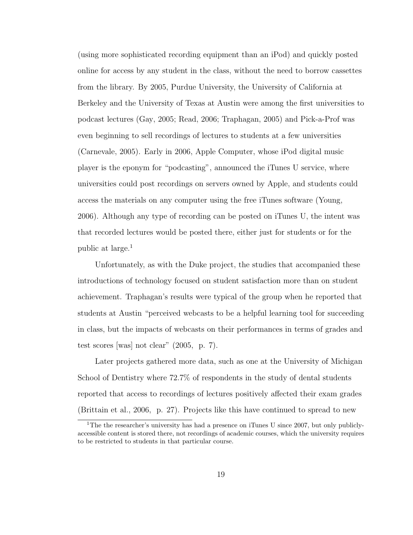(using more sophisticated recording equipment than an iPod) and quickly posted online for access by any student in the class, without the need to borrow cassettes from the library. By 2005, Purdue University, the University of California at Berkeley and the University of Texas at Austin were among the first universities to podcast lectures (Gay, 2005; Read, 2006; Traphagan, 2005) and Pick-a-Prof was even beginning to sell recordings of lectures to students at a few universities (Carnevale, 2005). Early in 2006, Apple Computer, whose iPod digital music player is the eponym for "podcasting", announced the iTunes U service, where universities could post recordings on servers owned by Apple, and students could access the materials on any computer using the free iTunes software (Young, 2006). Although any type of recording can be posted on iTunes U, the intent was that recorded lectures would be posted there, either just for students or for the public at large.<sup>1</sup>

Unfortunately, as with the Duke project, the studies that accompanied these introductions of technology focused on student satisfaction more than on student achievement. Traphagan's results were typical of the group when he reported that students at Austin "perceived webcasts to be a helpful learning tool for succeeding in class, but the impacts of webcasts on their performances in terms of grades and test scores [was] not clear" (2005, p. 7).

Later projects gathered more data, such as one at the University of Michigan School of Dentistry where 72.7% of respondents in the study of dental students reported that access to recordings of lectures positively affected their exam grades (Brittain et al., 2006, p. 27). Projects like this have continued to spread to new

<sup>&</sup>lt;sup>1</sup>The the researcher's university has had a presence on iTunes U since 2007, but only publiclyaccessible content is stored there, not recordings of academic courses, which the university requires to be restricted to students in that particular course.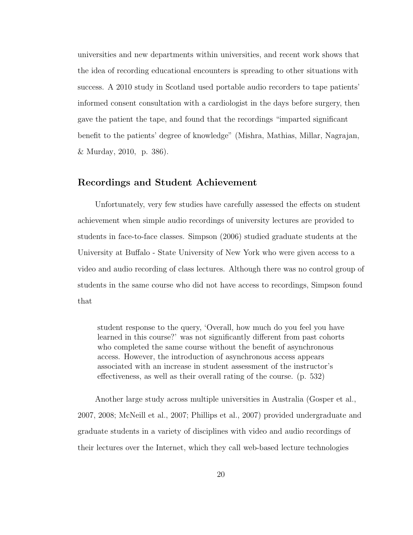universities and new departments within universities, and recent work shows that the idea of recording educational encounters is spreading to other situations with success. A 2010 study in Scotland used portable audio recorders to tape patients' informed consent consultation with a cardiologist in the days before surgery, then gave the patient the tape, and found that the recordings "imparted significant benefit to the patients' degree of knowledge" (Mishra, Mathias, Millar, Nagrajan, & Murday, 2010, p. 386).

### Recordings and Student Achievement

Unfortunately, very few studies have carefully assessed the effects on student achievement when simple audio recordings of university lectures are provided to students in face-to-face classes. Simpson (2006) studied graduate students at the University at Buffalo - State University of New York who were given access to a video and audio recording of class lectures. Although there was no control group of students in the same course who did not have access to recordings, Simpson found that

student response to the query, 'Overall, how much do you feel you have learned in this course?' was not significantly different from past cohorts who completed the same course without the benefit of asynchronous access. However, the introduction of asynchronous access appears associated with an increase in student assessment of the instructor's effectiveness, as well as their overall rating of the course. (p. 532)

Another large study across multiple universities in Australia (Gosper et al., 2007, 2008; McNeill et al., 2007; Phillips et al., 2007) provided undergraduate and graduate students in a variety of disciplines with video and audio recordings of their lectures over the Internet, which they call web-based lecture technologies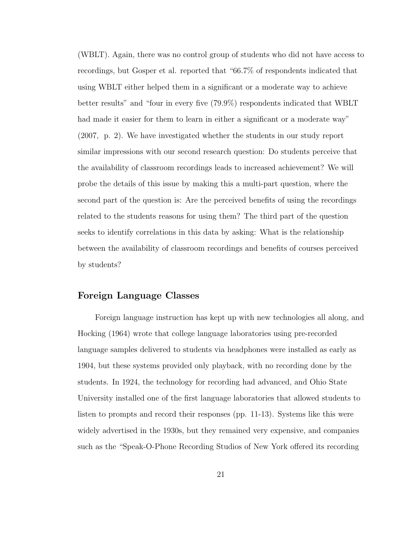(WBLT). Again, there was no control group of students who did not have access to recordings, but Gosper et al. reported that "66.7% of respondents indicated that using WBLT either helped them in a significant or a moderate way to achieve better results" and "four in every five (79.9%) respondents indicated that WBLT had made it easier for them to learn in either a significant or a moderate way" (2007, p. 2). We have investigated whether the students in our study report similar impressions with our second research question: Do students perceive that the availability of classroom recordings leads to increased achievement? We will probe the details of this issue by making this a multi-part question, where the second part of the question is: Are the perceived benefits of using the recordings related to the students reasons for using them? The third part of the question seeks to identify correlations in this data by asking: What is the relationship between the availability of classroom recordings and benefits of courses perceived by students?

#### Foreign Language Classes

Foreign language instruction has kept up with new technologies all along, and Hocking (1964) wrote that college language laboratories using pre-recorded language samples delivered to students via headphones were installed as early as 1904, but these systems provided only playback, with no recording done by the students. In 1924, the technology for recording had advanced, and Ohio State University installed one of the first language laboratories that allowed students to listen to prompts and record their responses (pp. 11-13). Systems like this were widely advertised in the 1930s, but they remained very expensive, and companies such as the "Speak-O-Phone Recording Studios of New York offered its recording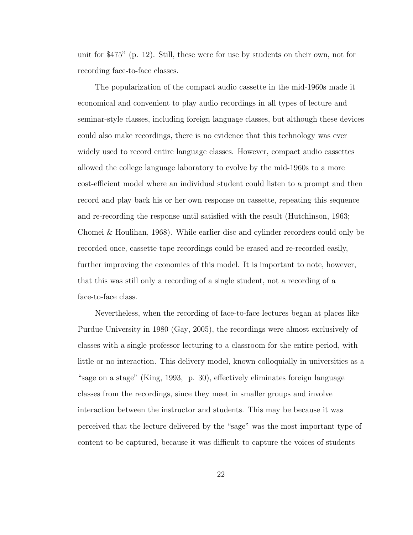unit for \$475" (p. 12). Still, these were for use by students on their own, not for recording face-to-face classes.

The popularization of the compact audio cassette in the mid-1960s made it economical and convenient to play audio recordings in all types of lecture and seminar-style classes, including foreign language classes, but although these devices could also make recordings, there is no evidence that this technology was ever widely used to record entire language classes. However, compact audio cassettes allowed the college language laboratory to evolve by the mid-1960s to a more cost-efficient model where an individual student could listen to a prompt and then record and play back his or her own response on cassette, repeating this sequence and re-recording the response until satisfied with the result (Hutchinson, 1963; Chomei & Houlihan, 1968). While earlier disc and cylinder recorders could only be recorded once, cassette tape recordings could be erased and re-recorded easily, further improving the economics of this model. It is important to note, however, that this was still only a recording of a single student, not a recording of a face-to-face class.

Nevertheless, when the recording of face-to-face lectures began at places like Purdue University in 1980 (Gay, 2005), the recordings were almost exclusively of classes with a single professor lecturing to a classroom for the entire period, with little or no interaction. This delivery model, known colloquially in universities as a "sage on a stage" (King, 1993, p. 30), effectively eliminates foreign language classes from the recordings, since they meet in smaller groups and involve interaction between the instructor and students. This may be because it was perceived that the lecture delivered by the "sage" was the most important type of content to be captured, because it was difficult to capture the voices of students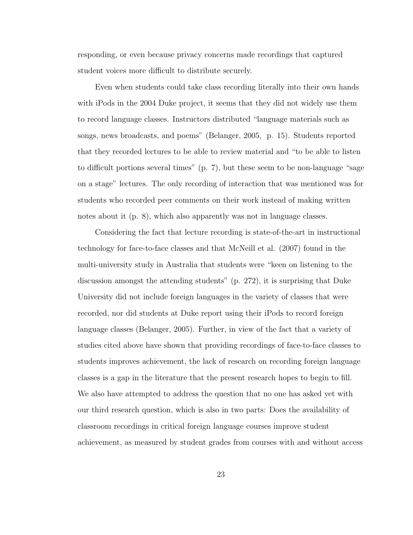responding, or even because privacy concerns made recordings that captured student voices more difficult to distribute securely.

Even when students could take class recording literally into their own hands with iPods in the 2004 Duke project, it seems that they did not widely use them to record language classes. Instructors distributed "language materials such as songs, news broadcasts, and poems" (Belanger, 2005, p. 15). Students reported that they recorded lectures to be able to review material and "to be able to listen to difficult portions several times" (p. 7), but these seem to be non-language "sage on a stage" lectures. The only recording of interaction that was mentioned was for students who recorded peer comments on their work instead of making written notes about it (p. 8), which also apparently was not in language classes.

Considering the fact that lecture recording is state-of-the-art in instructional technology for face-to-face classes and that McNeill et al. (2007) found in the multi-university study in Australia that students were "keen on listening to the discussion amongst the attending students" (p. 272), it is surprising that Duke University did not include foreign languages in the variety of classes that were recorded, nor did students at Duke report using their iPods to record foreign language classes (Belanger, 2005). Further, in view of the fact that a variety of studies cited above have shown that providing recordings of face-to-face classes to students improves achievement, the lack of research on recording foreign language classes is a gap in the literature that the present research hopes to begin to fill. We also have attempted to address the question that no one has asked yet with our third research question, which is also in two parts: Does the availability of classroom recordings in critical foreign language courses improve student achievement, as measured by student grades from courses with and without access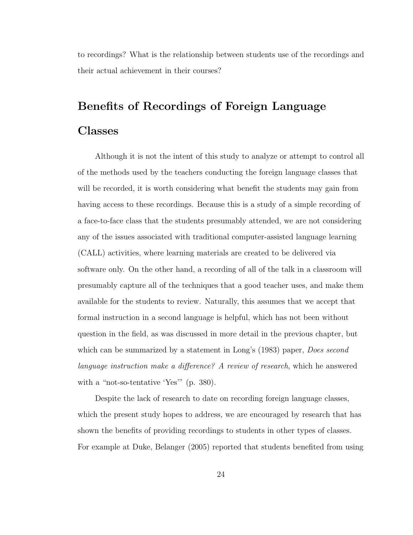to recordings? What is the relationship between students use of the recordings and their actual achievement in their courses?

# Benefits of Recordings of Foreign Language Classes

Although it is not the intent of this study to analyze or attempt to control all of the methods used by the teachers conducting the foreign language classes that will be recorded, it is worth considering what benefit the students may gain from having access to these recordings. Because this is a study of a simple recording of a face-to-face class that the students presumably attended, we are not considering any of the issues associated with traditional computer-assisted language learning (CALL) activities, where learning materials are created to be delivered via software only. On the other hand, a recording of all of the talk in a classroom will presumably capture all of the techniques that a good teacher uses, and make them available for the students to review. Naturally, this assumes that we accept that formal instruction in a second language is helpful, which has not been without question in the field, as was discussed in more detail in the previous chapter, but which can be summarized by a statement in Long's (1983) paper, *Does second* language instruction make a difference? A review of research, which he answered with a "not-so-tentative 'Yes'" (p. 380).

Despite the lack of research to date on recording foreign language classes, which the present study hopes to address, we are encouraged by research that has shown the benefits of providing recordings to students in other types of classes. For example at Duke, Belanger (2005) reported that students benefited from using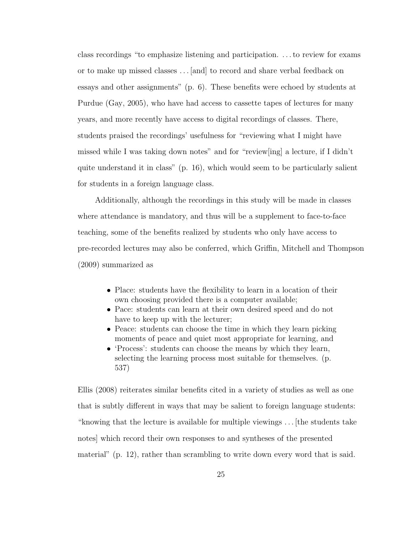class recordings "to emphasize listening and participation. . . . to review for exams or to make up missed classes . . . [and] to record and share verbal feedback on essays and other assignments" (p. 6). These benefits were echoed by students at Purdue (Gay, 2005), who have had access to cassette tapes of lectures for many years, and more recently have access to digital recordings of classes. There, students praised the recordings' usefulness for "reviewing what I might have missed while I was taking down notes" and for "review[ing] a lecture, if I didn't quite understand it in class" (p. 16), which would seem to be particularly salient for students in a foreign language class.

Additionally, although the recordings in this study will be made in classes where attendance is mandatory, and thus will be a supplement to face-to-face teaching, some of the benefits realized by students who only have access to pre-recorded lectures may also be conferred, which Griffin, Mitchell and Thompson (2009) summarized as

- Place: students have the flexibility to learn in a location of their own choosing provided there is a computer available;
- Pace: students can learn at their own desired speed and do not have to keep up with the lecturer;
- Peace: students can choose the time in which they learn picking moments of peace and quiet most appropriate for learning, and
- 'Process': students can choose the means by which they learn, selecting the learning process most suitable for themselves. (p. 537)

Ellis (2008) reiterates similar benefits cited in a variety of studies as well as one that is subtly different in ways that may be salient to foreign language students: "knowing that the lecture is available for multiple viewings . . . [the students take notes] which record their own responses to and syntheses of the presented material" (p. 12), rather than scrambling to write down every word that is said.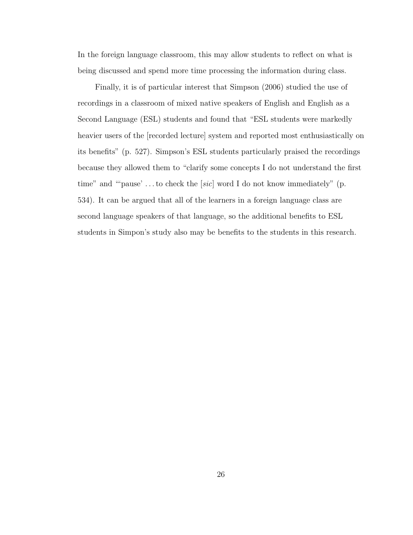In the foreign language classroom, this may allow students to reflect on what is being discussed and spend more time processing the information during class.

Finally, it is of particular interest that Simpson (2006) studied the use of recordings in a classroom of mixed native speakers of English and English as a Second Language (ESL) students and found that "ESL students were markedly heavier users of the [recorded lecture] system and reported most enthusiastically on its benefits" (p. 527). Simpson's ESL students particularly praised the recordings because they allowed them to "clarify some concepts I do not understand the first time" and ""pause'...to check the [sic] word I do not know immediately" (p. 534). It can be argued that all of the learners in a foreign language class are second language speakers of that language, so the additional benefits to ESL students in Simpon's study also may be benefits to the students in this research.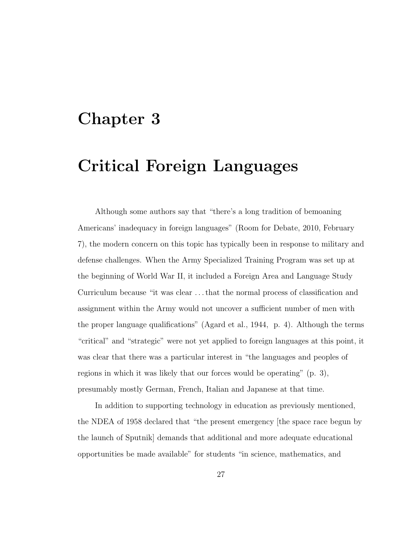# Chapter 3

# Critical Foreign Languages

Although some authors say that "there's a long tradition of bemoaning Americans' inadequacy in foreign languages" (Room for Debate, 2010, February 7), the modern concern on this topic has typically been in response to military and defense challenges. When the Army Specialized Training Program was set up at the beginning of World War II, it included a Foreign Area and Language Study Curriculum because "it was clear . . . that the normal process of classification and assignment within the Army would not uncover a sufficient number of men with the proper language qualifications" (Agard et al., 1944, p. 4). Although the terms "critical" and "strategic" were not yet applied to foreign languages at this point, it was clear that there was a particular interest in "the languages and peoples of regions in which it was likely that our forces would be operating" (p. 3), presumably mostly German, French, Italian and Japanese at that time.

In addition to supporting technology in education as previously mentioned, the NDEA of 1958 declared that "the present emergency [the space race begun by the launch of Sputnik] demands that additional and more adequate educational opportunities be made available" for students "in science, mathematics, and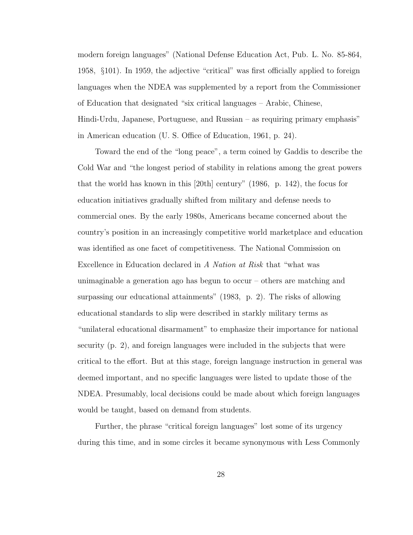modern foreign languages" (National Defense Education Act, Pub. L. No. 85-864, 1958, §101). In 1959, the adjective "critical" was first officially applied to foreign languages when the NDEA was supplemented by a report from the Commissioner of Education that designated "six critical languages – Arabic, Chinese, Hindi-Urdu, Japanese, Portuguese, and Russian – as requiring primary emphasis" in American education (U. S. Office of Education, 1961, p. 24).

Toward the end of the "long peace", a term coined by Gaddis to describe the Cold War and "the longest period of stability in relations among the great powers that the world has known in this [20th] century" (1986, p. 142), the focus for education initiatives gradually shifted from military and defense needs to commercial ones. By the early 1980s, Americans became concerned about the country's position in an increasingly competitive world marketplace and education was identified as one facet of competitiveness. The National Commission on Excellence in Education declared in A Nation at Risk that "what was unimaginable a generation ago has begun to occur – others are matching and surpassing our educational attainments" (1983, p. 2). The risks of allowing educational standards to slip were described in starkly military terms as "unilateral educational disarmament" to emphasize their importance for national security (p. 2), and foreign languages were included in the subjects that were critical to the effort. But at this stage, foreign language instruction in general was deemed important, and no specific languages were listed to update those of the NDEA. Presumably, local decisions could be made about which foreign languages would be taught, based on demand from students.

Further, the phrase "critical foreign languages" lost some of its urgency during this time, and in some circles it became synonymous with Less Commonly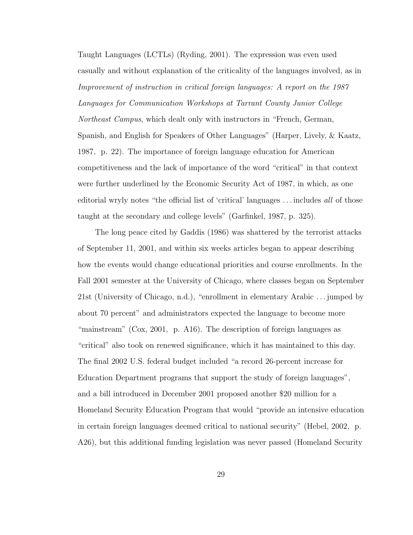Taught Languages (LCTLs) (Ryding, 2001). The expression was even used casually and without explanation of the criticality of the languages involved, as in Improvement of instruction in critical foreign languages: A report on the 1987 Languages for Communication Workshops at Tarrant County Junior College Northeast Campus, which dealt only with instructors in "French, German, Spanish, and English for Speakers of Other Languages" (Harper, Lively, & Kaatz, 1987, p. 22). The importance of foreign language education for American competitiveness and the lack of importance of the word "critical" in that context were further underlined by the Economic Security Act of 1987, in which, as one editorial wryly notes "the official list of 'critical' languages . . . includes all of those taught at the secondary and college levels" (Garfinkel, 1987, p. 325).

The long peace cited by Gaddis (1986) was shattered by the terrorist attacks of September 11, 2001, and within six weeks articles began to appear describing how the events would change educational priorities and course enrollments. In the Fall 2001 semester at the University of Chicago, where classes began on September 21st (University of Chicago, n.d.), "enrollment in elementary Arabic . . . jumped by about 70 percent" and administrators expected the language to become more "mainstream" (Cox, 2001, p. A16). The description of foreign languages as "critical" also took on renewed significance, which it has maintained to this day. The final 2002 U.S. federal budget included "a record 26-percent increase for Education Department programs that support the study of foreign languages", and a bill introduced in December 2001 proposed another \$20 million for a Homeland Security Education Program that would "provide an intensive education in certain foreign languages deemed critical to national security" (Hebel, 2002, p. A26), but this additional funding legislation was never passed (Homeland Security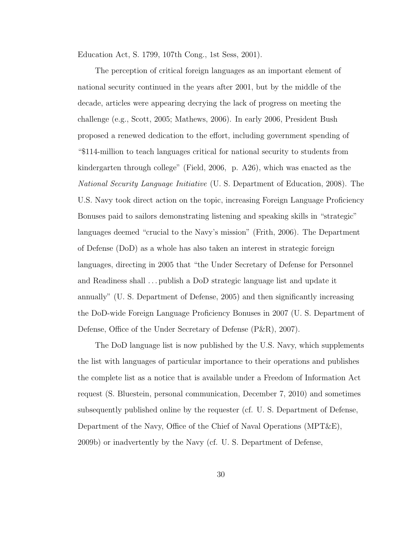Education Act, S. 1799, 107th Cong., 1st Sess, 2001).

The perception of critical foreign languages as an important element of national security continued in the years after 2001, but by the middle of the decade, articles were appearing decrying the lack of progress on meeting the challenge (e.g., Scott, 2005; Mathews, 2006). In early 2006, President Bush proposed a renewed dedication to the effort, including government spending of "\$114-million to teach languages critical for national security to students from kindergarten through college" (Field, 2006, p. A26), which was enacted as the National Security Language Initiative (U. S. Department of Education, 2008). The U.S. Navy took direct action on the topic, increasing Foreign Language Proficiency Bonuses paid to sailors demonstrating listening and speaking skills in "strategic" languages deemed "crucial to the Navy's mission" (Frith, 2006). The Department of Defense (DoD) as a whole has also taken an interest in strategic foreign languages, directing in 2005 that "the Under Secretary of Defense for Personnel and Readiness shall . . . publish a DoD strategic language list and update it annually" (U. S. Department of Defense, 2005) and then significantly increasing the DoD-wide Foreign Language Proficiency Bonuses in 2007 (U. S. Department of Defense, Office of the Under Secretary of Defense (P&R), 2007).

The DoD language list is now published by the U.S. Navy, which supplements the list with languages of particular importance to their operations and publishes the complete list as a notice that is available under a Freedom of Information Act request (S. Bluestein, personal communication, December 7, 2010) and sometimes subsequently published online by the requester (cf. U. S. Department of Defense, Department of the Navy, Office of the Chief of Naval Operations (MPT&E), 2009b) or inadvertently by the Navy (cf. U. S. Department of Defense,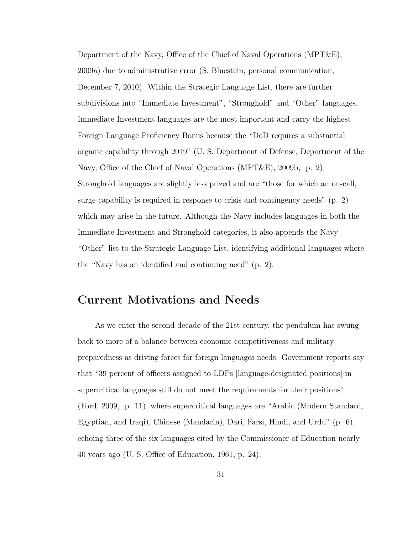Department of the Navy, Office of the Chief of Naval Operations (MPT&E), 2009a) due to administrative error (S. Bluestein, personal communication, December 7, 2010). Within the Strategic Language List, there are further subdivisions into "Immediate Investment", "Stronghold" and "Other" languages. Immediate Investment languages are the most important and carry the highest Foreign Language Proficiency Bonus because the "DoD requires a substantial organic capability through 2019" (U. S. Department of Defense, Department of the Navy, Office of the Chief of Naval Operations (MPT&E), 2009b, p. 2). Stronghold languages are slightly less prized and are "those for which an on-call, surge capability is required in response to crisis and contingency needs" (p. 2) which may arise in the future. Although the Navy includes languages in both the Immediate Investment and Stronghold categories, it also appends the Navy "Other" list to the Strategic Language List, identifying additional languages where the "Navy has an identified and continuing need" (p. 2).

## Current Motivations and Needs

As we enter the second decade of the 21st century, the pendulum has swung back to more of a balance between economic competitiveness and military preparedness as driving forces for foreign languages needs. Government reports say that "39 percent of officers assigned to LDPs [language-designated positions] in supercritical languages still do not meet the requirements for their positions" (Ford, 2009, p. 11), where supercritical languages are "Arabic (Modern Standard, Egyptian, and Iraqi), Chinese (Mandarin), Dari, Farsi, Hindi, and Urdu" (p. 6), echoing three of the six languages cited by the Commissioner of Education nearly 40 years ago (U. S. Office of Education, 1961, p. 24).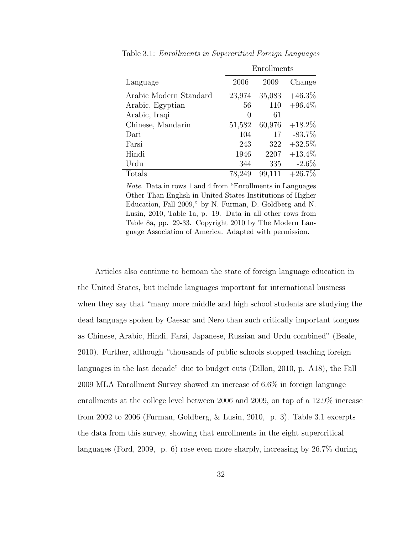|                        | Enrollments      |        |           |
|------------------------|------------------|--------|-----------|
| Language               | 2006             | 2009   | Change    |
| Arabic Modern Standard | 23,974           | 35,083 | $+46.3\%$ |
| Arabic, Egyptian       | 56               | 110    | $+96.4\%$ |
| Arabic, Iraqi          | $\left( \right)$ | 61     |           |
| Chinese, Mandarin      | 51,582           | 60,976 | $+18.2\%$ |
| Dari                   | 104              | 17     | $-83.7%$  |
| Farsi                  | 243              | 322    | $+32.5%$  |
| Hindi                  | 1946             | 2207   | $+13.4\%$ |
| Urdu                   | 344              | 335    | $-2.6\%$  |
| Totals                 | 78,249           | 99,111 | $+26.7\%$ |

Table 3.1: Enrollments in Supercritical Foreign Languages

Note. Data in rows 1 and 4 from "Enrollments in Languages Other Than English in United States Institutions of Higher Education, Fall 2009," by N. Furman, D. Goldberg and N. Lusin, 2010, Table 1a, p. 19. Data in all other rows from Table 8a, pp. 29-33. Copyright 2010 by The Modern Language Association of America. Adapted with permission.

Articles also continue to bemoan the state of foreign language education in the United States, but include languages important for international business when they say that "many more middle and high school students are studying the dead language spoken by Caesar and Nero than such critically important tongues as Chinese, Arabic, Hindi, Farsi, Japanese, Russian and Urdu combined" (Beale, 2010). Further, although "thousands of public schools stopped teaching foreign languages in the last decade" due to budget cuts (Dillon, 2010, p. A18), the Fall 2009 MLA Enrollment Survey showed an increase of 6.6% in foreign language enrollments at the college level between 2006 and 2009, on top of a 12.9% increase from 2002 to 2006 (Furman, Goldberg, & Lusin, 2010, p. 3). Table 3.1 excerpts the data from this survey, showing that enrollments in the eight supercritical languages (Ford, 2009, p. 6) rose even more sharply, increasing by 26.7% during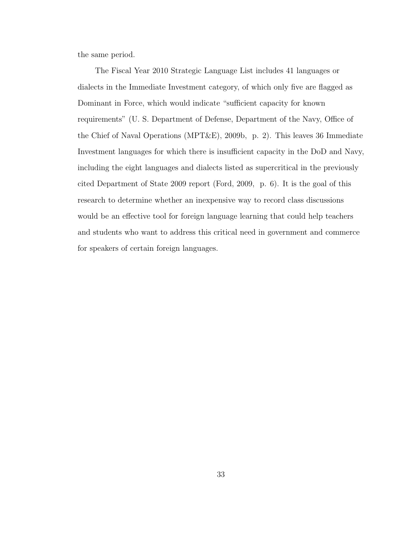the same period.

The Fiscal Year 2010 Strategic Language List includes 41 languages or dialects in the Immediate Investment category, of which only five are flagged as Dominant in Force, which would indicate "sufficient capacity for known requirements" (U. S. Department of Defense, Department of the Navy, Office of the Chief of Naval Operations (MPT&E), 2009b, p. 2). This leaves 36 Immediate Investment languages for which there is insufficient capacity in the DoD and Navy, including the eight languages and dialects listed as supercritical in the previously cited Department of State 2009 report (Ford, 2009, p. 6). It is the goal of this research to determine whether an inexpensive way to record class discussions would be an effective tool for foreign language learning that could help teachers and students who want to address this critical need in government and commerce for speakers of certain foreign languages.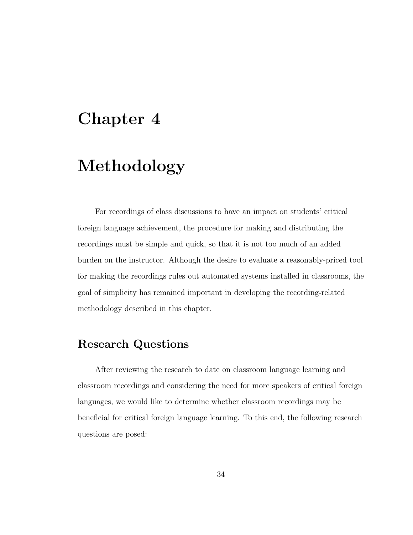# Chapter 4

# Methodology

For recordings of class discussions to have an impact on students' critical foreign language achievement, the procedure for making and distributing the recordings must be simple and quick, so that it is not too much of an added burden on the instructor. Although the desire to evaluate a reasonably-priced tool for making the recordings rules out automated systems installed in classrooms, the goal of simplicity has remained important in developing the recording-related methodology described in this chapter.

# Research Questions

After reviewing the research to date on classroom language learning and classroom recordings and considering the need for more speakers of critical foreign languages, we would like to determine whether classroom recordings may be beneficial for critical foreign language learning. To this end, the following research questions are posed: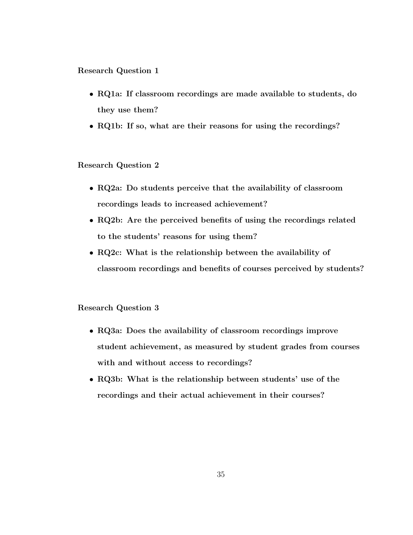Research Question 1

- RQ1a: If classroom recordings are made available to students, do they use them?
- RQ1b: If so, what are their reasons for using the recordings?

#### Research Question 2

- RQ2a: Do students perceive that the availability of classroom recordings leads to increased achievement?
- RQ2b: Are the perceived benefits of using the recordings related to the students' reasons for using them?
- RQ2c: What is the relationship between the availability of classroom recordings and benefits of courses perceived by students?

#### Research Question 3

- RQ3a: Does the availability of classroom recordings improve student achievement, as measured by student grades from courses with and without access to recordings?
- RQ3b: What is the relationship between students' use of the recordings and their actual achievement in their courses?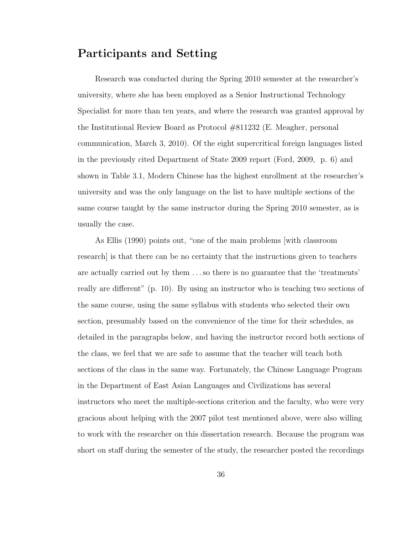### Participants and Setting

Research was conducted during the Spring 2010 semester at the researcher's university, where she has been employed as a Senior Instructional Technology Specialist for more than ten years, and where the research was granted approval by the Institutional Review Board as Protocol #811232 (E. Meagher, personal communication, March 3, 2010). Of the eight supercritical foreign languages listed in the previously cited Department of State 2009 report (Ford, 2009, p. 6) and shown in Table 3.1, Modern Chinese has the highest enrollment at the researcher's university and was the only language on the list to have multiple sections of the same course taught by the same instructor during the Spring 2010 semester, as is usually the case.

As Ellis (1990) points out, "one of the main problems [with classroom research] is that there can be no certainty that the instructions given to teachers are actually carried out by them . . . so there is no guarantee that the 'treatments' really are different" (p. 10). By using an instructor who is teaching two sections of the same course, using the same syllabus with students who selected their own section, presumably based on the convenience of the time for their schedules, as detailed in the paragraphs below, and having the instructor record both sections of the class, we feel that we are safe to assume that the teacher will teach both sections of the class in the same way. Fortunately, the Chinese Language Program in the Department of East Asian Languages and Civilizations has several instructors who meet the multiple-sections criterion and the faculty, who were very gracious about helping with the 2007 pilot test mentioned above, were also willing to work with the researcher on this dissertation research. Because the program was short on staff during the semester of the study, the researcher posted the recordings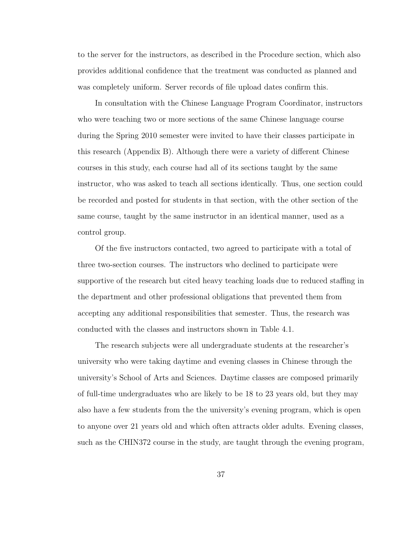to the server for the instructors, as described in the Procedure section, which also provides additional confidence that the treatment was conducted as planned and was completely uniform. Server records of file upload dates confirm this.

In consultation with the Chinese Language Program Coordinator, instructors who were teaching two or more sections of the same Chinese language course during the Spring 2010 semester were invited to have their classes participate in this research (Appendix B). Although there were a variety of different Chinese courses in this study, each course had all of its sections taught by the same instructor, who was asked to teach all sections identically. Thus, one section could be recorded and posted for students in that section, with the other section of the same course, taught by the same instructor in an identical manner, used as a control group.

Of the five instructors contacted, two agreed to participate with a total of three two-section courses. The instructors who declined to participate were supportive of the research but cited heavy teaching loads due to reduced staffing in the department and other professional obligations that prevented them from accepting any additional responsibilities that semester. Thus, the research was conducted with the classes and instructors shown in Table 4.1.

The research subjects were all undergraduate students at the researcher's university who were taking daytime and evening classes in Chinese through the university's School of Arts and Sciences. Daytime classes are composed primarily of full-time undergraduates who are likely to be 18 to 23 years old, but they may also have a few students from the the university's evening program, which is open to anyone over 21 years old and which often attracts older adults. Evening classes, such as the CHIN372 course in the study, are taught through the evening program,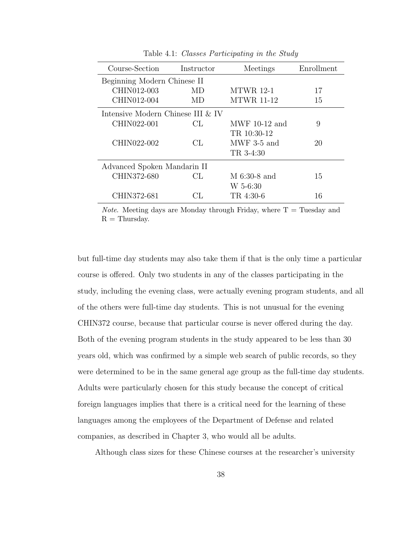| Course-Section                    | Instructor | Meetings          | Enrollment |
|-----------------------------------|------------|-------------------|------------|
| Beginning Modern Chinese II       |            |                   |            |
| CHIN012-003                       | MD         | <b>MTWR</b> 12-1  | 17         |
| CHIN012-004                       | MD         | <b>MTWR 11-12</b> | 15         |
| Intensive Modern Chinese III & IV |            |                   |            |
| CHIN022-001                       | CL         | MWF $10-12$ and   | 9          |
|                                   |            | TR 10:30-12       |            |
| CHIN022-002                       | CL.        | $MWF$ 3-5 and     | 20         |
|                                   |            | TR 3-4:30         |            |
| Advanced Spoken Mandarin II       |            |                   |            |
| CHIN372-680                       | CL.        | $M$ 6:30-8 and    | 15         |
|                                   |            | W 5-6:30          |            |
| CHIN372-681                       | CL.        | TR 4:30-6         | 16         |

Table 4.1: Classes Participating in the Study

*Note.* Meeting days are Monday through Friday, where  $T =$  Tuesday and  $R =$  Thursday.

but full-time day students may also take them if that is the only time a particular course is offered. Only two students in any of the classes participating in the study, including the evening class, were actually evening program students, and all of the others were full-time day students. This is not unusual for the evening CHIN372 course, because that particular course is never offered during the day. Both of the evening program students in the study appeared to be less than 30 years old, which was confirmed by a simple web search of public records, so they were determined to be in the same general age group as the full-time day students. Adults were particularly chosen for this study because the concept of critical foreign languages implies that there is a critical need for the learning of these languages among the employees of the Department of Defense and related companies, as described in Chapter 3, who would all be adults.

Although class sizes for these Chinese courses at the researcher's university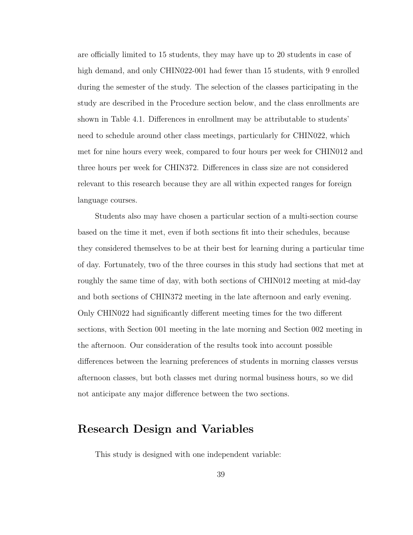are officially limited to 15 students, they may have up to 20 students in case of high demand, and only CHIN022-001 had fewer than 15 students, with 9 enrolled during the semester of the study. The selection of the classes participating in the study are described in the Procedure section below, and the class enrollments are shown in Table 4.1. Differences in enrollment may be attributable to students' need to schedule around other class meetings, particularly for CHIN022, which met for nine hours every week, compared to four hours per week for CHIN012 and three hours per week for CHIN372. Differences in class size are not considered relevant to this research because they are all within expected ranges for foreign language courses.

Students also may have chosen a particular section of a multi-section course based on the time it met, even if both sections fit into their schedules, because they considered themselves to be at their best for learning during a particular time of day. Fortunately, two of the three courses in this study had sections that met at roughly the same time of day, with both sections of CHIN012 meeting at mid-day and both sections of CHIN372 meeting in the late afternoon and early evening. Only CHIN022 had significantly different meeting times for the two different sections, with Section 001 meeting in the late morning and Section 002 meeting in the afternoon. Our consideration of the results took into account possible differences between the learning preferences of students in morning classes versus afternoon classes, but both classes met during normal business hours, so we did not anticipate any major difference between the two sections.

### Research Design and Variables

This study is designed with one independent variable: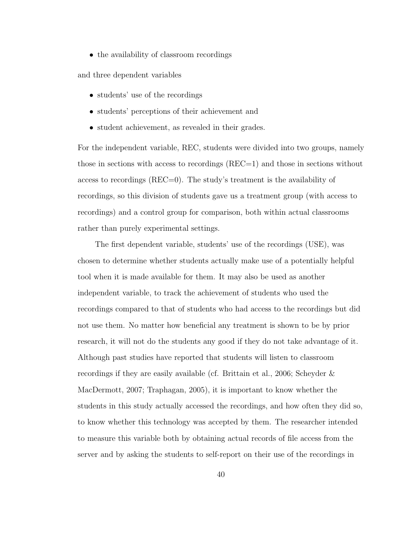• the availability of classroom recordings

and three dependent variables

- students' use of the recordings
- students' perceptions of their achievement and
- student achievement, as revealed in their grades.

For the independent variable, REC, students were divided into two groups, namely those in sections with access to recordings (REC=1) and those in sections without access to recordings (REC=0). The study's treatment is the availability of recordings, so this division of students gave us a treatment group (with access to recordings) and a control group for comparison, both within actual classrooms rather than purely experimental settings.

The first dependent variable, students' use of the recordings (USE), was chosen to determine whether students actually make use of a potentially helpful tool when it is made available for them. It may also be used as another independent variable, to track the achievement of students who used the recordings compared to that of students who had access to the recordings but did not use them. No matter how beneficial any treatment is shown to be by prior research, it will not do the students any good if they do not take advantage of it. Although past studies have reported that students will listen to classroom recordings if they are easily available (cf. Brittain et al., 2006; Scheyder & MacDermott, 2007; Traphagan, 2005), it is important to know whether the students in this study actually accessed the recordings, and how often they did so, to know whether this technology was accepted by them. The researcher intended to measure this variable both by obtaining actual records of file access from the server and by asking the students to self-report on their use of the recordings in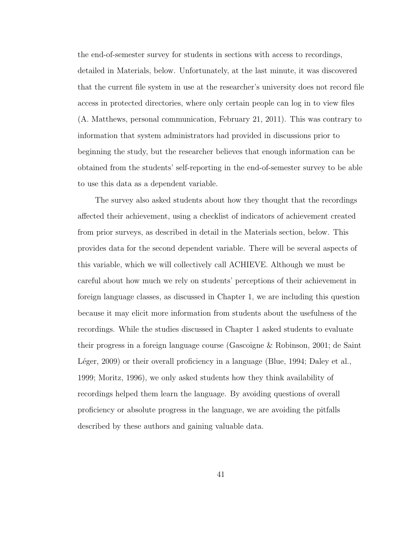the end-of-semester survey for students in sections with access to recordings, detailed in Materials, below. Unfortunately, at the last minute, it was discovered that the current file system in use at the researcher's university does not record file access in protected directories, where only certain people can log in to view files (A. Matthews, personal communication, February 21, 2011). This was contrary to information that system administrators had provided in discussions prior to beginning the study, but the researcher believes that enough information can be obtained from the students' self-reporting in the end-of-semester survey to be able to use this data as a dependent variable.

The survey also asked students about how they thought that the recordings affected their achievement, using a checklist of indicators of achievement created from prior surveys, as described in detail in the Materials section, below. This provides data for the second dependent variable. There will be several aspects of this variable, which we will collectively call ACHIEVE. Although we must be careful about how much we rely on students' perceptions of their achievement in foreign language classes, as discussed in Chapter 1, we are including this question because it may elicit more information from students about the usefulness of the recordings. While the studies discussed in Chapter 1 asked students to evaluate their progress in a foreign language course (Gascoigne & Robinson, 2001; de Saint Léger, 2009) or their overall proficiency in a language (Blue, 1994; Daley et al., 1999; Moritz, 1996), we only asked students how they think availability of recordings helped them learn the language. By avoiding questions of overall proficiency or absolute progress in the language, we are avoiding the pitfalls described by these authors and gaining valuable data.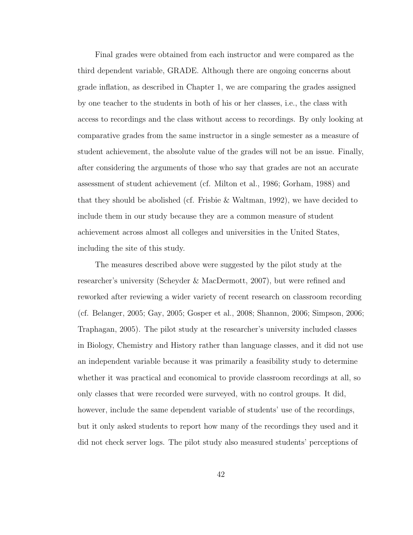Final grades were obtained from each instructor and were compared as the third dependent variable, GRADE. Although there are ongoing concerns about grade inflation, as described in Chapter 1, we are comparing the grades assigned by one teacher to the students in both of his or her classes, i.e., the class with access to recordings and the class without access to recordings. By only looking at comparative grades from the same instructor in a single semester as a measure of student achievement, the absolute value of the grades will not be an issue. Finally, after considering the arguments of those who say that grades are not an accurate assessment of student achievement (cf. Milton et al., 1986; Gorham, 1988) and that they should be abolished (cf. Frisbie & Waltman, 1992), we have decided to include them in our study because they are a common measure of student achievement across almost all colleges and universities in the United States, including the site of this study.

The measures described above were suggested by the pilot study at the researcher's university (Scheyder & MacDermott, 2007), but were refined and reworked after reviewing a wider variety of recent research on classroom recording (cf. Belanger, 2005; Gay, 2005; Gosper et al., 2008; Shannon, 2006; Simpson, 2006; Traphagan, 2005). The pilot study at the researcher's university included classes in Biology, Chemistry and History rather than language classes, and it did not use an independent variable because it was primarily a feasibility study to determine whether it was practical and economical to provide classroom recordings at all, so only classes that were recorded were surveyed, with no control groups. It did, however, include the same dependent variable of students' use of the recordings, but it only asked students to report how many of the recordings they used and it did not check server logs. The pilot study also measured students' perceptions of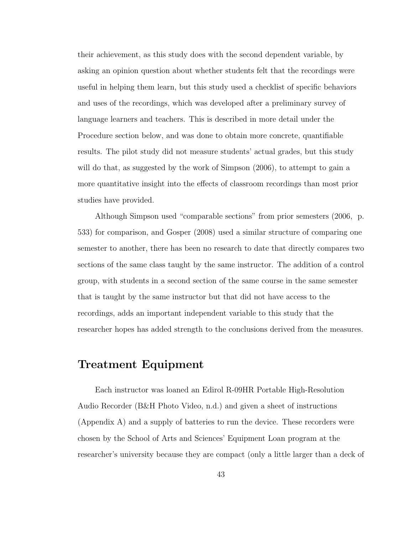their achievement, as this study does with the second dependent variable, by asking an opinion question about whether students felt that the recordings were useful in helping them learn, but this study used a checklist of specific behaviors and uses of the recordings, which was developed after a preliminary survey of language learners and teachers. This is described in more detail under the Procedure section below, and was done to obtain more concrete, quantifiable results. The pilot study did not measure students' actual grades, but this study will do that, as suggested by the work of Simpson (2006), to attempt to gain a more quantitative insight into the effects of classroom recordings than most prior studies have provided.

Although Simpson used "comparable sections" from prior semesters (2006, p. 533) for comparison, and Gosper (2008) used a similar structure of comparing one semester to another, there has been no research to date that directly compares two sections of the same class taught by the same instructor. The addition of a control group, with students in a second section of the same course in the same semester that is taught by the same instructor but that did not have access to the recordings, adds an important independent variable to this study that the researcher hopes has added strength to the conclusions derived from the measures.

## Treatment Equipment

Each instructor was loaned an Edirol R-09HR Portable High-Resolution Audio Recorder (B&H Photo Video, n.d.) and given a sheet of instructions (Appendix A) and a supply of batteries to run the device. These recorders were chosen by the School of Arts and Sciences' Equipment Loan program at the researcher's university because they are compact (only a little larger than a deck of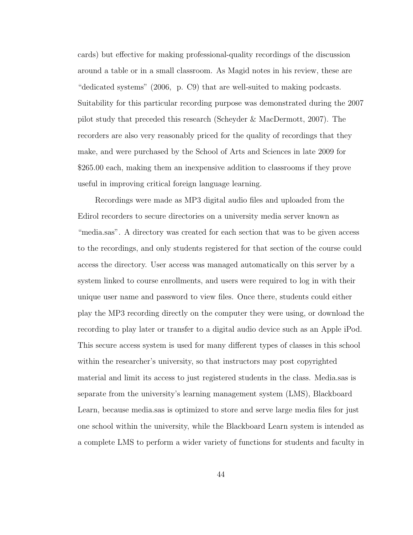cards) but effective for making professional-quality recordings of the discussion around a table or in a small classroom. As Magid notes in his review, these are "dedicated systems" (2006, p. C9) that are well-suited to making podcasts. Suitability for this particular recording purpose was demonstrated during the 2007 pilot study that preceded this research (Scheyder & MacDermott, 2007). The recorders are also very reasonably priced for the quality of recordings that they make, and were purchased by the School of Arts and Sciences in late 2009 for \$265.00 each, making them an inexpensive addition to classrooms if they prove useful in improving critical foreign language learning.

Recordings were made as MP3 digital audio files and uploaded from the Edirol recorders to secure directories on a university media server known as "media.sas". A directory was created for each section that was to be given access to the recordings, and only students registered for that section of the course could access the directory. User access was managed automatically on this server by a system linked to course enrollments, and users were required to log in with their unique user name and password to view files. Once there, students could either play the MP3 recording directly on the computer they were using, or download the recording to play later or transfer to a digital audio device such as an Apple iPod. This secure access system is used for many different types of classes in this school within the researcher's university, so that instructors may post copyrighted material and limit its access to just registered students in the class. Media.sas is separate from the university's learning management system (LMS), Blackboard Learn, because media.sas is optimized to store and serve large media files for just one school within the university, while the Blackboard Learn system is intended as a complete LMS to perform a wider variety of functions for students and faculty in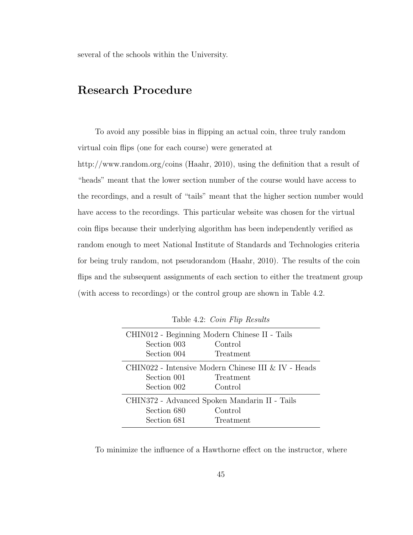several of the schools within the University.

## Research Procedure

To avoid any possible bias in flipping an actual coin, three truly random virtual coin flips (one for each course) were generated at

http://www.random.org/coins (Haahr, 2010), using the definition that a result of "heads" meant that the lower section number of the course would have access to the recordings, and a result of "tails" meant that the higher section number would have access to the recordings. This particular website was chosen for the virtual coin flips because their underlying algorithm has been independently verified as random enough to meet National Institute of Standards and Technologies criteria for being truly random, not pseudorandom (Haahr, 2010). The results of the coin flips and the subsequent assignments of each section to either the treatment group (with access to recordings) or the control group are shown in Table 4.2.

| CHIN012 - Beginning Modern Chinese II - Tails       |           |  |
|-----------------------------------------------------|-----------|--|
| Section 003                                         | Control   |  |
| Section 004                                         | Treatment |  |
| CHIN022 - Intensive Modern Chinese III & IV - Heads |           |  |
| Section 001                                         | Treatment |  |
| Section 002                                         | Control   |  |
| CHIN372 - Advanced Spoken Mandarin II - Tails       |           |  |
| Section 680                                         | Control   |  |
| Section 681                                         | Treatment |  |
|                                                     |           |  |

Table 4.2: Coin Flip Results

To minimize the influence of a Hawthorne effect on the instructor, where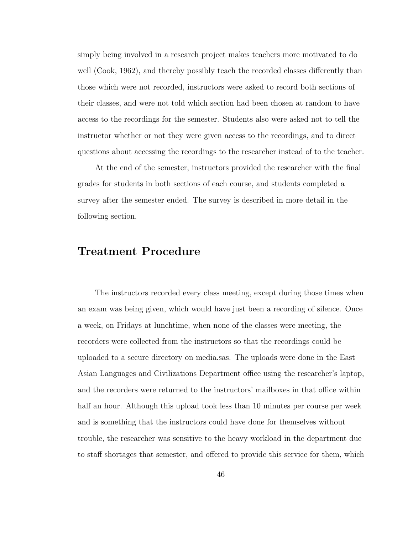simply being involved in a research project makes teachers more motivated to do well (Cook, 1962), and thereby possibly teach the recorded classes differently than those which were not recorded, instructors were asked to record both sections of their classes, and were not told which section had been chosen at random to have access to the recordings for the semester. Students also were asked not to tell the instructor whether or not they were given access to the recordings, and to direct questions about accessing the recordings to the researcher instead of to the teacher.

At the end of the semester, instructors provided the researcher with the final grades for students in both sections of each course, and students completed a survey after the semester ended. The survey is described in more detail in the following section.

### Treatment Procedure

The instructors recorded every class meeting, except during those times when an exam was being given, which would have just been a recording of silence. Once a week, on Fridays at lunchtime, when none of the classes were meeting, the recorders were collected from the instructors so that the recordings could be uploaded to a secure directory on media.sas. The uploads were done in the East Asian Languages and Civilizations Department office using the researcher's laptop, and the recorders were returned to the instructors' mailboxes in that office within half an hour. Although this upload took less than 10 minutes per course per week and is something that the instructors could have done for themselves without trouble, the researcher was sensitive to the heavy workload in the department due to staff shortages that semester, and offered to provide this service for them, which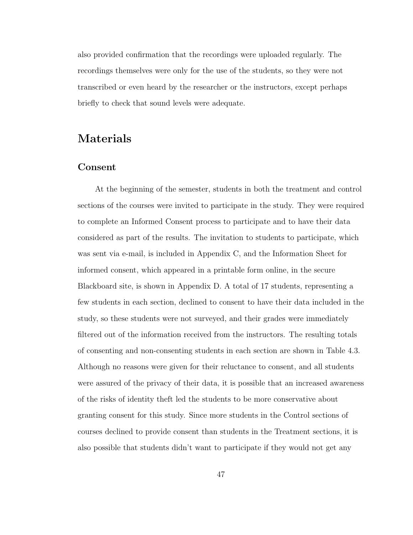also provided confirmation that the recordings were uploaded regularly. The recordings themselves were only for the use of the students, so they were not transcribed or even heard by the researcher or the instructors, except perhaps briefly to check that sound levels were adequate.

## Materials

### Consent

At the beginning of the semester, students in both the treatment and control sections of the courses were invited to participate in the study. They were required to complete an Informed Consent process to participate and to have their data considered as part of the results. The invitation to students to participate, which was sent via e-mail, is included in Appendix C, and the Information Sheet for informed consent, which appeared in a printable form online, in the secure Blackboard site, is shown in Appendix D. A total of 17 students, representing a few students in each section, declined to consent to have their data included in the study, so these students were not surveyed, and their grades were immediately filtered out of the information received from the instructors. The resulting totals of consenting and non-consenting students in each section are shown in Table 4.3. Although no reasons were given for their reluctance to consent, and all students were assured of the privacy of their data, it is possible that an increased awareness of the risks of identity theft led the students to be more conservative about granting consent for this study. Since more students in the Control sections of courses declined to provide consent than students in the Treatment sections, it is also possible that students didn't want to participate if they would not get any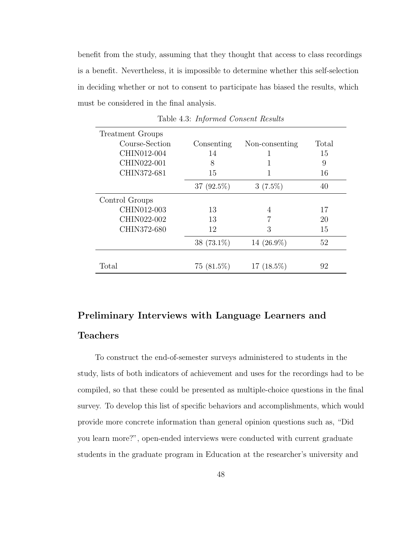benefit from the study, assuming that they thought that access to class recordings is a benefit. Nevertheless, it is impossible to determine whether this self-selection in deciding whether or not to consent to participate has biased the results, which must be considered in the final analysis.

| <b>Treatment Groups</b> |               |                |       |
|-------------------------|---------------|----------------|-------|
| Course-Section          | Consenting    | Non-consenting | Total |
| CHIN012-004             | 14            |                | 15    |
| CHIN022-001             | 8             |                | 9     |
| CHIN372-681             | 15            |                | 16    |
|                         | $37(92.5\%)$  | $3(7.5\%)$     | 40    |
| Control Groups          |               |                |       |
| CHIN012-003             | 13            | 4              | 17    |
| CHIN022-002             | 13            |                | 20    |
| CHIN372-680             | 12            | 3              | 15    |
|                         | 38 $(73.1\%)$ | 14 $(26.9\%)$  | 52    |
|                         |               |                |       |
| Total                   | $75(81.5\%)$  | $17(18.5\%)$   | 92    |

Table 4.3: Informed Consent Results

# Preliminary Interviews with Language Learners and Teachers

To construct the end-of-semester surveys administered to students in the study, lists of both indicators of achievement and uses for the recordings had to be compiled, so that these could be presented as multiple-choice questions in the final survey. To develop this list of specific behaviors and accomplishments, which would provide more concrete information than general opinion questions such as, "Did you learn more?", open-ended interviews were conducted with current graduate students in the graduate program in Education at the researcher's university and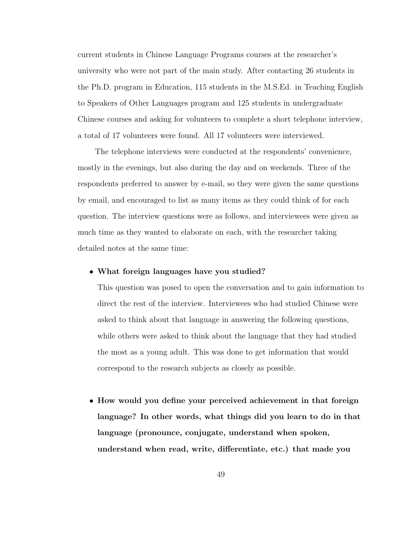current students in Chinese Language Programs courses at the researcher's university who were not part of the main study. After contacting 26 students in the Ph.D. program in Education, 115 students in the M.S.Ed. in Teaching English to Speakers of Other Languages program and 125 students in undergraduate Chinese courses and asking for volunteers to complete a short telephone interview, a total of 17 volunteers were found. All 17 volunteers were interviewed.

The telephone interviews were conducted at the respondents' convenience, mostly in the evenings, but also during the day and on weekends. Three of the respondents preferred to answer by e-mail, so they were given the same questions by email, and encouraged to list as many items as they could think of for each question. The interview questions were as follows, and interviewees were given as much time as they wanted to elaborate on each, with the researcher taking detailed notes at the same time:

#### • What foreign languages have you studied?

This question was posed to open the conversation and to gain information to direct the rest of the interview. Interviewees who had studied Chinese were asked to think about that language in answering the following questions, while others were asked to think about the language that they had studied the most as a young adult. This was done to get information that would correspond to the research subjects as closely as possible.

• How would you define your perceived achievement in that foreign language? In other words, what things did you learn to do in that language (pronounce, conjugate, understand when spoken, understand when read, write, differentiate, etc.) that made you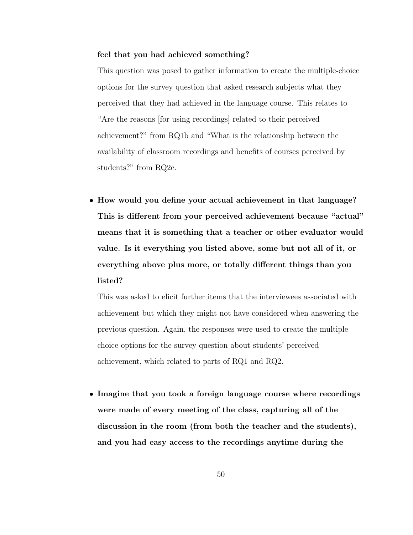#### feel that you had achieved something?

This question was posed to gather information to create the multiple-choice options for the survey question that asked research subjects what they perceived that they had achieved in the language course. This relates to "Are the reasons [for using recordings] related to their perceived achievement?" from RQ1b and "What is the relationship between the availability of classroom recordings and benefits of courses perceived by students?" from RQ2c.

• How would you define your actual achievement in that language? This is different from your perceived achievement because "actual" means that it is something that a teacher or other evaluator would value. Is it everything you listed above, some but not all of it, or everything above plus more, or totally different things than you listed?

This was asked to elicit further items that the interviewees associated with achievement but which they might not have considered when answering the previous question. Again, the responses were used to create the multiple choice options for the survey question about students' perceived achievement, which related to parts of RQ1 and RQ2.

• Imagine that you took a foreign language course where recordings were made of every meeting of the class, capturing all of the discussion in the room (from both the teacher and the students), and you had easy access to the recordings anytime during the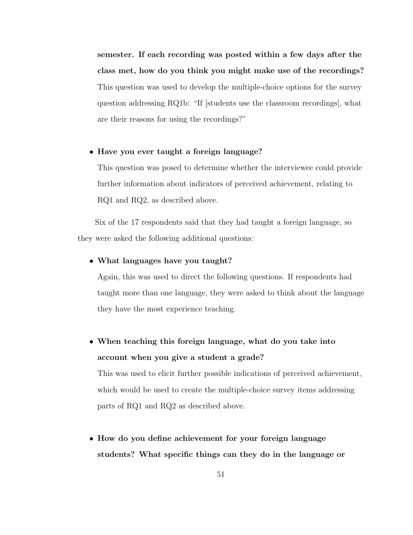semester. If each recording was posted within a few days after the class met, how do you think you might make use of the recordings? This question was used to develop the multiple-choice options for the survey question addressing RQ1b: "If [students use the classroom recordings], what are their reasons for using the recordings?"

#### • Have you ever taught a foreign language?

This question was posed to determine whether the interviewee could provide further information about indicators of perceived achievement, relating to RQ1 and RQ2, as described above.

Six of the 17 respondents said that they had taught a foreign language, so they were asked the following additional questions:

#### • What languages have you taught?

Again, this was used to direct the following questions. If respondents had taught more than one language, they were asked to think about the language they have the most experience teaching.

• When teaching this foreign language, what do you take into account when you give a student a grade?

This was used to elicit further possible indications of perceived achievement, which would be used to create the multiple-choice survey items addressing parts of RQ1 and RQ2 as described above.

• How do you define achievement for your foreign language students? What specific things can they do in the language or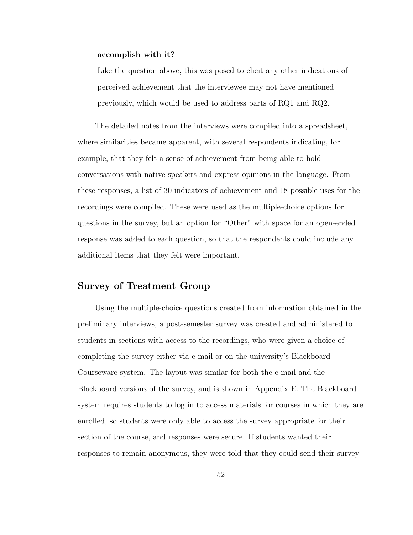#### accomplish with it?

Like the question above, this was posed to elicit any other indications of perceived achievement that the interviewee may not have mentioned previously, which would be used to address parts of RQ1 and RQ2.

The detailed notes from the interviews were compiled into a spreadsheet, where similarities became apparent, with several respondents indicating, for example, that they felt a sense of achievement from being able to hold conversations with native speakers and express opinions in the language. From these responses, a list of 30 indicators of achievement and 18 possible uses for the recordings were compiled. These were used as the multiple-choice options for questions in the survey, but an option for "Other" with space for an open-ended response was added to each question, so that the respondents could include any additional items that they felt were important.

#### Survey of Treatment Group

Using the multiple-choice questions created from information obtained in the preliminary interviews, a post-semester survey was created and administered to students in sections with access to the recordings, who were given a choice of completing the survey either via e-mail or on the university's Blackboard Courseware system. The layout was similar for both the e-mail and the Blackboard versions of the survey, and is shown in Appendix E. The Blackboard system requires students to log in to access materials for courses in which they are enrolled, so students were only able to access the survey appropriate for their section of the course, and responses were secure. If students wanted their responses to remain anonymous, they were told that they could send their survey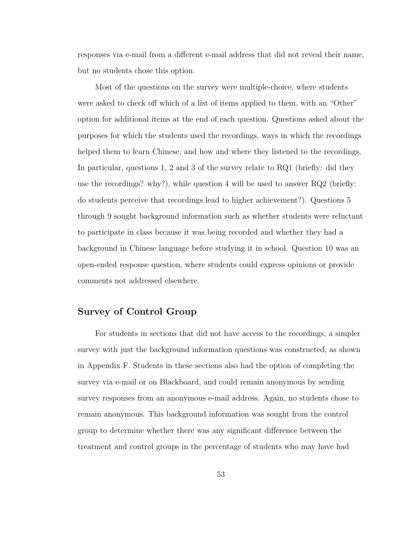responses via e-mail from a different e-mail address that did not reveal their name, but no students chose this option.

Most of the questions on the survey were multiple-choice, where students were asked to check off which of a list of items applied to them, with an "Other" option for additional items at the end of each question. Questions asked about the purposes for which the students used the recordings, ways in which the recordings helped them to learn Chinese, and how and where they listened to the recordings. In particular, questions 1, 2 and 3 of the survey relate to RQ1 (briefly: did they use the recordings? why?), while question 4 will be used to answer RQ2 (briefly: do students perceive that recordings lead to higher achievement?). Questions 5 through 9 sought background information such as whether students were reluctant to participate in class because it was being recorded and whether they had a background in Chinese language before studying it in school. Question 10 was an open-ended response question, where students could express opinions or provide comments not addressed elsewhere.

### Survey of Control Group

For students in sections that did not have access to the recordings, a simpler survey with just the background information questions was constructed, as shown in Appendix F. Students in these sections also had the option of completing the survey via e-mail or on Blackboard, and could remain anonymous by sending survey responses from an anonymous e-mail address. Again, no students chose to remain anonymous. This background information was sought from the control group to determine whether there was any significant difference between the treatment and control groups in the percentage of students who may have had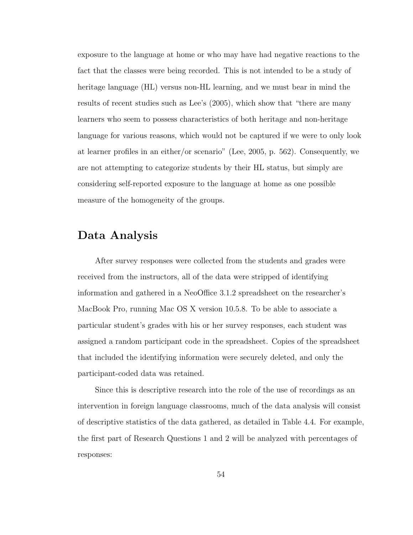exposure to the language at home or who may have had negative reactions to the fact that the classes were being recorded. This is not intended to be a study of heritage language (HL) versus non-HL learning, and we must bear in mind the results of recent studies such as Lee's (2005), which show that "there are many learners who seem to possess characteristics of both heritage and non-heritage language for various reasons, which would not be captured if we were to only look at learner profiles in an either/or scenario" (Lee, 2005, p. 562). Consequently, we are not attempting to categorize students by their HL status, but simply are considering self-reported exposure to the language at home as one possible measure of the homogeneity of the groups.

## Data Analysis

After survey responses were collected from the students and grades were received from the instructors, all of the data were stripped of identifying information and gathered in a NeoOffice 3.1.2 spreadsheet on the researcher's MacBook Pro, running Mac OS X version 10.5.8. To be able to associate a particular student's grades with his or her survey responses, each student was assigned a random participant code in the spreadsheet. Copies of the spreadsheet that included the identifying information were securely deleted, and only the participant-coded data was retained.

Since this is descriptive research into the role of the use of recordings as an intervention in foreign language classrooms, much of the data analysis will consist of descriptive statistics of the data gathered, as detailed in Table 4.4. For example, the first part of Research Questions 1 and 2 will be analyzed with percentages of responses: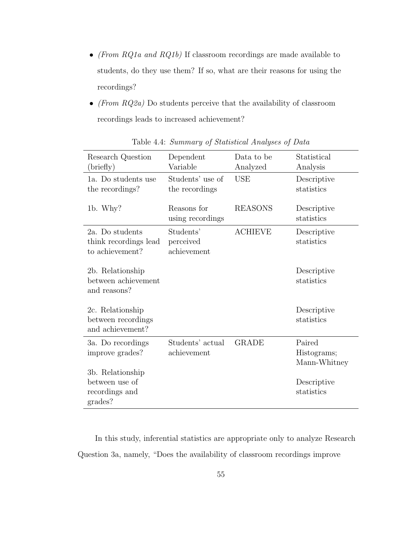- $\bullet$  (From RQ1a and RQ1b) If classroom recordings are made available to students, do they use them? If so, what are their reasons for using the recordings?
- (From  $RQ2a$ ) Do students perceive that the availability of classroom recordings leads to increased achievement?

| Research Question<br>(bright)                                   | Dependent<br>Variable                 | Data to be<br>Analyzed | Statistical<br>Analysis               |
|-----------------------------------------------------------------|---------------------------------------|------------------------|---------------------------------------|
| 1a. Do students use<br>the recordings?                          | Students' use of<br>the recordings    | <b>USE</b>             | Descriptive<br>statistics             |
| 1b. Why?                                                        | Reasons for<br>using recordings       | <b>REASONS</b>         | Descriptive<br>statistics             |
| 2a. Do students<br>think recordings lead<br>to achievement?     | Students'<br>perceived<br>achievement | <b>ACHIEVE</b>         | Descriptive<br>statistics             |
| 2b. Relationship<br>between achievement<br>and reasons?         |                                       |                        | Descriptive<br>statistics             |
| 2c. Relationship<br>between recordings<br>and achievement?      |                                       |                        | Descriptive<br>statistics             |
| 3a. Do recordings<br>improve grades?                            | Students' actual<br>achievement       | <b>GRADE</b>           | Paired<br>Histograms;<br>Mann-Whitney |
| 3b. Relationship<br>between use of<br>recordings and<br>grades? |                                       |                        | Descriptive<br>statistics             |

Table 4.4: Summary of Statistical Analyses of Data

In this study, inferential statistics are appropriate only to analyze Research Question 3a, namely, "Does the availability of classroom recordings improve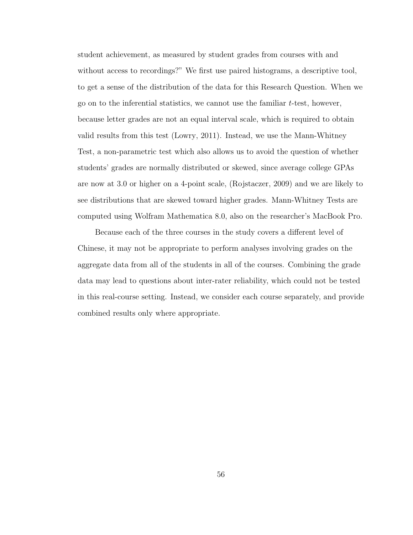student achievement, as measured by student grades from courses with and without access to recordings?" We first use paired histograms, a descriptive tool, to get a sense of the distribution of the data for this Research Question. When we go on to the inferential statistics, we cannot use the familiar  $t$ -test, however, because letter grades are not an equal interval scale, which is required to obtain valid results from this test (Lowry, 2011). Instead, we use the Mann-Whitney Test, a non-parametric test which also allows us to avoid the question of whether students' grades are normally distributed or skewed, since average college GPAs are now at 3.0 or higher on a 4-point scale, (Rojstaczer, 2009) and we are likely to see distributions that are skewed toward higher grades. Mann-Whitney Tests are computed using Wolfram Mathematica 8.0, also on the researcher's MacBook Pro.

Because each of the three courses in the study covers a different level of Chinese, it may not be appropriate to perform analyses involving grades on the aggregate data from all of the students in all of the courses. Combining the grade data may lead to questions about inter-rater reliability, which could not be tested in this real-course setting. Instead, we consider each course separately, and provide combined results only where appropriate.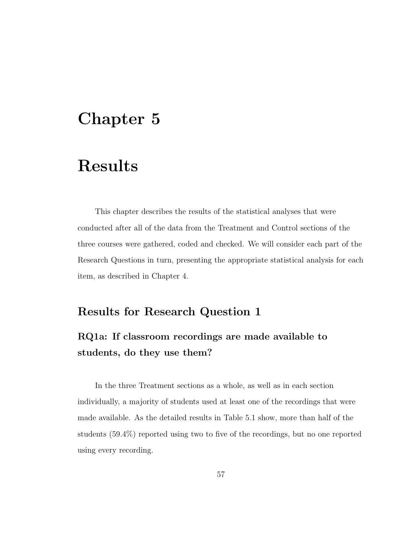# Chapter 5

# Results

This chapter describes the results of the statistical analyses that were conducted after all of the data from the Treatment and Control sections of the three courses were gathered, coded and checked. We will consider each part of the Research Questions in turn, presenting the appropriate statistical analysis for each item, as described in Chapter 4.

### Results for Research Question 1

## RQ1a: If classroom recordings are made available to students, do they use them?

In the three Treatment sections as a whole, as well as in each section individually, a majority of students used at least one of the recordings that were made available. As the detailed results in Table 5.1 show, more than half of the students (59.4%) reported using two to five of the recordings, but no one reported using every recording.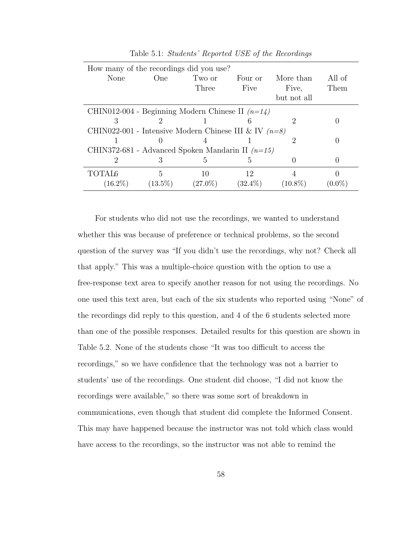| How many of the recordings did you use?                 |            |            |            |             |           |
|---------------------------------------------------------|------------|------------|------------|-------------|-----------|
| None                                                    | One        | Two or     | Four or    | More than   | All of    |
|                                                         |            | Three      | Five       | Five.       | Them      |
|                                                         |            |            |            | but not all |           |
| CHIN012-004 - Beginning Modern Chinese II $(n=14)$      |            |            |            |             |           |
| 3                                                       |            |            |            |             |           |
| CHIN022-001 - Intensive Modern Chinese III & IV $(n=8)$ |            |            |            |             |           |
|                                                         | $\cup$     |            |            |             |           |
| CHIN372-681 - Advanced Spoken Mandarin II $(n=15)$      |            |            |            |             |           |
| 2                                                       | 3          |            | h,         |             |           |
| TOTAL6                                                  | 5          | 10         | 12         |             |           |
| $(16.2\%)$                                              | $(13.5\%)$ | $(27.0\%)$ | $(32.4\%)$ | $(10.8\%)$  | $(0.0\%)$ |

Table 5.1: Students' Reported USE of the Recordings

For students who did not use the recordings, we wanted to understand whether this was because of preference or technical problems, so the second question of the survey was "If you didn't use the recordings, why not? Check all that apply." This was a multiple-choice question with the option to use a free-response text area to specify another reason for not using the recordings. No one used this text area, but each of the six students who reported using "None" of the recordings did reply to this question, and 4 of the 6 students selected more than one of the possible responses. Detailed results for this question are shown in Table 5.2. None of the students chose "It was too difficult to access the recordings," so we have confidence that the technology was not a barrier to students' use of the recordings. One student did choose, "I did not know the recordings were available," so there was some sort of breakdown in communications, even though that student did complete the Informed Consent. This may have happened because the instructor was not told which class would have access to the recordings, so the instructor was not able to remind the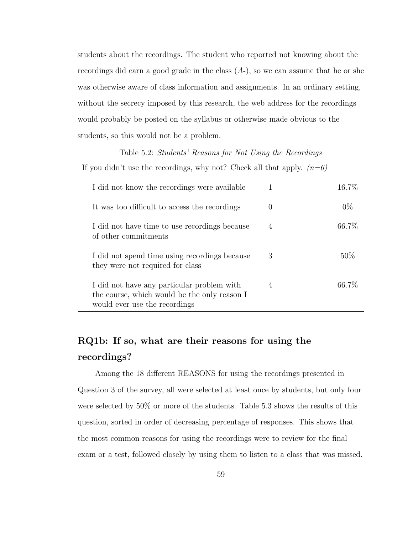students about the recordings. The student who reported not knowing about the recordings did earn a good grade in the class  $(A<sub>-</sub>)$ , so we can assume that he or she was otherwise aware of class information and assignments. In an ordinary setting, without the secrecy imposed by this research, the web address for the recordings would probably be posted on the syllabus or otherwise made obvious to the students, so this would not be a problem.

| Table 5.2: Students Reasons for Not Using the Recordings                                                                    |                |        |
|-----------------------------------------------------------------------------------------------------------------------------|----------------|--------|
| If you didn't use the recordings, why not? Check all that apply. $(n=6)$                                                    |                |        |
| I did not know the recordings were available                                                                                | 1              | 16.7%  |
| It was too difficult to access the recordings                                                                               | $\theta$       | $0\%$  |
| I did not have time to use recordings because<br>of other commitments                                                       | 4              | 66.7%  |
| I did not spend time using recordings because<br>they were not required for class                                           | 3              | $50\%$ |
| I did not have any particular problem with<br>the course, which would be the only reason I<br>would ever use the recordings | $\overline{4}$ | 66.7\% |

#### Table 5.2:  $\mathcal{O}_t$ ,  $\mathcal{O}_t$ ,  $\mathcal{I}_{t+1}$ ,  $\mathcal{I}_{t+2}$ ,  $\mathcal{I}_{t+2}$ ,  $\mathcal{I}_{t+1}$ ,  $\mathcal{I}_{t+2}$ ,  $\mathcal{I}_{t+1}$ ,  $\mathcal{I}_{t+2}$

## RQ1b: If so, what are their reasons for using the recordings?

Among the 18 different REASONS for using the recordings presented in Question 3 of the survey, all were selected at least once by students, but only four were selected by 50% or more of the students. Table 5.3 shows the results of this question, sorted in order of decreasing percentage of responses. This shows that the most common reasons for using the recordings were to review for the final exam or a test, followed closely by using them to listen to a class that was missed.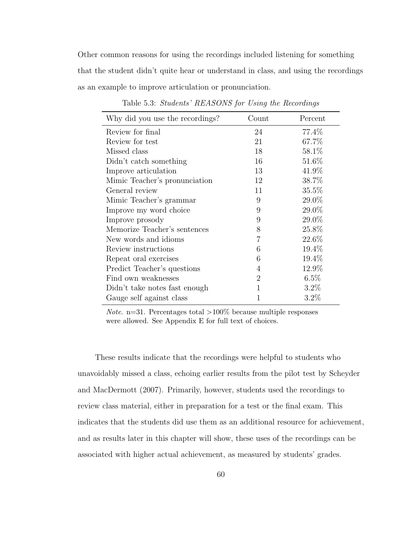Other common reasons for using the recordings included listening for something that the student didn't quite hear or understand in class, and using the recordings as an example to improve articulation or pronunciation.

| Why did you use the recordings? | $\mathrm{Count}$ | Percent |
|---------------------------------|------------------|---------|
| Review for final                | 24               | 77.4%   |
| Review for test                 | 21               | 67.7%   |
| Missed class                    | 18               | 58.1\%  |
| Didn't catch something          | 16               | 51.6%   |
| Improve articulation            | 13               | 41.9%   |
| Mimic Teacher's pronunciation   | 12               | 38.7%   |
| General review                  | 11               | 35.5%   |
| Mimic Teacher's grammar         | 9                | 29.0%   |
| Improve my word choice          | 9                | 29.0%   |
| Improve prosody                 | 9                | 29.0%   |
| Memorize Teacher's sentences    | 8                | 25.8%   |
| New words and idioms            | 7                | 22.6%   |
| Review instructions             | 6                | 19.4%   |
| Repeat oral exercises           | 6                | 19.4%   |
| Predict Teacher's questions     | 4                | 12.9%   |
| Find own weaknesses             | 2                | 6.5%    |
| Didn't take notes fast enough   | 1                | $3.2\%$ |
| Gauge self against class        |                  | 3.2%    |

Table 5.3: Students' REASONS for Using the Recordings

*Note.* n=31. Percentages total  $>100\%$  because multiple responses were allowed. See Appendix E for full text of choices.

These results indicate that the recordings were helpful to students who unavoidably missed a class, echoing earlier results from the pilot test by Scheyder and MacDermott (2007). Primarily, however, students used the recordings to review class material, either in preparation for a test or the final exam. This indicates that the students did use them as an additional resource for achievement, and as results later in this chapter will show, these uses of the recordings can be associated with higher actual achievement, as measured by students' grades.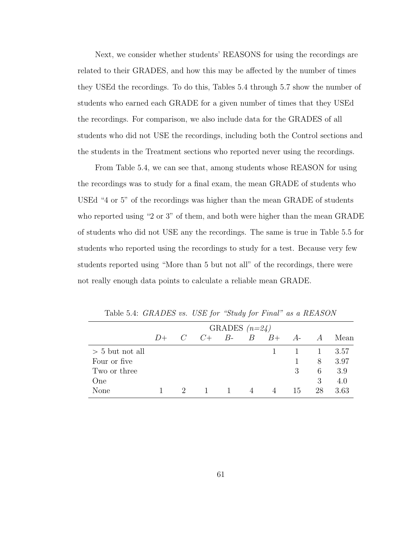Next, we consider whether students' REASONS for using the recordings are related to their GRADES, and how this may be affected by the number of times they USEd the recordings. To do this, Tables 5.4 through 5.7 show the number of students who earned each GRADE for a given number of times that they USEd the recordings. For comparison, we also include data for the GRADES of all students who did not USE the recordings, including both the Control sections and the students in the Treatment sections who reported never using the recordings.

From Table 5.4, we can see that, among students whose REASON for using the recordings was to study for a final exam, the mean GRADE of students who USEd "4 or 5" of the recordings was higher than the mean GRADE of students who reported using "2 or 3" of them, and both were higher than the mean GRADE of students who did not USE any the recordings. The same is true in Table 5.5 for students who reported using the recordings to study for a test. Because very few students reported using "More than 5 but not all" of the recordings, there were not really enough data points to calculate a reliable mean GRADE.

|                   |        | GRADES $(n=24)$ |                          |          |   |  |    |          |       |
|-------------------|--------|-----------------|--------------------------|----------|---|--|----|----------|-------|
|                   | $1) +$ |                 | $C$ $C+$ $B B$ $B+$ $A-$ |          |   |  |    | A        | Mean  |
| $> 5$ but not all |        |                 |                          |          |   |  |    | $\sim$ 1 | -3.57 |
| Four or five      |        |                 |                          |          |   |  |    | 8        | 3.97  |
| Two or three      |        |                 |                          |          |   |  | 3  | 6        | 3.9   |
| One               |        |                 |                          |          |   |  |    | 3        | 4.0   |
| None              |        | $2 -$           | $\overline{1}$           | $\sim$ 1 | 4 |  | 15 | 28       | 3.63  |

Table 5.4: GRADES vs. USE for "Study for Final" as a REASON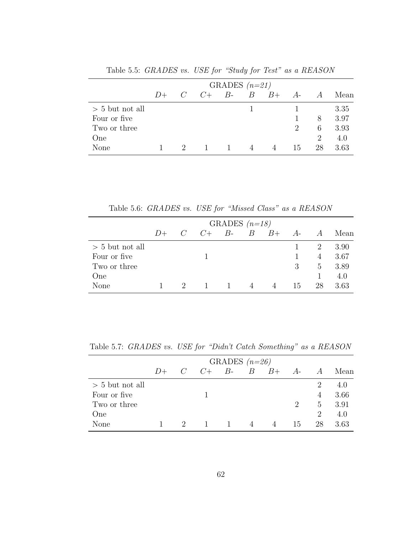|                   |      |           | GRADES $(n=21)$ |                |      |      |                |      |
|-------------------|------|-----------|-----------------|----------------|------|------|----------------|------|
|                   | $D+$ | $C = C +$ | $B - B$         |                | $B+$ | $A-$ | $\overline{A}$ | Mean |
| $> 5$ but not all |      |           |                 | 1.             |      |      |                | 3.35 |
| Four or five      |      |           |                 |                |      |      | 8              | 3.97 |
| Two or three      |      |           |                 |                |      | 2    | 6              | 3.93 |
| One               |      |           |                 |                |      |      | $\mathcal{D}$  | 4.0  |
| None              |      |           |                 | $\overline{4}$ |      | 15   | 28             | 3.63 |

Table 5.5: GRADES vs. USE for "Study for Test" as a REASON

Table 5.6: GRADES vs. USE for "Missed Class" as a REASON

|                   |        |       |                          | GRADES $(n=18)$ |                |    |                |      |
|-------------------|--------|-------|--------------------------|-----------------|----------------|----|----------------|------|
|                   | $1) +$ |       | $C$ $C+$ $B B$ $B+$ $A-$ |                 |                |    | $\overline{A}$ | Mean |
| $> 5$ but not all |        |       |                          |                 |                |    | 2              | 3.90 |
| Four or five      |        |       |                          |                 |                |    | 4              | 3.67 |
| Two or three      |        |       |                          |                 |                | 3  | 5 <sup>5</sup> | 3.89 |
| One               |        |       |                          |                 |                |    |                | 4.0  |
| None              |        | $2 -$ | $\sim$ 1.                | $\sim$ 1        | $\overline{4}$ | 15 | 28             | 3.63 |

Table 5.7: GRADES vs. USE for "Didn't Catch Something" as a REASON

|                   |        |               |                          | GRADES $(n=26)$ |   |                             |                |      |
|-------------------|--------|---------------|--------------------------|-----------------|---|-----------------------------|----------------|------|
|                   | $1) +$ |               | $C$ $C+$ $B B$ $B+$ $A-$ |                 |   |                             | A              | Mean |
| $> 5$ but not all |        |               |                          |                 |   |                             | $\overline{2}$ | 4.0  |
| Four or five      |        |               |                          |                 |   |                             | $\overline{4}$ | 3.66 |
| Two or three      |        |               |                          |                 |   | $\mathcal{D}_{\mathcal{L}}$ | $5^{\circ}$    | 3.91 |
| One               |        |               |                          |                 |   |                             | 2              | 4.0  |
| None              |        | $\mathcal{L}$ | $\mathbf{1}$             | $\sim$ 1        | 4 | 15                          | 28             | 3.63 |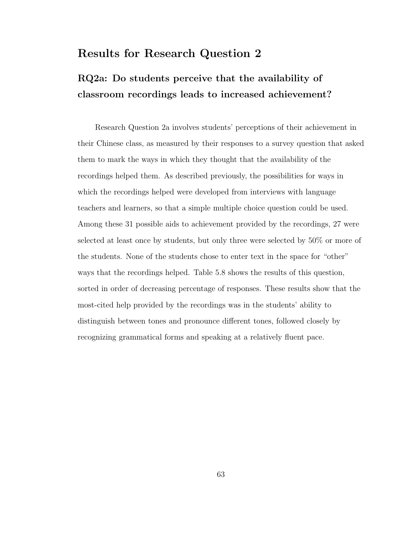### Results for Research Question 2

## RQ2a: Do students perceive that the availability of classroom recordings leads to increased achievement?

Research Question 2a involves students' perceptions of their achievement in their Chinese class, as measured by their responses to a survey question that asked them to mark the ways in which they thought that the availability of the recordings helped them. As described previously, the possibilities for ways in which the recordings helped were developed from interviews with language teachers and learners, so that a simple multiple choice question could be used. Among these 31 possible aids to achievement provided by the recordings, 27 were selected at least once by students, but only three were selected by 50% or more of the students. None of the students chose to enter text in the space for "other" ways that the recordings helped. Table 5.8 shows the results of this question, sorted in order of decreasing percentage of responses. These results show that the most-cited help provided by the recordings was in the students' ability to distinguish between tones and pronounce different tones, followed closely by recognizing grammatical forms and speaking at a relatively fluent pace.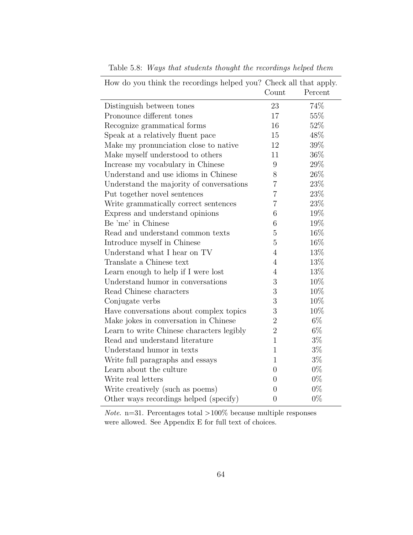| How do you think the recordings helped you? Check all that apply. |                  |         |
|-------------------------------------------------------------------|------------------|---------|
|                                                                   | Count            | Percent |
| Distinguish between tones                                         | 23               | 74%     |
| Pronounce different tones                                         | 17               | 55%     |
| Recognize grammatical forms                                       | 16               | $52\%$  |
| Speak at a relatively fluent pace                                 | 15               | 48%     |
| Make my pronunciation close to native                             | 12               | 39%     |
| Make myself understood to others                                  | 11               | 36%     |
| Increase my vocabulary in Chinese                                 | $\boldsymbol{9}$ | $29\%$  |
| Understand and use idioms in Chinese                              | 8                | 26\%    |
| Understand the majority of conversations                          | $\overline{7}$   | 23\%    |
| Put together novel sentences                                      | $\overline{7}$   | 23\%    |
| Write grammatically correct sentences                             | $\overline{7}$   | 23%     |
| Express and understand opinions                                   | 6                | 19%     |
| Be 'me' in Chinese                                                | 6                | 19%     |
| Read and understand common texts                                  | $\overline{5}$   | 16%     |
| Introduce myself in Chinese                                       | $\overline{5}$   | 16%     |
| Understand what I hear on TV                                      | $\overline{4}$   | 13%     |
| Translate a Chinese text                                          | 4                | 13%     |
| Learn enough to help if I were lost                               | 4                | 13%     |
| Understand humor in conversations                                 | 3                | 10%     |
| Read Chinese characters                                           | 3                | 10%     |
| Conjugate verbs                                                   | 3                | 10%     |
| Have conversations about complex topics                           | $\boldsymbol{3}$ | 10%     |
| Make jokes in conversation in Chinese                             | $\overline{2}$   | $6\%$   |
| Learn to write Chinese characters legibly                         | $\overline{2}$   | $6\%$   |
| Read and understand literature                                    | $\mathbf{1}$     | $3\%$   |
| Understand humor in texts                                         | $\mathbf{1}$     | $3\%$   |
| Write full paragraphs and essays                                  | $\mathbf{1}$     | $3\%$   |
| Learn about the culture                                           | $\overline{0}$   | $0\%$   |
| Write real letters                                                | $\overline{0}$   | $0\%$   |
| Write creatively (such as poems)                                  | $\boldsymbol{0}$ | $0\%$   |
| Other ways recordings helped (specify)                            | $\overline{0}$   | $0\%$   |

Table 5.8: Ways that students thought the recordings helped them

*Note.* n=31. Percentages total  $>100\%$  because multiple responses were allowed. See Appendix E for full text of choices.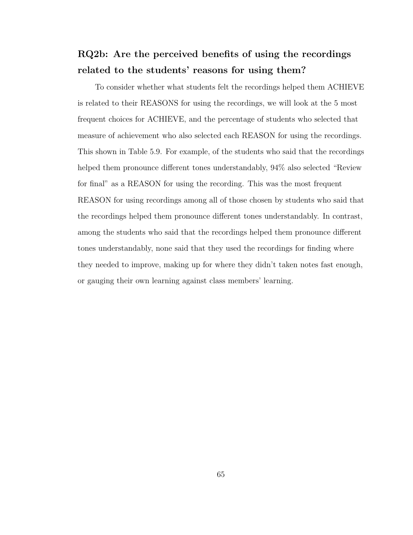### RQ2b: Are the perceived benefits of using the recordings related to the students' reasons for using them?

To consider whether what students felt the recordings helped them ACHIEVE is related to their REASONS for using the recordings, we will look at the 5 most frequent choices for ACHIEVE, and the percentage of students who selected that measure of achievement who also selected each REASON for using the recordings. This shown in Table 5.9. For example, of the students who said that the recordings helped them pronounce different tones understandably, 94% also selected "Review for final" as a REASON for using the recording. This was the most frequent REASON for using recordings among all of those chosen by students who said that the recordings helped them pronounce different tones understandably. In contrast, among the students who said that the recordings helped them pronounce different tones understandably, none said that they used the recordings for finding where they needed to improve, making up for where they didn't taken notes fast enough, or gauging their own learning against class members' learning.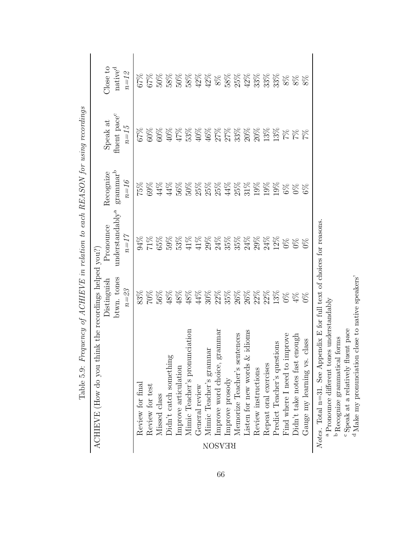| ACHIEVE (How do you think the recordings helped you?) | Distinguish             | Pronounce                               | Recognize                                                                  | Speak at                               | Close to                      |
|-------------------------------------------------------|-------------------------|-----------------------------------------|----------------------------------------------------------------------------|----------------------------------------|-------------------------------|
|                                                       | btwn. tones<br>$n = 23$ | understandably <sup>a</sup><br>$n = 17$ | $\rm{grammar}^{\rm{b}}$<br>$n=16$                                          | fluent pace <sup>c</sup><br>$n\!=\!15$ | native <sup>d</sup><br>$n=12$ |
| Review for final                                      |                         | 94%                                     | 75%                                                                        |                                        |                               |
| Review for test                                       |                         |                                         | 69%                                                                        |                                        | 6788888888<br>678888842       |
| Missed class                                          |                         | $71%$<br>65%                            | $44\%$                                                                     |                                        |                               |
| Didn't catch something                                |                         |                                         | 44%                                                                        |                                        |                               |
| Improve articulation                                  |                         |                                         | $56\%$                                                                     |                                        |                               |
| Mimic Teacher's pronunciation                         |                         | 59%<br>53%<br>41%                       |                                                                            |                                        |                               |
| General review                                        |                         | $41\%$                                  |                                                                            |                                        |                               |
| Mimic Teacher's gramnar                               |                         |                                         | 58 8 8 8 8 8 8 8 8 8 8<br>5 8 8 9 8 9 8 9 8 9 8<br>5 8 8 8 8 8 8 8 8 8 8 8 |                                        |                               |
| Improve word choice, gra<br><b>REASON</b>             |                         |                                         |                                                                            |                                        | $8\%$                         |
| Improve prosody                                       |                         |                                         |                                                                            |                                        |                               |
| ences<br>Memorize Teacher's sent                      |                         |                                         |                                                                            |                                        |                               |
| dioms<br>Listen for new words $&$                     |                         |                                         |                                                                            |                                        |                               |
| Review instructions                                   |                         |                                         |                                                                            |                                        |                               |
| Repeat oral exercises                                 |                         |                                         |                                                                            |                                        |                               |
| Predict Teacher's questions                           |                         |                                         |                                                                            |                                        |                               |
| Find where I need to improve                          |                         |                                         | $6\%$                                                                      |                                        | $8\%$                         |
| hanor<br>Didn't take notes fast en                    |                         |                                         | $\frac{8}{20}$                                                             |                                        | $8\%$                         |
| lass<br>Gauge my learning vs. c                       | $\frac{8}{3}$           | $5\%$                                   | $6\%$                                                                      |                                        | $8\%$                         |

Table 5.9: Frequency of ACHIEVE in relation to each REASON for using recordings Table 5.9: Frequency of ACHIEVE in relation to each REASON for using recordings

Notes. Total n=31. See Appendix E for full text of choices for reasons. Notes. Total n=31. See Appendix E for full text of choices for reasons.

 $^{\rm a}$  Pronounce different tones understandably Pronounce different tones understandably

Recognize grammatical forms

bcdSpeak at a relatively fluent pace

Make my pronunciation close to native speakers'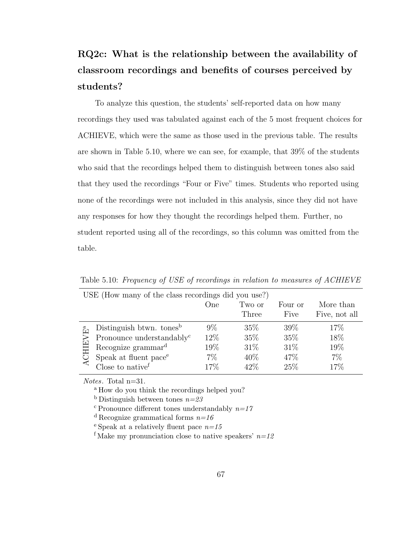# RQ2c: What is the relationship between the availability of classroom recordings and benefits of courses perceived by students?

To analyze this question, the students' self-reported data on how many recordings they used was tabulated against each of the 5 most frequent choices for ACHIEVE, which were the same as those used in the previous table. The results are shown in Table 5.10, where we can see, for example, that 39% of the students who said that the recordings helped them to distinguish between tones also said that they used the recordings "Four or Five" times. Students who reported using none of the recordings were not included in this analysis, since they did not have any responses for how they thought the recordings helped them. Further, no student reported using all of the recordings, so this column was omitted from the table.

|              | USE (How many of the class recordings did you use?) |       |        |         |               |
|--------------|-----------------------------------------------------|-------|--------|---------|---------------|
|              |                                                     | One   | Two or | Four or | More than     |
|              |                                                     |       | Three  | Five    | Five, not all |
|              | Distinguish btwn. tones <sup>b</sup>                | $9\%$ | $35\%$ | 39\%    | 17\%          |
|              | Pronounce understandably <sup>c</sup>               | 12%   | 35%    | 35%     | 18%           |
|              | Recognize grammar <sup>d</sup>                      | 19%   | 31\%   | 31\%    | 19%           |
| <b>CHIEV</b> | Speak at fluent pace <sup>e</sup>                   | 7%    | $40\%$ | 47%     | 7%            |
|              | Close to $native^f$                                 | 17%   | 42\%   | 25%     | 17%           |

Table 5.10: Frequency of USE of recordings in relation to measures of ACHIEVE

Notes. Total n=31.

<sup>a</sup> How do you think the recordings helped you?

<sup>b</sup> Distinguish between tones  $n=23$ 

<sup>c</sup> Pronounce different tones understandably  $n=17$ 

<sup>d</sup> Recognize grammatical forms  $n=16$ 

<sup>e</sup> Speak at a relatively fluent pace  $n=15$ 

<sup>f</sup> Make my pronunciation close to native speakers'  $n=12$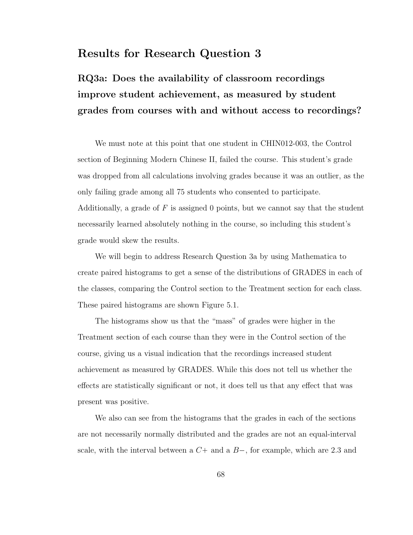### Results for Research Question 3

# RQ3a: Does the availability of classroom recordings improve student achievement, as measured by student grades from courses with and without access to recordings?

We must note at this point that one student in CHIN012-003, the Control section of Beginning Modern Chinese II, failed the course. This student's grade was dropped from all calculations involving grades because it was an outlier, as the only failing grade among all 75 students who consented to participate. Additionally, a grade of  $F$  is assigned 0 points, but we cannot say that the student necessarily learned absolutely nothing in the course, so including this student's grade would skew the results.

We will begin to address Research Question 3a by using Mathematica to create paired histograms to get a sense of the distributions of GRADES in each of the classes, comparing the Control section to the Treatment section for each class. These paired histograms are shown Figure 5.1.

The histograms show us that the "mass" of grades were higher in the Treatment section of each course than they were in the Control section of the course, giving us a visual indication that the recordings increased student achievement as measured by GRADES. While this does not tell us whether the effects are statistically significant or not, it does tell us that any effect that was present was positive.

We also can see from the histograms that the grades in each of the sections are not necessarily normally distributed and the grades are not an equal-interval scale, with the interval between a  $C<sup>+</sup>$  and a  $B<sup>-</sup>$ , for example, which are 2.3 and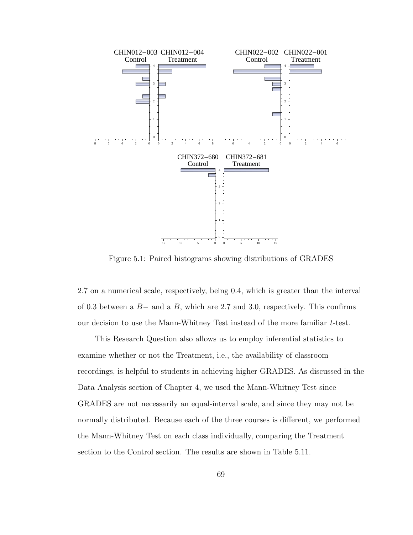

Figure 5.1: Paired histograms showing distributions of GRADES

2.7 on a numerical scale, respectively, being 0.4, which is greater than the interval of 0.3 between a  $B-$  and a  $B$ , which are 2.7 and 3.0, respectively. This confirms our decision to use the Mann-Whitney Test instead of the more familiar t-test.

This Research Question also allows us to employ inferential statistics to examine whether or not the Treatment, i.e., the availability of classroom recordings, is helpful to students in achieving higher GRADES. As discussed in the Data Analysis section of Chapter 4, we used the Mann-Whitney Test since GRADES are not necessarily an equal-interval scale, and since they may not be normally distributed. Because each of the three courses is different, we performed the Mann-Whitney Test on each class individually, comparing the Treatment section to the Control section. The results are shown in Table 5.11.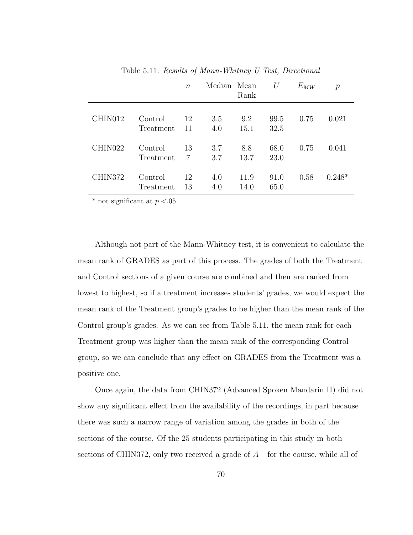|                     |                      | $\boldsymbol{n}$ | Median Mean | Rank         | U            | $E_{MW}$ | $\mathcal{p}$ |
|---------------------|----------------------|------------------|-------------|--------------|--------------|----------|---------------|
| CHIN012             | Control<br>Treatment | 12<br>11         | 3.5<br>4.0  | 9.2<br>15.1  | 99.5<br>32.5 | 0.75     | 0.021         |
| CHIN <sub>022</sub> | Control<br>Treatment | 13<br>7          | 3.7<br>3.7  | 8.8<br>13.7  | 68.0<br>23.0 | 0.75     | 0.041         |
| CHIN372             | Control<br>Treatment | 12<br>13         | 4.0<br>4.0  | 11.9<br>14.0 | 91.0<br>65.0 | 0.58     | $0.248*$      |

Table 5.11: Results of Mann-Whitney U Test, Directional

\* not significant at  $p < .05$ 

Although not part of the Mann-Whitney test, it is convenient to calculate the mean rank of GRADES as part of this process. The grades of both the Treatment and Control sections of a given course are combined and then are ranked from lowest to highest, so if a treatment increases students' grades, we would expect the mean rank of the Treatment group's grades to be higher than the mean rank of the Control group's grades. As we can see from Table 5.11, the mean rank for each Treatment group was higher than the mean rank of the corresponding Control group, so we can conclude that any effect on GRADES from the Treatment was a positive one.

Once again, the data from CHIN372 (Advanced Spoken Mandarin II) did not show any significant effect from the availability of the recordings, in part because there was such a narrow range of variation among the grades in both of the sections of the course. Of the 25 students participating in this study in both sections of CHIN372, only two received a grade of  $A-$  for the course, while all of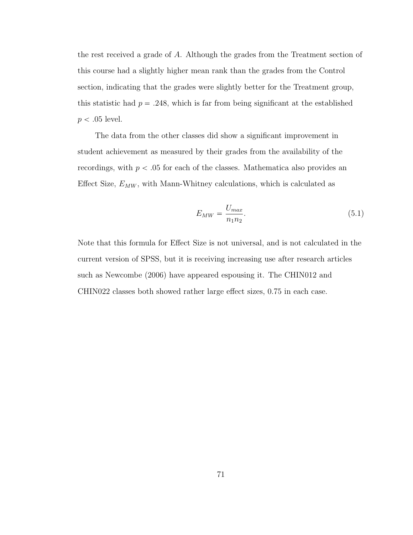the rest received a grade of A. Although the grades from the Treatment section of this course had a slightly higher mean rank than the grades from the Control section, indicating that the grades were slightly better for the Treatment group, this statistic had  $p = .248$ , which is far from being significant at the established  $p < .05$  level.

The data from the other classes did show a significant improvement in student achievement as measured by their grades from the availability of the recordings, with  $p < .05$  for each of the classes. Mathematica also provides an Effect Size,  $E_{MW}$ , with Mann-Whitney calculations, which is calculated as

$$
E_{MW} = \frac{U_{max}}{n_1 n_2}.\tag{5.1}
$$

Note that this formula for Effect Size is not universal, and is not calculated in the current version of SPSS, but it is receiving increasing use after research articles such as Newcombe (2006) have appeared espousing it. The CHIN012 and CHIN022 classes both showed rather large effect sizes, 0.75 in each case.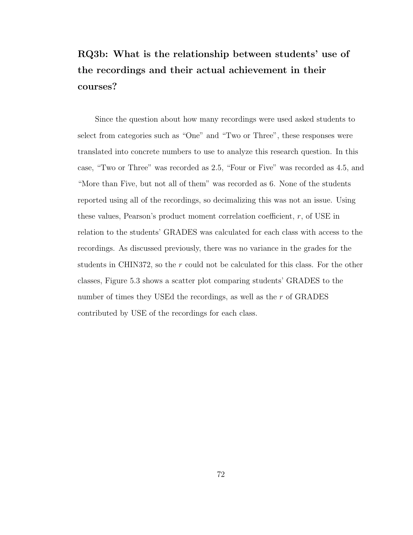# RQ3b: What is the relationship between students' use of the recordings and their actual achievement in their courses?

Since the question about how many recordings were used asked students to select from categories such as "One" and "Two or Three", these responses were translated into concrete numbers to use to analyze this research question. In this case, "Two or Three" was recorded as 2.5, "Four or Five" was recorded as 4.5, and "More than Five, but not all of them" was recorded as 6. None of the students reported using all of the recordings, so decimalizing this was not an issue. Using these values, Pearson's product moment correlation coefficient,  $r$ , of USE in relation to the students' GRADES was calculated for each class with access to the recordings. As discussed previously, there was no variance in the grades for the students in CHIN372, so the r could not be calculated for this class. For the other classes, Figure 5.3 shows a scatter plot comparing students' GRADES to the number of times they USEd the recordings, as well as the r of GRADES contributed by USE of the recordings for each class.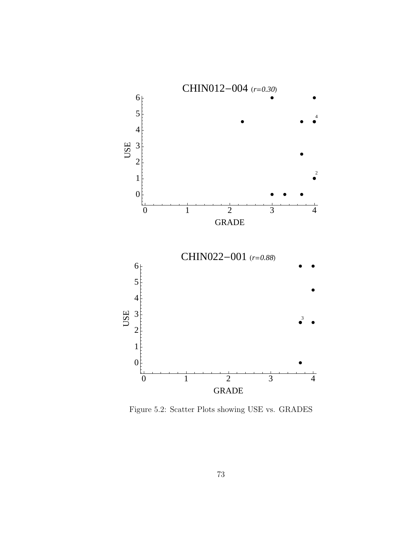

Figure 5.2: Scatter Plots showing USE vs. GRADES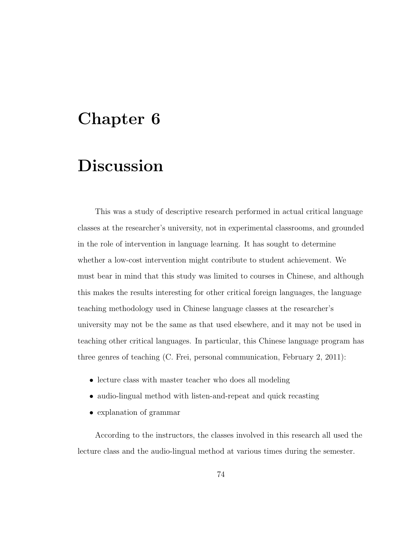# Chapter 6

# **Discussion**

This was a study of descriptive research performed in actual critical language classes at the researcher's university, not in experimental classrooms, and grounded in the role of intervention in language learning. It has sought to determine whether a low-cost intervention might contribute to student achievement. We must bear in mind that this study was limited to courses in Chinese, and although this makes the results interesting for other critical foreign languages, the language teaching methodology used in Chinese language classes at the researcher's university may not be the same as that used elsewhere, and it may not be used in teaching other critical languages. In particular, this Chinese language program has three genres of teaching (C. Frei, personal communication, February 2, 2011):

- lecture class with master teacher who does all modeling
- audio-lingual method with listen-and-repeat and quick recasting
- explanation of grammar

According to the instructors, the classes involved in this research all used the lecture class and the audio-lingual method at various times during the semester.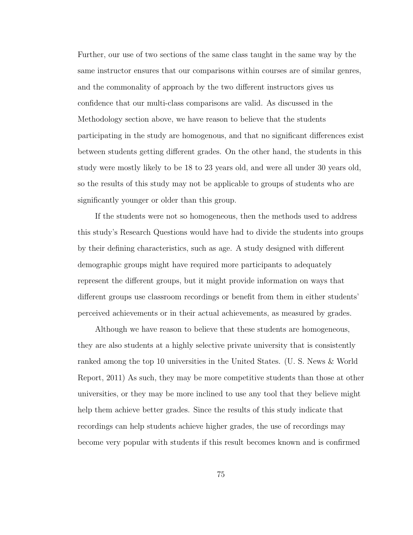Further, our use of two sections of the same class taught in the same way by the same instructor ensures that our comparisons within courses are of similar genres, and the commonality of approach by the two different instructors gives us confidence that our multi-class comparisons are valid. As discussed in the Methodology section above, we have reason to believe that the students participating in the study are homogenous, and that no significant differences exist between students getting different grades. On the other hand, the students in this study were mostly likely to be 18 to 23 years old, and were all under 30 years old, so the results of this study may not be applicable to groups of students who are significantly younger or older than this group.

If the students were not so homogeneous, then the methods used to address this study's Research Questions would have had to divide the students into groups by their defining characteristics, such as age. A study designed with different demographic groups might have required more participants to adequately represent the different groups, but it might provide information on ways that different groups use classroom recordings or benefit from them in either students' perceived achievements or in their actual achievements, as measured by grades.

Although we have reason to believe that these students are homogeneous, they are also students at a highly selective private university that is consistently ranked among the top 10 universities in the United States. (U. S. News & World Report, 2011) As such, they may be more competitive students than those at other universities, or they may be more inclined to use any tool that they believe might help them achieve better grades. Since the results of this study indicate that recordings can help students achieve higher grades, the use of recordings may become very popular with students if this result becomes known and is confirmed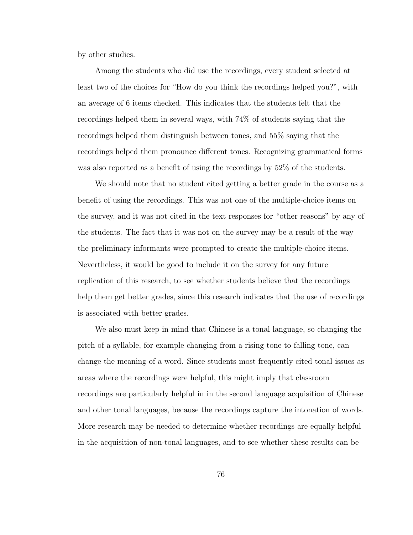by other studies.

Among the students who did use the recordings, every student selected at least two of the choices for "How do you think the recordings helped you?", with an average of 6 items checked. This indicates that the students felt that the recordings helped them in several ways, with 74% of students saying that the recordings helped them distinguish between tones, and 55% saying that the recordings helped them pronounce different tones. Recognizing grammatical forms was also reported as a benefit of using the recordings by 52% of the students.

We should note that no student cited getting a better grade in the course as a benefit of using the recordings. This was not one of the multiple-choice items on the survey, and it was not cited in the text responses for "other reasons" by any of the students. The fact that it was not on the survey may be a result of the way the preliminary informants were prompted to create the multiple-choice items. Nevertheless, it would be good to include it on the survey for any future replication of this research, to see whether students believe that the recordings help them get better grades, since this research indicates that the use of recordings is associated with better grades.

We also must keep in mind that Chinese is a tonal language, so changing the pitch of a syllable, for example changing from a rising tone to falling tone, can change the meaning of a word. Since students most frequently cited tonal issues as areas where the recordings were helpful, this might imply that classroom recordings are particularly helpful in in the second language acquisition of Chinese and other tonal languages, because the recordings capture the intonation of words. More research may be needed to determine whether recordings are equally helpful in the acquisition of non-tonal languages, and to see whether these results can be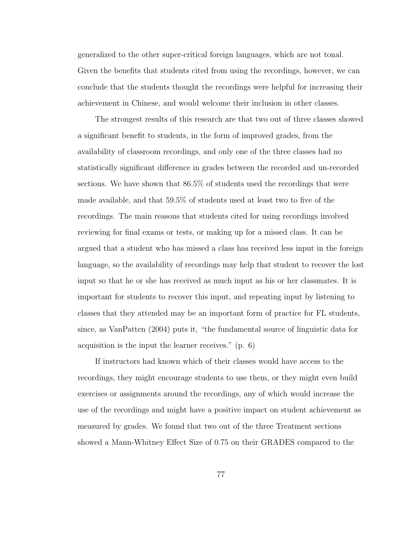generalized to the other super-critical foreign languages, which are not tonal. Given the benefits that students cited from using the recordings, however, we can conclude that the students thought the recordings were helpful for increasing their achievement in Chinese, and would welcome their inclusion in other classes.

The strongest results of this research are that two out of three classes showed a significant benefit to students, in the form of improved grades, from the availability of classroom recordings, and only one of the three classes had no statistically significant difference in grades between the recorded and un-recorded sections. We have shown that 86.5% of students used the recordings that were made available, and that 59.5% of students used at least two to five of the recordings. The main reasons that students cited for using recordings involved reviewing for final exams or tests, or making up for a missed class. It can be argued that a student who has missed a class has received less input in the foreign language, so the availability of recordings may help that student to recover the lost input so that he or she has received as much input as his or her classmates. It is important for students to recover this input, and repeating input by listening to classes that they attended may be an important form of practice for FL students, since, as VanPatten (2004) puts it, "the fundamental source of linguistic data for acquisition is the input the learner receives." (p. 6)

If instructors had known which of their classes would have access to the recordings, they might encourage students to use them, or they might even build exercises or assignments around the recordings, any of which would increase the use of the recordings and might have a positive impact on student achievement as measured by grades. We found that two out of the three Treatment sections showed a Mann-Whitney Effect Size of 0.75 on their GRADES compared to the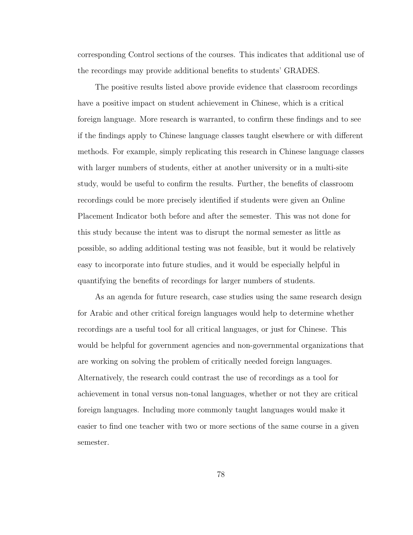corresponding Control sections of the courses. This indicates that additional use of the recordings may provide additional benefits to students' GRADES.

The positive results listed above provide evidence that classroom recordings have a positive impact on student achievement in Chinese, which is a critical foreign language. More research is warranted, to confirm these findings and to see if the findings apply to Chinese language classes taught elsewhere or with different methods. For example, simply replicating this research in Chinese language classes with larger numbers of students, either at another university or in a multi-site study, would be useful to confirm the results. Further, the benefits of classroom recordings could be more precisely identified if students were given an Online Placement Indicator both before and after the semester. This was not done for this study because the intent was to disrupt the normal semester as little as possible, so adding additional testing was not feasible, but it would be relatively easy to incorporate into future studies, and it would be especially helpful in quantifying the benefits of recordings for larger numbers of students.

As an agenda for future research, case studies using the same research design for Arabic and other critical foreign languages would help to determine whether recordings are a useful tool for all critical languages, or just for Chinese. This would be helpful for government agencies and non-governmental organizations that are working on solving the problem of critically needed foreign languages. Alternatively, the research could contrast the use of recordings as a tool for achievement in tonal versus non-tonal languages, whether or not they are critical foreign languages. Including more commonly taught languages would make it easier to find one teacher with two or more sections of the same course in a given semester.

78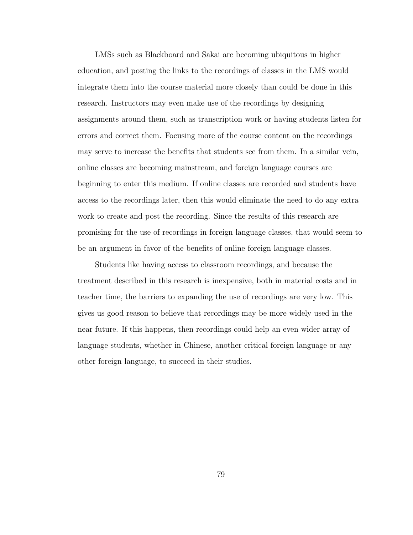LMSs such as Blackboard and Sakai are becoming ubiquitous in higher education, and posting the links to the recordings of classes in the LMS would integrate them into the course material more closely than could be done in this research. Instructors may even make use of the recordings by designing assignments around them, such as transcription work or having students listen for errors and correct them. Focusing more of the course content on the recordings may serve to increase the benefits that students see from them. In a similar vein, online classes are becoming mainstream, and foreign language courses are beginning to enter this medium. If online classes are recorded and students have access to the recordings later, then this would eliminate the need to do any extra work to create and post the recording. Since the results of this research are promising for the use of recordings in foreign language classes, that would seem to be an argument in favor of the benefits of online foreign language classes.

Students like having access to classroom recordings, and because the treatment described in this research is inexpensive, both in material costs and in teacher time, the barriers to expanding the use of recordings are very low. This gives us good reason to believe that recordings may be more widely used in the near future. If this happens, then recordings could help an even wider array of language students, whether in Chinese, another critical foreign language or any other foreign language, to succeed in their studies.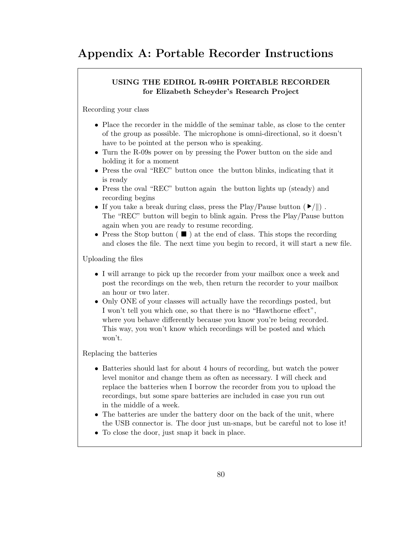### Appendix A: Portable Recorder Instructions

#### USING THE EDIROL R-09HR PORTABLE RECORDER for Elizabeth Scheyder's Research Project

Recording your class

- Place the recorder in the middle of the seminar table, as close to the center of the group as possible. The microphone is omni-directional, so it doesn't have to be pointed at the person who is speaking.
- Turn the R-09s power on by pressing the Power button on the side and holding it for a moment
- Press the oval "REC" button once the button blinks, indicating that it is ready
- Press the oval "REC" button again the button lights up (steady) and recording begins
- If you take a break during class, press the Play/Pause button  $(\blacktriangleright/\parallel)$ . The "REC" button will begin to blink again. Press the Play/Pause button again when you are ready to resume recording.
- Press the Stop button ( $\blacksquare$ ) at the end of class. This stops the recording and closes the file. The next time you begin to record, it will start a new file.

Uploading the files

- I will arrange to pick up the recorder from your mailbox once a week and post the recordings on the web, then return the recorder to your mailbox an hour or two later.
- Only ONE of your classes will actually have the recordings posted, but I won't tell you which one, so that there is no "Hawthorne effect", where you behave differently because you know you're being recorded. This way, you won't know which recordings will be posted and which won't.

Replacing the batteries

- Batteries should last for about 4 hours of recording, but watch the power level monitor and change them as often as necessary. I will check and replace the batteries when I borrow the recorder from you to upload the recordings, but some spare batteries are included in case you run out in the middle of a week.
- The batteries are under the battery door on the back of the unit, where the USB connector is. The door just un-snaps, but be careful not to lose it!
- To close the door, just snap it back in place.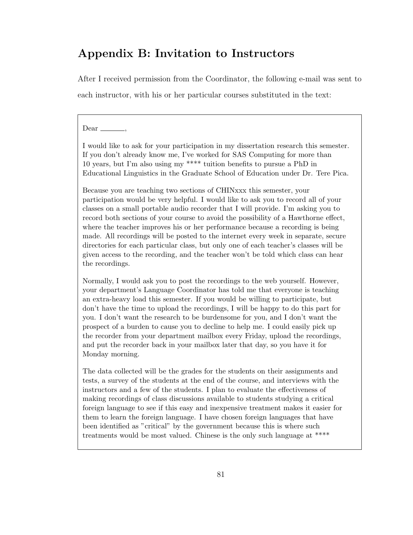### Appendix B: Invitation to Instructors

After I received permission from the Coordinator, the following e-mail was sent to each instructor, with his or her particular courses substituted in the text:

#### $Dear$   $\equiv$

I would like to ask for your participation in my dissertation research this semester. If you don't already know me, I've worked for SAS Computing for more than 10 years, but I'm also using my \*\*\*\* tuition benefits to pursue a PhD in Educational Linguistics in the Graduate School of Education under Dr. Tere Pica.

Because you are teaching two sections of CHINxxx this semester, your participation would be very helpful. I would like to ask you to record all of your classes on a small portable audio recorder that I will provide. I'm asking you to record both sections of your course to avoid the possibility of a Hawthorne effect, where the teacher improves his or her performance because a recording is being made. All recordings will be posted to the internet every week in separate, secure directories for each particular class, but only one of each teacher's classes will be given access to the recording, and the teacher won't be told which class can hear the recordings.

Normally, I would ask you to post the recordings to the web yourself. However, your department's Language Coordinator has told me that everyone is teaching an extra-heavy load this semester. If you would be willing to participate, but don't have the time to upload the recordings, I will be happy to do this part for you. I don't want the research to be burdensome for you, and I don't want the prospect of a burden to cause you to decline to help me. I could easily pick up the recorder from your department mailbox every Friday, upload the recordings, and put the recorder back in your mailbox later that day, so you have it for Monday morning.

The data collected will be the grades for the students on their assignments and tests, a survey of the students at the end of the course, and interviews with the instructors and a few of the students. I plan to evaluate the effectiveness of making recordings of class discussions available to students studying a critical foreign language to see if this easy and inexpensive treatment makes it easier for them to learn the foreign language. I have chosen foreign languages that have been identified as "critical" by the government because this is where such treatments would be most valued. Chinese is the only such language at \*\*\*\*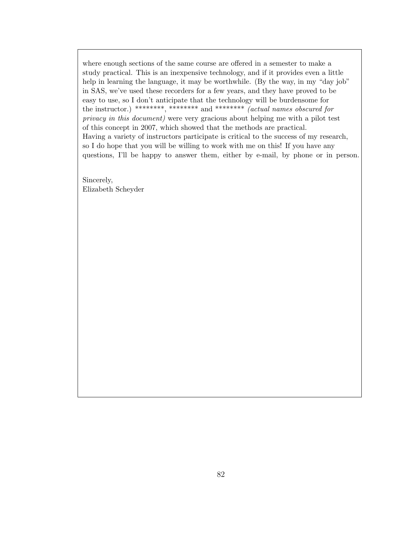where enough sections of the same course are offered in a semester to make a study practical. This is an inexpensive technology, and if it provides even a little help in learning the language, it may be worthwhile. (By the way, in my "day job" in SAS, we've used these recorders for a few years, and they have proved to be easy to use, so I don't anticipate that the technology will be burdensome for the instructor.) \*\*\*\*\*\*\*\*, \*\*\*\*\*\*\*\* and \*\*\*\*\*\*\*\* (actual names obscured for privacy in this document) were very gracious about helping me with a pilot test of this concept in 2007, which showed that the methods are practical. Having a variety of instructors participate is critical to the success of my research, so I do hope that you will be willing to work with me on this! If you have any questions, I'll be happy to answer them, either by e-mail, by phone or in person.

Sincerely, Elizabeth Scheyder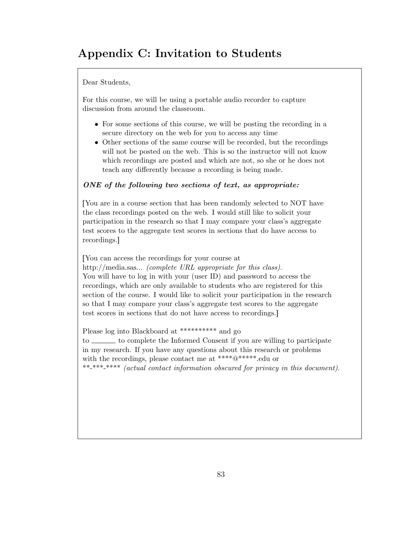## Appendix C: Invitation to Students

Dear Students,

For this course, we will be using a portable audio recorder to capture discussion from around the classroom.

- For some sections of this course, we will be posting the recording in a secure directory on the web for you to access any time
- Other sections of the same course will be recorded, but the recordings will not be posted on the web. This is so the instructor will not know which recordings are posted and which are not, so she or he does not teach any differently because a recording is being made.

#### ONE of the following two sections of text, as appropriate:

You are in a course section that has been randomly selected to NOT have the class recordings posted on the web. I would still like to solicit your participation in the research so that I may compare your class's aggregate test scores to the aggregate test scores in sections that do have access to recordings.

rYou can access the recordings for your course at

http://media.sas... *(complete URL appropriate for this class)*. You will have to log in with your (user ID) and password to access the recordings, which are only available to students who are registered for this section of the course. I would like to solicit your participation in the research so that I may compare your class's aggregate test scores to the aggregate test scores in sections that do not have access to recordings.

Please log into Blackboard at \*\*\*\*\*\*\*\*\*\* and go

to <u>the complete</u> the Informed Consent if you are willing to participate in my research. If you have any questions about this research or problems with the recordings, please contact me at \*\*\*\* $@****$ <sup>\*</sup>.edu or \*\*-\*\*\*-\*\*\*\* (actual contact information obscured for privacy in this document).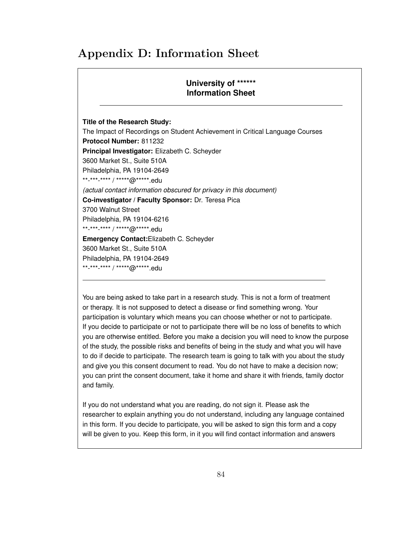### Appendix D: Information Sheet

#### **University of \*\*\*\*\*\* Information Sheet**

**Title of the Research Study:** The Impact of Recordings on Student Achievement in Critical Language Courses **Protocol Number:** 811232 **Principal Investigator:** Elizabeth C. Scheyder 3600 Market St., Suite 510A Philadelphia, PA 19104-2649 \*\*-\*\*\*-\*\*\*\* / \*\*\*\*\*@\*\*\*\*\*.edu *(actual contact information obscured for privacy in this document)* **Co-investigator / Faculty Sponsor:** Dr. Teresa Pica 3700 Walnut Street Philadelphia, PA 19104-6216 \*\*-\*\*\*-\*\*\*\* / \*\*\*\*\*@\*\*\*\*\*.edu **Emergency Contact:**Elizabeth C. Scheyder 3600 Market St., Suite 510A Philadelphia, PA 19104-2649 \*\*-\*\*\*-\*\*\*\* / \*\*\*\*\*@\*\*\*\*\*.edu

You are being asked to take part in a research study. This is not a form of treatment or therapy. It is not supposed to detect a disease or find something wrong. Your participation is voluntary which means you can choose whether or not to participate. If you decide to participate or not to participate there will be no loss of benefits to which you are otherwise entitled. Before you make a decision you will need to know the purpose of the study, the possible risks and benefits of being in the study and what you will have to do if decide to participate. The research team is going to talk with you about the study and give you this consent document to read. You do not have to make a decision now; you can print the consent document, take it home and share it with friends, family doctor and family.

If you do not understand what you are reading, do not sign it. Please ask the researcher to explain anything you do not understand, including any language contained in this form. If you decide to participate, you will be asked to sign this form and a copy will be given to you. Keep this form, in it you will find contact information and answers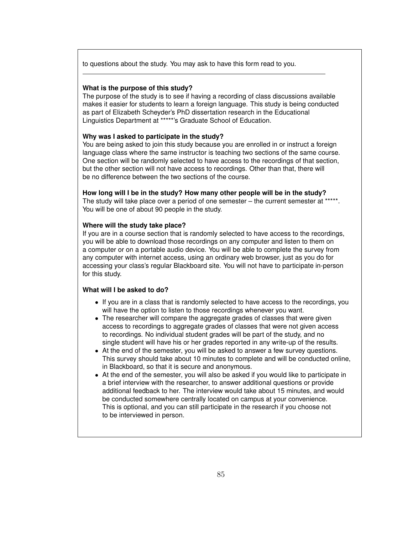to questions about the study. You may ask to have this form read to you.

#### **What is the purpose of this study?**

The purpose of the study is to see if having a recording of class discussions available makes it easier for students to learn a foreign language. This study is being conducted as part of Elizabeth Scheyder's PhD dissertation research in the Educational Linguistics Department at \*\*\*\*\*'s Graduate School of Education.

#### **Why was I asked to participate in the study?**

You are being asked to join this study because you are enrolled in or instruct a foreign language class where the same instructor is teaching two sections of the same course. One section will be randomly selected to have access to the recordings of that section, but the other section will not have access to recordings. Other than that, there will be no difference between the two sections of the course.

#### **How long will I be in the study? How many other people will be in the study?**

The study will take place over a period of one semester – the current semester at \*\*\*\*\*. You will be one of about 90 people in the study.

#### **Where will the study take place?**

If you are in a course section that is randomly selected to have access to the recordings, you will be able to download those recordings on any computer and listen to them on a computer or on a portable audio device. You will be able to complete the survey from any computer with internet access, using an ordinary web browser, just as you do for accessing your class's regular Blackboard site. You will not have to participate in-person for this study.

#### **What will I be asked to do?**

- If you are in a class that is randomly selected to have access to the recordings, you will have the option to listen to those recordings whenever you want.
- The researcher will compare the aggregate grades of classes that were given access to recordings to aggregate grades of classes that were not given access to recordings. No individual student grades will be part of the study, and no single student will have his or her grades reported in any write-up of the results.
- At the end of the semester, you will be asked to answer a few survey questions. This survey should take about 10 minutes to complete and will be conducted online, in Blackboard, so that it is secure and anonymous.
- At the end of the semester, you will also be asked if you would like to participate in a brief interview with the researcher, to answer additional questions or provide additional feedback to her. The interview would take about 15 minutes, and would be conducted somewhere centrally located on campus at your convenience. This is optional, and you can still participate in the research if you choose not to be interviewed in person.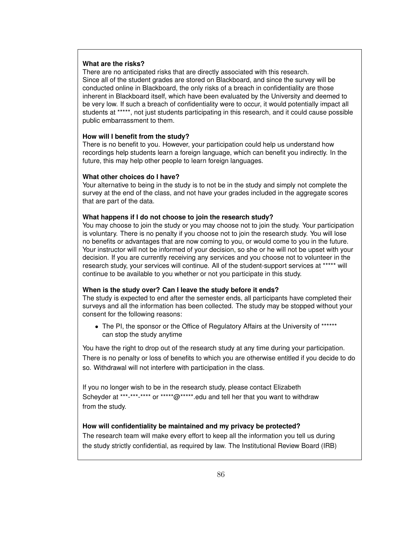#### **What are the risks?**

There are no anticipated risks that are directly associated with this research. Since all of the student grades are stored on Blackboard, and since the survey will be conducted online in Blackboard, the only risks of a breach in confidentiality are those inherent in Blackboard itself, which have been evaluated by the University and deemed to be very low. If such a breach of confidentiality were to occur, it would potentially impact all students at \*\*\*\*\*, not just students participating in this research, and it could cause possible public embarrassment to them.

#### **How will I benefit from the study?**

There is no benefit to you. However, your participation could help us understand how recordings help students learn a foreign language, which can benefit you indirectly. In the future, this may help other people to learn foreign languages.

#### **What other choices do I have?**

Your alternative to being in the study is to not be in the study and simply not complete the survey at the end of the class, and not have your grades included in the aggregate scores that are part of the data.

#### **What happens if I do not choose to join the research study?**

You may choose to join the study or you may choose not to join the study. Your participation is voluntary. There is no penalty if you choose not to join the research study. You will lose no benefits or advantages that are now coming to you, or would come to you in the future. Your instructor will not be informed of your decision, so she or he will not be upset with your decision. If you are currently receiving any services and you choose not to volunteer in the research study, your services will continue. All of the student-support services at \*\*\*\*\* will continue to be available to you whether or not you participate in this study.

#### **When is the study over? Can I leave the study before it ends?**

The study is expected to end after the semester ends, all participants have completed their surveys and all the information has been collected. The study may be stopped without your consent for the following reasons:

• The PI, the sponsor or the Office of Regulatory Affairs at the University of \*\*\*\*\*\* can stop the study anytime

You have the right to drop out of the research study at any time during your participation. There is no penalty or loss of benefits to which you are otherwise entitled if you decide to do so. Withdrawal will not interfere with participation in the class.

If you no longer wish to be in the research study, please contact Elizabeth Scheyder at \*\*\*-\*\*\*-\*\*\*\* or \*\*\*\*\*@\*\*\*\*\*.edu and tell her that you want to withdraw from the study.

#### **How will confidentiality be maintained and my privacy be protected?**

The research team will make every effort to keep all the information you tell us during the study strictly confidential, as required by law. The Institutional Review Board (IRB)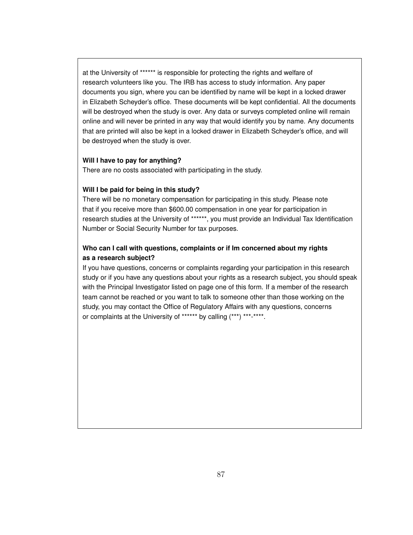at the University of \*\*\*\*\*\* is responsible for protecting the rights and welfare of research volunteers like you. The IRB has access to study information. Any paper documents you sign, where you can be identified by name will be kept in a locked drawer in Elizabeth Scheyder's office. These documents will be kept confidential. All the documents will be destroyed when the study is over. Any data or surveys completed online will remain online and will never be printed in any way that would identify you by name. Any documents that are printed will also be kept in a locked drawer in Elizabeth Scheyder's office, and will be destroyed when the study is over.

#### **Will I have to pay for anything?**

There are no costs associated with participating in the study.

#### **Will I be paid for being in this study?**

There will be no monetary compensation for participating in this study. Please note that if you receive more than \$600.00 compensation in one year for participation in research studies at the University of \*\*\*\*\*\*, you must provide an Individual Tax Identification Number or Social Security Number for tax purposes.

#### **Who can I call with questions, complaints or if Im concerned about my rights as a research subject?**

If you have questions, concerns or complaints regarding your participation in this research study or if you have any questions about your rights as a research subject, you should speak with the Principal Investigator listed on page one of this form. If a member of the research team cannot be reached or you want to talk to someone other than those working on the study, you may contact the Office of Regulatory Affairs with any questions, concerns or complaints at the University of \*\*\*\*\*\* by calling (\*\*\*) \*\*\*-\*\*\*\*.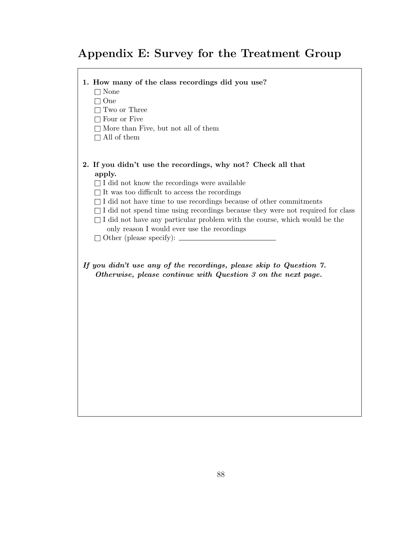## Appendix E: Survey for the Treatment Group

#### 1. How many of the class recordings did you use?

 $\Box$  None

 $\Box$  One

 $\Box$  Two or Three

 $\Box$  Four or Five

 $\Box$  More than Five, but not all of them

 $\Box$  All of them

#### 2. If you didn't use the recordings, why not? Check all that apply.

 $\Box$  I did not know the recordings were available

 $\Box$  It was too difficult to access the recordings

 $\Box$  I did not have time to use recordings because of other commitments

 $\Box$  I did not spend time using recordings because they were not required for class

 $\Box$  I did not have any particular problem with the course, which would be the

only reason I would ever use the recordings

 $\Box$  Other (please specify):  $\Box$ 

If you didn't use any of the recordings, please skip to Question 7. Otherwise, please continue with Question 3 on the next page.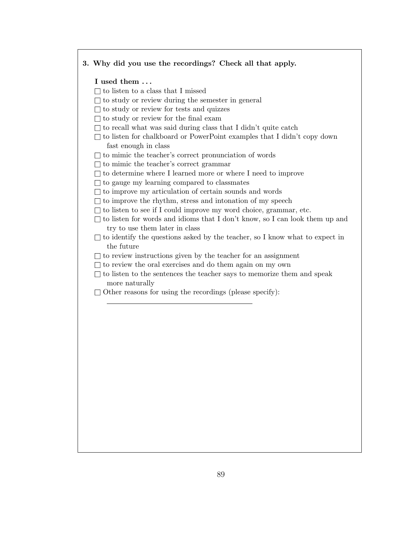#### 3. Why did you use the recordings? Check all that apply.

#### I used them . . .

- $\Box$  to listen to a class that I missed
- $\Box$  to study or review during the semester in general
- $\Box$  to study or review for tests and quizzes
- $\Box$  to study or review for the final exam
- $\Box$  to recall what was said during class that I didn't quite catch
- $\Box$  to listen for chalkboard or PowerPoint examples that I didn't copy down fast enough in class
- $\Box$  to mimic the teacher's correct pronunciation of words
- $\Box$  to mimic the teacher's correct grammar
- $\Box$  to determine where I learned more or where I need to improve
- $\Box$  to gauge my learning compared to classmates
- $\Box$  to improve my articulation of certain sounds and words
- $\Box$  to improve the rhythm, stress and intonation of my speech
- $\Box$  to listen to see if I could improve my word choice, grammar, etc.
- $\Box$  to listen for words and idioms that I don't know, so I can look them up and try to use them later in class
- $\Box$  to identify the questions asked by the teacher, so I know what to expect in the future
- $\Box$  to review instructions given by the teacher for an assignment
- $\Box$  to review the oral exercises and do them again on my own
- $\Box$  to listen to the sentences the teacher says to memorize them and speak more naturally
- $\Box$  Other reasons for using the recordings (please specify):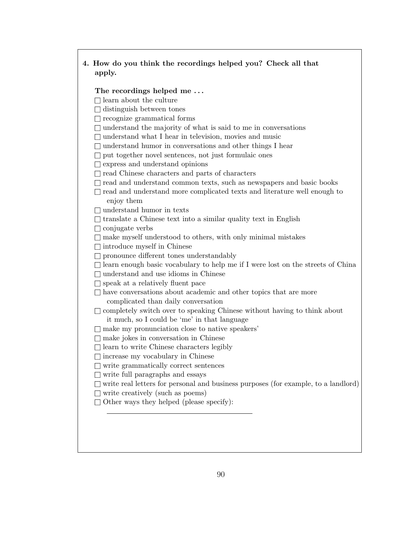#### 4. How do you think the recordings helped you? Check all that apply.

#### The recordings helped me...

- $\Box$  learn about the culture
- $\Box$  distinguish between tones
- $\Box$  recognize grammatical forms
- $\Box$  understand the majority of what is said to me in conversations
- $\Box$  understand what I hear in television, movies and music
- $\Box$  understand humor in conversations and other things I hear
- $\Box$  put together novel sentences, not just formulaic ones

 $\Box$  express and understand opinions

- $\Box$  read Chinese characters and parts of characters
- $\Box$  read and understand common texts, such as newspapers and basic books
- $\Box$  read and understand more complicated texts and literature well enough to enjoy them
- $\Box$  understand humor in texts
- $\Box$  translate a Chinese text into a similar quality text in English
- $\Box$  conjugate verbs
- $\Box$  make myself understood to others, with only minimal mistakes
- $\Box$  introduce myself in Chinese
- $\Box$  pronounce different tones understandably
- $\Box$  learn enough basic vocabulary to help me if I were lost on the streets of China
- $\Box$  understand and use idioms in Chinese
- $\Box$  speak at a relatively fluent pace
- $\Box$  have conversations about academic and other topics that are more complicated than daily conversation
- $\hfill\Box$ <br/> completely switch over to speaking Chinese without having to think about it much, so I could be 'me' in that language
- $\Box$  make my pronunciation close to native speakers'
- $\Box$  make jokes in conversation in Chinese
- $\Box$  learn to write Chinese characters legibly
- $\Box$  increase my vocabulary in Chinese
- $\Box$  write grammatically correct sentences
- $\Box$  write full paragraphs and essays
- $\square$  write real letters for personal and business purposes (for example, to a landlord)
- $\Box$  write creatively (such as poems)
- $\Box$  Other ways they helped (please specify):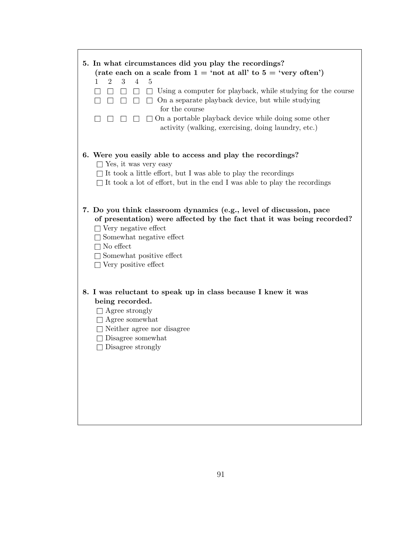| 5. In what circumstances did you play the recordings?                                                 |
|-------------------------------------------------------------------------------------------------------|
| (rate each on a scale from $1 = \text{`not}$ at all' to $5 = \text{`very}$ often')                    |
| 3<br>$\overline{4}$<br>1<br>$\overline{2}$<br>5                                                       |
| Using a computer for playback, while studying for the course<br>$\Box$                                |
| $\Box$ On a separate playback device, but while studying<br>П<br>$\Box$<br>$\perp$<br>for the course  |
| $\Box$ On a portable playback device while doing some other                                           |
| activity (walking, exercising, doing laundry, etc.)                                                   |
|                                                                                                       |
|                                                                                                       |
| 6. Were you easily able to access and play the recordings?<br>$\Box$ Yes, it was very easy            |
| $\Box$<br>It took a little effort, but I was able to play the recordings                              |
| $\Box$ It took a lot of effort, but in the end I was able to play the recordings                      |
|                                                                                                       |
|                                                                                                       |
| 7. Do you think classroom dynamics (e.g., level of discussion, pace                                   |
| of presentation) were affected by the fact that it was being recorded?<br>$\Box$ Very negative effect |
| $\Box$ Somewhat negative effect                                                                       |
| $\Box$ No effect                                                                                      |
| $\Box$ Somewhat positive effect                                                                       |
| $\Box$ Very positive effect                                                                           |
|                                                                                                       |
| 8. I was reluctant to speak up in class because I knew it was                                         |
| being recorded.                                                                                       |
| $\Box$ Agree strongly                                                                                 |
| $\Box$ Agree somewhat                                                                                 |
| $\Box$ Neither agree nor disagree                                                                     |
| $\Box$ Disagree somewhat                                                                              |
| $\Box$ Disagree strongly                                                                              |
|                                                                                                       |
|                                                                                                       |
|                                                                                                       |
|                                                                                                       |
|                                                                                                       |
|                                                                                                       |
|                                                                                                       |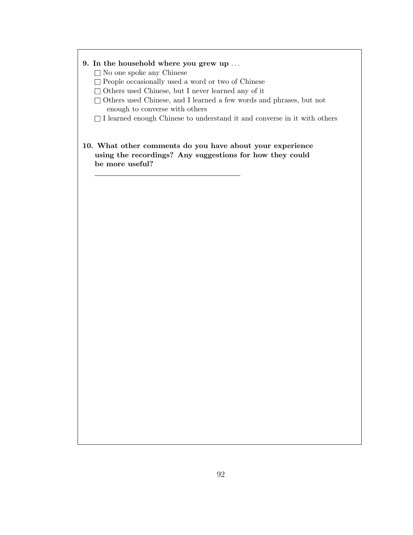#### 9. In the household where you grew up . . .

- $\Box$  No one spoke any Chinese
- $\Box$  People occasionally used a word or two of Chinese
- $\square$  Others used Chinese, but I never learned any of it
- $\Box$  Others used Chinese, and I learned a few words and phrases, but not enough to converse with others
- $\Box$  I learned enough Chinese to understand it and converse in it with others
- 10. What other comments do you have about your experience using the recordings? Any suggestions for how they could be more useful?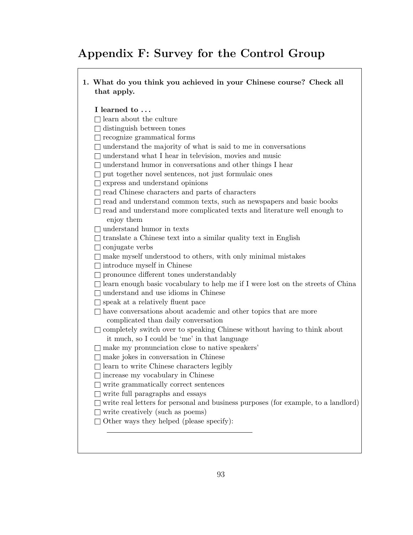# Appendix F: Survey for the Control Group

1. What do you think you achieved in your Chinese course? Check all that apply.

#### I learned to . . .

- $\Box$ <br/> learn about the culture
- $\Box$  distinguish between tones
- $\Box$  recognize grammatical forms
- $\Box$  understand the majority of what is said to me in conversations
- $\Box$  understand what I hear in television, movies and music
- $\Box$  understand humor in conversations and other things I hear
- $\Box$  put together novel sentences, not just formulaic ones
- $\Box$  express and understand opinions
- $\Box$  read Chinese characters and parts of characters
- $\Box$  read and understand common texts, such as newspapers and basic books
- $\Box$  read and understand more complicated texts and literature well enough to enjoy them
- $\Box$  understand humor in texts
- $\Box$  translate a Chinese text into a similar quality text in English
- $\Box$  conjugate verbs
- $\Box$  make myself understood to others, with only minimal mistakes
- $\Box$  introduce myself in Chinese
- $\Box$  pronounce different tones understandably
- $\Box$  learn enough basic vocabulary to help me if I were lost on the streets of China
- $\Box$  understand and use idioms in Chinese
- $\Box$  speak at a relatively fluent pace
- $\Box$  have conversations about academic and other topics that are more complicated than daily conversation
- $\Box$  completely switch over to speaking Chinese without having to think about it much, so I could be 'me' in that language
- $\Box$  make my pronunciation close to native speakers'
- $\Box$  make jokes in conversation in Chinese
- $\Box$  learn to write Chinese characters legibly
- $\Box$  increase my vocabulary in Chinese
- $\Box$  write grammatically correct sentences
- $\Box$  write full paragraphs and essays
- $\Box$  write real letters for personal and business purposes (for example, to a landlord)
- $\Box$  write creatively (such as poems)
- $\Box$  Other ways they helped (please specify):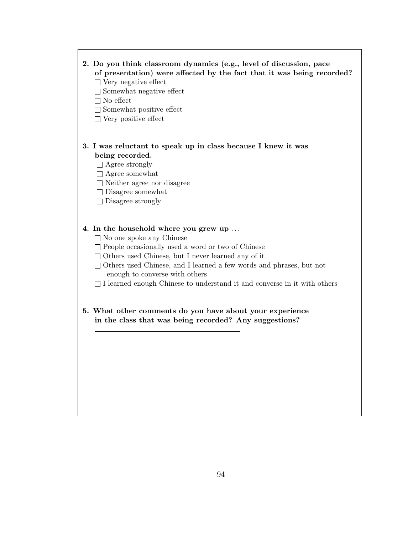## 2. Do you think classroom dynamics (e.g., level of discussion, pace of presentation) were affected by the fact that it was being recorded?

- $\Box$  Very negative effect
- $\Box$  Somewhat negative effect
- $\Box$  No effect
- $\Box$  Somewhat positive effect
- $\Box$  Very positive effect

## 3. I was reluctant to speak up in class because I knew it was being recorded.

- $\Box$  Agree strongly
- $\Box$  Agree somewhat
- $\Box$  Neither agree nor disagree
- $\square$  Disagree somewhat
- $\Box$  Disagree strongly

#### 4. In the household where you grew up . . .

- $\square$  No one spoke any Chinese
- $\Box$  People occasionally used a word or two of Chinese
- $\Box$  Others used Chinese, but I never learned any of it
- □ Others used Chinese, and I learned a few words and phrases, but not enough to converse with others
- $\Box$  I learned enough Chinese to understand it and converse in it with others
- 5. What other comments do you have about your experience in the class that was being recorded? Any suggestions?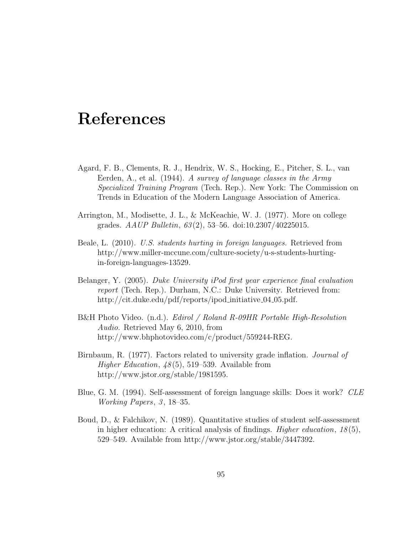# References

- Agard, F. B., Clements, R. J., Hendrix, W. S., Hocking, E., Pitcher, S. L., van Eerden, A., et al. (1944). A survey of language classes in the Army Specialized Training Program (Tech. Rep.). New York: The Commission on Trends in Education of the Modern Language Association of America.
- Arrington, M., Modisette, J. L., & McKeachie, W. J. (1977). More on college grades.  $AAUP$  Bulletin,  $63(2)$ , 53–56. doi:10.2307/40225015.
- Beale, L. (2010). U.S. students hurting in foreign languages. Retrieved from http://www.miller-mccune.com/culture-society/u-s-students-hurtingin-foreign-languages-13529.
- Belanger, Y. (2005). Duke University iPod first year experience final evaluation report (Tech. Rep.). Durham, N.C.: Duke University. Retrieved from: http://cit.duke.edu/pdf/reports/ipod\_initiative\_04\_05.pdf.
- B&H Photo Video. (n.d.). Edirol / Roland R-09HR Portable High-Resolution Audio. Retrieved May 6, 2010, from http://www.bhphotovideo.com/c/product/559244-REG.
- Birnbaum, R. (1977). Factors related to university grade inflation. Journal of Higher Education,  $48(5)$ , 519–539. Available from http://www.jstor.org/stable/1981595.
- Blue, G. M. (1994). Self-assessment of foreign language skills: Does it work? CLE Working Papers,  $\beta$ , 18–35.
- Boud, D., & Falchikov, N. (1989). Quantitative studies of student self-assessment in higher education: A critical analysis of findings. *Higher education*,  $18(5)$ , 529–549. Available from http://www.jstor.org/stable/3447392.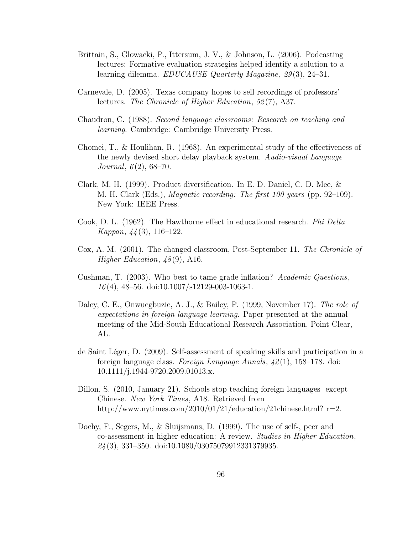- Brittain, S., Glowacki, P., Ittersum, J. V., & Johnson, L. (2006). Podcasting lectures: Formative evaluation strategies helped identify a solution to a learning dilemma. *EDUCAUSE Quarterly Magazine*, 29(3), 24–31.
- Carnevale, D. (2005). Texas company hopes to sell recordings of professors' lectures. The Chronicle of Higher Education, 52(7), A37.
- Chaudron, C. (1988). Second language classrooms: Research on teaching and learning. Cambridge: Cambridge University Press.
- Chomei, T., & Houlihan, R. (1968). An experimental study of the effectiveness of the newly devised short delay playback system. Audio-visual Language Journal,  $6(2)$ , 68–70.
- Clark, M. H. (1999). Product diversification. In E. D. Daniel, C. D. Mee, & M. H. Clark (Eds.), Magnetic recording: The first 100 years (pp. 92–109). New York: IEEE Press.
- Cook, D. L. (1962). The Hawthorne effect in educational research. Phi Delta Kappan, 44 (3), 116–122.
- Cox, A. M. (2001). The changed classroom, Post-September 11. The Chronicle of Higher Education,  $48(9)$ , A16.
- Cushman, T. (2003). Who best to tame grade inflation? Academic Questions,  $16(4)$ ,  $48-56$ . doi:10.1007/s12129-003-1063-1.
- Daley, C. E., Onwuegbuzie, A. J., & Bailey, P. (1999, November 17). The role of expectations in foreign language learning. Paper presented at the annual meeting of the Mid-South Educational Research Association, Point Clear, AL.
- de Saint Léger, D. (2009). Self-assessment of speaking skills and participation in a foreign language class. Foreign Language Annals,  $\frac{42(1)}{158-178}$ . doi: 10.1111/j.1944-9720.2009.01013.x.
- Dillon, S. (2010, January 21). Schools stop teaching foreign languages except Chinese. New York Times, A18. Retrieved from http://www.nytimes.com/2010/01/21/education/21chinese.html? $r=2$ .
- Dochy, F., Segers, M., & Sluijsmans, D. (1999). The use of self-, peer and co-assessment in higher education: A review. Studies in Higher Education,  $24(3)$ , 331–350. doi:10.1080/03075079912331379935.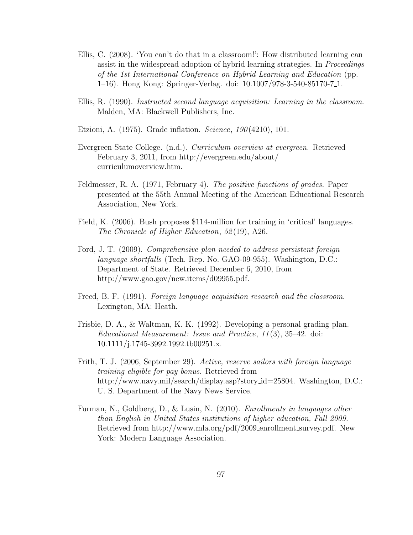- Ellis, C. (2008). 'You can't do that in a classroom!': How distributed learning can assist in the widespread adoption of hybrid learning strategies. In *Proceedings* of the 1st International Conference on Hybrid Learning and Education (pp. 1–16). Hong Kong: Springer-Verlag. doi: 10.1007/978-3-540-85170-7 1.
- Ellis, R. (1990). Instructed second language acquisition: Learning in the classroom. Malden, MA: Blackwell Publishers, Inc.
- Etzioni, A. (1975). Grade inflation. *Science*, 190(4210), 101.
- Evergreen State College. (n.d.). Curriculum overview at evergreen. Retrieved February 3, 2011, from http://evergreen.edu/about/ curriculumoverview.htm.
- Feldmesser, R. A. (1971, February 4). The positive functions of grades. Paper presented at the 55th Annual Meeting of the American Educational Research Association, New York.
- Field, K. (2006). Bush proposes \$114-million for training in 'critical' languages. The Chronicle of Higher Education, 52(19), A26.
- Ford, J. T. (2009). Comprehensive plan needed to address persistent foreign language shortfalls (Tech. Rep. No. GAO-09-955). Washington, D.C.: Department of State. Retrieved December 6, 2010, from http://www.gao.gov/new.items/d09955.pdf.
- Freed, B. F. (1991). Foreign language acquisition research and the classroom. Lexington, MA: Heath.
- Frisbie, D. A., & Waltman, K. K. (1992). Developing a personal grading plan. Educational Measurement: Issue and Practice, 11 (3), 35–42. doi: 10.1111/j.1745-3992.1992.tb00251.x.
- Frith, T. J. (2006, September 29). Active, reserve sailors with foreign language training eligible for pay bonus. Retrieved from http://www.navy.mil/search/display.asp?story\_id=25804. Washington, D.C.: U. S. Department of the Navy News Service.
- Furman, N., Goldberg, D., & Lusin, N. (2010). Enrollments in languages other than English in United States institutions of higher education, Fall 2009. Retrieved from http://www.mla.org/pdf/2009\_enrollment\_survey.pdf. New York: Modern Language Association.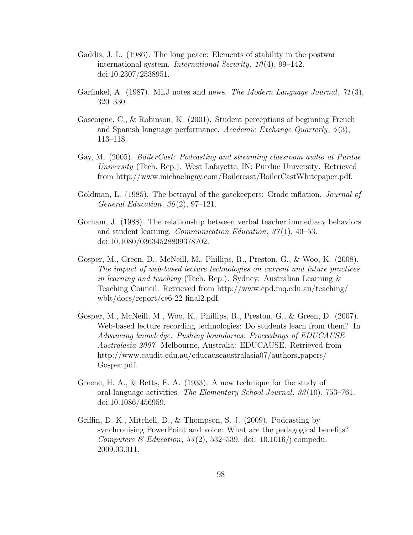- Gaddis, J. L. (1986). The long peace: Elements of stability in the postwar international system. *International Security*,  $10(4)$ , 99–142. doi:10.2307/2538951.
- Garfinkel, A. (1987). MLJ notes and news. *The Modern Language Journal*,  $71(3)$ , 320–330.
- Gascoigne, C., & Robinson, K. (2001). Student perceptions of beginning French and Spanish language performance. Academic Exchange Quarterly,  $5(3)$ , 113–118.
- Gay, M. (2005). BoilerCast: Podcasting and streaming classroom audio at Purdue University (Tech. Rep.). West Lafayette, IN: Purdue University. Retrieved from http://www.michaelngay.com/Boilercast/BoilerCastWhitepaper.pdf.
- Goldman, L. (1985). The betrayal of the gatekeepers: Grade inflation. *Journal of* General Education,  $36(2)$ ,  $97-121$ .
- Gorham, J. (1988). The relationship between verbal teacher immediacy behaviors and student learning. Communication Education, 37 (1), 40–53. doi:10.1080/03634528809378702.
- Gosper, M., Green, D., McNeill, M., Phillips, R., Preston, G., & Woo, K. (2008). The impact of web-based lecture technologies on current and future practices in learning and teaching (Tech. Rep.). Sydney: Australian Learning & Teaching Council. Retrieved from http://www.cpd.mq.edu.au/teaching/ wblt/docs/report/ce6-22 final2.pdf.
- Gosper, M., McNeill, M., Woo, K., Phillips, R., Preston, G., & Green, D. (2007). Web-based lecture recording technologies: Do students learn from them? In Advancing knowledge: Pushing boundaries: Proceedings of EDUCAUSE Australasia 2007. Melbourne, Australia: EDUCAUSE. Retrieved from http://www.caudit.edu.au/educauseaustralasia07/authors papers/ Gosper.pdf.
- Greene, H. A., & Betts, E. A. (1933). A new technique for the study of oral-language activities. The Elementary School Journal, 33 (10), 753–761. doi:10.1086/456959.
- Griffin, D. K., Mitchell, D., & Thompson, S. J. (2009). Podcasting by synchronising PowerPoint and voice: What are the pedagogical benefits? Computers & Education,  $53(2)$ ,  $532-539$ . doi: 10.1016/j.compedu. 2009.03.011.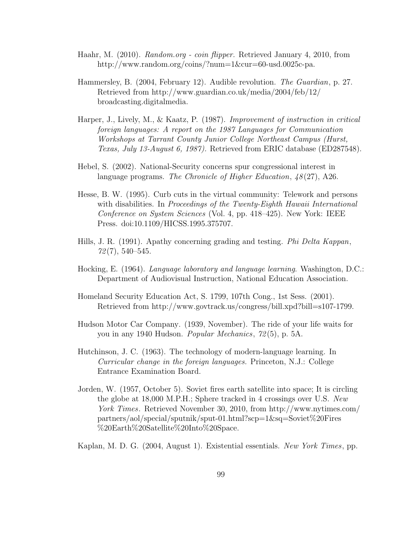- Haahr, M. (2010). Random.org coin flipper. Retrieved January 4, 2010, from http://www.random.org/coins/?num=1&cur=60-usd.0025c-pa.
- Hammersley, B. (2004, February 12). Audible revolution. The Guardian, p. 27. Retrieved from http://www.guardian.co.uk/media/2004/feb/12/ broadcasting.digitalmedia.
- Harper, J., Lively, M., & Kaatz, P. (1987). Improvement of instruction in critical foreign languages: A report on the 1987 Languages for Communication Workshops at Tarrant County Junior College Northeast Campus (Hurst, Texas, July 13-August 6, 1987). Retrieved from ERIC database (ED287548).
- Hebel, S. (2002). National-Security concerns spur congressional interest in language programs. The Chronicle of Higher Education,  $48(27)$ , A26.
- Hesse, B. W. (1995). Curb cuts in the virtual community: Telework and persons with disabilities. In Proceedings of the Twenty-Eighth Hawaii International Conference on System Sciences (Vol. 4, pp. 418–425). New York: IEEE Press. doi:10.1109/HICSS.1995.375707.
- Hills, J. R. (1991). Apathy concerning grading and testing. Phi Delta Kappan,  $72(7), 540-545.$
- Hocking, E. (1964). Language laboratory and language learning. Washington, D.C.: Department of Audiovisual Instruction, National Education Association.
- Homeland Security Education Act, S. 1799, 107th Cong., 1st Sess. (2001). Retrieved from http://www.govtrack.us/congress/bill.xpd?bill=s107-1799.
- Hudson Motor Car Company. (1939, November). The ride of your life waits for you in any 1940 Hudson. Popular Mechanics, 72 (5), p. 5A.
- Hutchinson, J. C. (1963). The technology of modern-language learning. In Curricular change in the foreign languages. Princeton, N.J.: College Entrance Examination Board.
- Jorden, W. (1957, October 5). Soviet fires earth satellite into space; It is circling the globe at 18,000 M.P.H.; Sphere tracked in 4 crossings over U.S. New York Times. Retrieved November 30, 2010, from http://www.nytimes.com/ partners/aol/special/sputnik/sput-01.html?scp=1&sq=Soviet%20Fires %20Earth%20Satellite%20Into%20Space.

Kaplan, M. D. G. (2004, August 1). Existential essentials. New York Times, pp.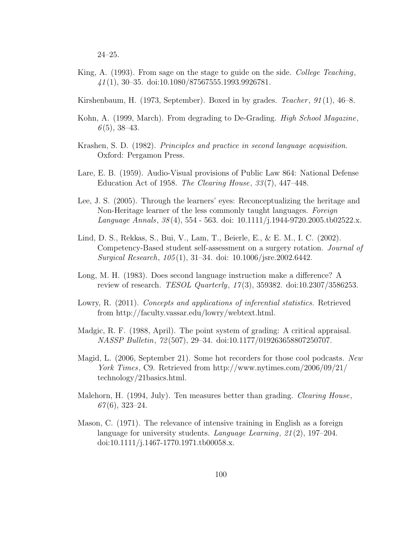24–25.

- King, A. (1993). From sage on the stage to guide on the side. College Teaching, 41 (1), 30–35. doi:10.1080/87567555.1993.9926781.
- Kirshenbaum, H. (1973, September). Boxed in by grades. Teacher,  $91(1)$ ,  $46-8$ .
- Kohn, A. (1999, March). From degrading to De-Grading. *High School Magazine*,  $6(5)$ , 38-43.
- Krashen, S. D. (1982). Principles and practice in second language acquisition. Oxford: Pergamon Press.
- Lare, E. B. (1959). Audio-Visual provisions of Public Law 864: National Defense Education Act of 1958. The Clearing House,  $33(7)$ , 447–448.
- Lee, J. S. (2005). Through the learners' eyes: Reconceptualizing the heritage and Non-Heritage learner of the less commonly taught languages. Foreign Language Annals,  $38(4)$ , 554 - 563. doi: 10.1111/j.1944-9720.2005.tb02522.x.
- Lind, D. S., Rekkas, S., Bui, V., Lam, T., Beierle, E., & E. M., I. C. (2002). Competency-Based student self-assessment on a surgery rotation. Journal of Surgical Research, 105 (1), 31–34. doi: 10.1006/jsre.2002.6442.
- Long, M. H. (1983). Does second language instruction make a difference? A review of research. TESOL Quarterly, 17 (3), 359382. doi:10.2307/3586253.
- Lowry, R. (2011). Concepts and applications of inferential statistics. Retrieved from http://faculty.vassar.edu/lowry/webtext.html.
- Madgic, R. F. (1988, April). The point system of grading: A critical appraisal. NASSP Bulletin, 72 (507), 29–34. doi:10.1177/019263658807250707.
- Magid, L. (2006, September 21). Some hot recorders for those cool podcasts. New York Times, C9. Retrieved from http://www.nytimes.com/2006/09/21/ technology/21basics.html.
- Malehorn, H. (1994, July). Ten measures better than grading. *Clearing House*,  $67(6)$ , 323–24.
- Mason, C. (1971). The relevance of intensive training in English as a foreign language for university students. Language Learning,  $21(2)$ , 197–204. doi:10.1111/j.1467-1770.1971.tb00058.x.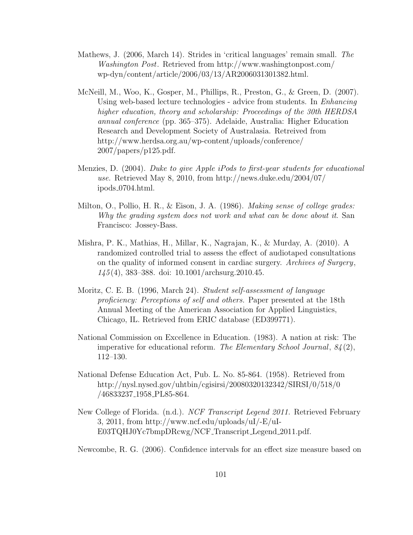- Mathews, J. (2006, March 14). Strides in 'critical languages' remain small. The Washington Post. Retrieved from http://www.washingtonpost.com/ wp-dyn/content/article/2006/03/13/AR2006031301382.html.
- McNeill, M., Woo, K., Gosper, M., Phillips, R., Preston, G., & Green, D. (2007). Using web-based lecture technologies - advice from students. In *Enhancing* higher education, theory and scholarship: Proceedings of the 30th HERDSA annual conference (pp. 365–375). Adelaide, Australia: Higher Education Research and Development Society of Australasia. Retreived from http://www.herdsa.org.au/wp-content/uploads/conference/ 2007/papers/p125.pdf.
- Menzies, D. (2004). Duke to give Apple iPods to first-year students for educational use. Retrieved May 8, 2010, from http://news.duke.edu/2004/07/ ipods 0704.html.
- Milton, O., Pollio, H. R., & Eison, J. A. (1986). Making sense of college grades: Why the grading system does not work and what can be done about it. San Francisco: Jossey-Bass.
- Mishra, P. K., Mathias, H., Millar, K., Nagrajan, K., & Murday, A. (2010). A randomized controlled trial to assess the effect of audiotaped consultations on the quality of informed consent in cardiac surgery. Archives of Surgery, 145 (4), 383–388. doi: 10.1001/archsurg.2010.45.
- Moritz, C. E. B. (1996, March 24). Student self-assessment of language proficiency: Perceptions of self and others. Paper presented at the 18th Annual Meeting of the American Association for Applied Linguistics, Chicago, IL. Retrieved from ERIC database (ED399771).
- National Commission on Excellence in Education. (1983). A nation at risk: The imperative for educational reform. The Elementary School Journal,  $84(2)$ , 112–130.
- National Defense Education Act, Pub. L. No. 85-864. (1958). Retrieved from http://nysl.nysed.gov/uhtbin/cgisirsi/20080320132342/SIRSI/0/518/0 /46833237 1958 PL85-864.
- New College of Florida. (n.d.). NCF Transcript Legend 2011. Retrieved February 3, 2011, from http://www.ncf.edu/uploads/uI/-E/uI-E03TQHJ0Yc7bmpDRcwg/NCF Transcript Legend 2011.pdf.
- Newcombe, R. G. (2006). Confidence intervals for an effect size measure based on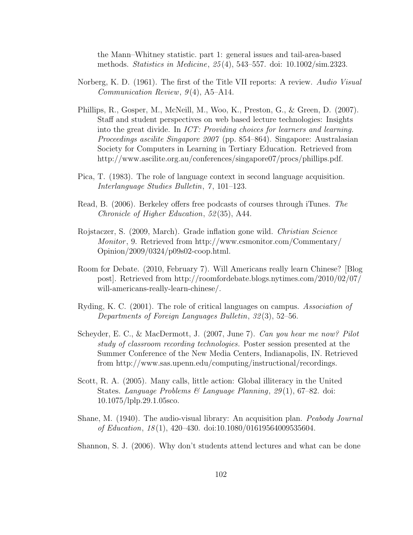the Mann–Whitney statistic. part 1: general issues and tail-area-based methods. Statistics in Medicine, 25 (4), 543–557. doi: 10.1002/sim.2323.

- Norberg, K. D. (1961). The first of the Title VII reports: A review. Audio Visual Communication Review,  $9(4)$ , A5-A14.
- Phillips, R., Gosper, M., McNeill, M., Woo, K., Preston, G., & Green, D. (2007). Staff and student perspectives on web based lecture technologies: Insights into the great divide. In ICT: Providing choices for learners and learning. Proceedings ascilite Singapore 2007 (pp. 854–864). Singapore: Australasian Society for Computers in Learning in Tertiary Education. Retrieved from http://www.ascilite.org.au/conferences/singapore07/procs/phillips.pdf.
- Pica, T. (1983). The role of language context in second language acquisition. Interlanguage Studies Bulletin, 7, 101–123.
- Read, B. (2006). Berkeley offers free podcasts of courses through iTunes. The Chronicle of Higher Education, 52 (35), A44.
- Rojstaczer, S. (2009, March). Grade inflation gone wild. Christian Science Monitor , 9. Retrieved from http://www.csmonitor.com/Commentary/ Opinion/2009/0324/p09s02-coop.html.
- Room for Debate. (2010, February 7). Will Americans really learn Chinese? [Blog post]. Retrieved from http://roomfordebate.blogs.nytimes.com/2010/02/07/ will-americans-really-learn-chinese/.
- Ryding, K. C. (2001). The role of critical languages on campus. Association of Departments of Foreign Languages Bulletin, 32 (3), 52–56.
- Scheyder, E. C., & MacDermott, J. (2007, June 7). Can you hear me now? Pilot study of classroom recording technologies. Poster session presented at the Summer Conference of the New Media Centers, Indianapolis, IN. Retrieved from http://www.sas.upenn.edu/computing/instructional/recordings.
- Scott, R. A. (2005). Many calls, little action: Global illiteracy in the United States. Language Problems & Language Planning, 29(1), 67-82. doi: 10.1075/lplp.29.1.05sco.
- Shane, M. (1940). The audio-visual library: An acquisition plan. Peabody Journal of Education,  $18(1)$ ,  $420-430$ . doi:10.1080/01619564009535604.
- Shannon, S. J. (2006). Why don't students attend lectures and what can be done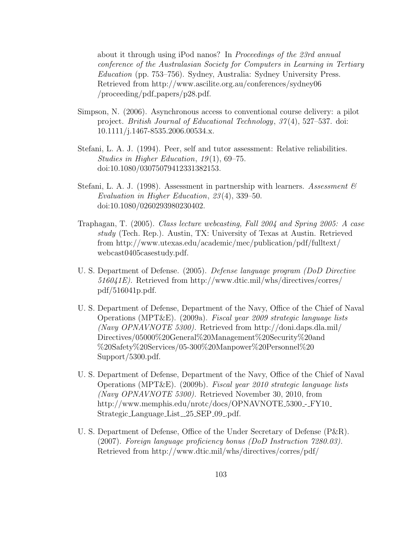about it through using iPod nanos? In Proceedings of the 23rd annual conference of the Australasian Society for Computers in Learning in Tertiary Education (pp. 753–756). Sydney, Australia: Sydney University Press. Retrieved from http://www.ascilite.org.au/conferences/sydney06 /proceeding/pdf papers/p28.pdf.

- Simpson, N. (2006). Asynchronous access to conventional course delivery: a pilot project. British Journal of Educational Technology, 37 (4), 527–537. doi: 10.1111/j.1467-8535.2006.00534.x.
- Stefani, L. A. J. (1994). Peer, self and tutor assessment: Relative reliabilities. Studies in Higher Education,  $19(1)$ , 69–75. doi:10.1080/03075079412331382153.
- Stefani, L. A. J. (1998). Assessment in partnership with learners. Assessment  $\mathscr B$ Evaluation in Higher Education, 23 (4), 339–50. doi:10.1080/0260293980230402.
- Traphagan, T. (2005). Class lecture webcasting, Fall 2004 and Spring 2005: A case study (Tech. Rep.). Austin, TX: University of Texas at Austin. Retrieved from http://www.utexas.edu/academic/mec/publication/pdf/fulltext/ webcast0405casestudy.pdf.
- U. S. Department of Defense. (2005). Defense language program (DoD Directive 516041E). Retrieved from http://www.dtic.mil/whs/directives/corres/ pdf/516041p.pdf.
- U. S. Department of Defense, Department of the Navy, Office of the Chief of Naval Operations (MPT&E). (2009a). Fiscal year 2009 strategic language lists (Navy OPNAVNOTE 5300). Retrieved from http://doni.daps.dla.mil/ Directives/05000%20General%20Management%20Security%20and %20Safety%20Services/05-300%20Manpower%20Personnel%20 Support/5300.pdf.
- U. S. Department of Defense, Department of the Navy, Office of the Chief of Naval Operations (MPT&E). (2009b). Fiscal year 2010 strategic language lists (Navy OPNAVNOTE 5300). Retrieved November 30, 2010, from http://www.memphis.edu/nrotc/docs/OPNAVNOTE\_5300\_-\_FY10\_ Strategic\_Language\_List\_25\_SEP\_09\_pdf.
- U. S. Department of Defense, Office of the Under Secretary of Defense (P&R). (2007). Foreign language proficiency bonus (DoD Instruction 7280.03). Retrieved from http://www.dtic.mil/whs/directives/corres/pdf/